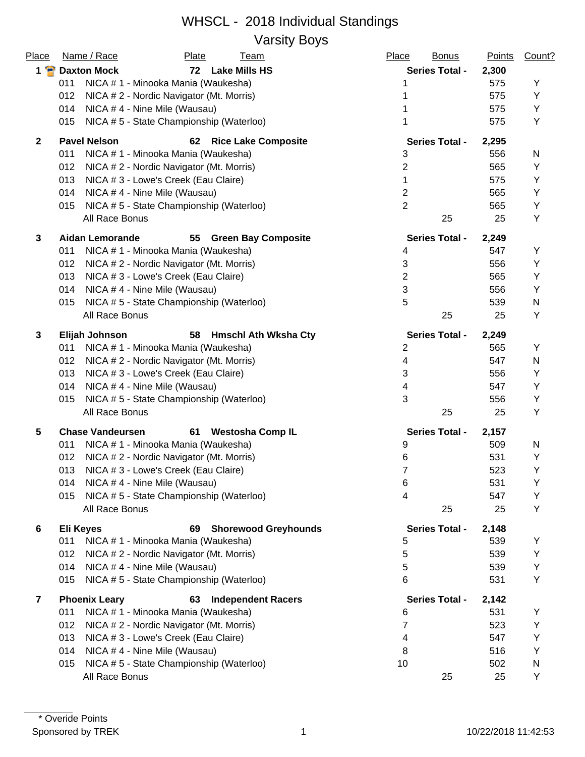#### WHSCL - 2018 Individual Standings Varsity Boys

| Place                   | Name / Race             | <b>Plate</b>                             | <u>Team</u>                 | Place          | <b>Bonus</b>          | <b>Points</b> | Count? |
|-------------------------|-------------------------|------------------------------------------|-----------------------------|----------------|-----------------------|---------------|--------|
| $1$ $\bullet$           | <b>Daxton Mock</b>      |                                          | 72 Lake Mills HS            |                | <b>Series Total -</b> | 2,300         |        |
|                         | 011                     | NICA # 1 - Minooka Mania (Waukesha)      |                             |                |                       | 575           | Υ      |
|                         | 012                     | NICA # 2 - Nordic Navigator (Mt. Morris) |                             |                |                       | 575           | Y      |
|                         | 014                     | NICA #4 - Nine Mile (Wausau)             |                             |                |                       | 575           | Y      |
|                         | 015                     | NICA #5 - State Championship (Waterloo)  |                             |                |                       | 575           | Y      |
| $\mathbf{2}$            | <b>Pavel Nelson</b>     | 62                                       | <b>Rice Lake Composite</b>  |                | <b>Series Total -</b> | 2,295         |        |
|                         | 011                     | NICA # 1 - Minooka Mania (Waukesha)      |                             | 3              |                       | 556           | N      |
|                         | 012                     | NICA # 2 - Nordic Navigator (Mt. Morris) |                             | $\overline{2}$ |                       | 565           | Υ      |
|                         | 013                     | NICA # 3 - Lowe's Creek (Eau Claire)     |                             | 1              |                       | 575           | Υ      |
|                         | 014                     | NICA #4 - Nine Mile (Wausau)             |                             | $\overline{2}$ |                       | 565           | Υ      |
|                         | 015                     | NICA #5 - State Championship (Waterloo)  |                             | $\overline{2}$ |                       | 565           | Y      |
|                         | All Race Bonus          |                                          |                             |                | 25                    | 25            | Y      |
| 3                       | <b>Aidan Lemorande</b>  |                                          | 55 Green Bay Composite      |                | <b>Series Total -</b> | 2,249         |        |
|                         | 011                     | NICA # 1 - Minooka Mania (Waukesha)      |                             | 4              |                       | 547           | Y      |
|                         | 012                     | NICA # 2 - Nordic Navigator (Mt. Morris) |                             | 3              |                       | 556           | Y      |
|                         | 013                     | NICA # 3 - Lowe's Creek (Eau Claire)     |                             | $\overline{2}$ |                       | 565           | Υ      |
|                         | 014                     | NICA #4 - Nine Mile (Wausau)             |                             | 3              |                       | 556           | Y      |
|                         | 015                     | NICA #5 - State Championship (Waterloo)  |                             | 5              |                       | 539           | N      |
|                         | All Race Bonus          |                                          |                             |                | 25                    | 25            | Y      |
| 3                       | Elijah Johnson          |                                          | 58 Hmschl Ath Wksha Cty     |                | <b>Series Total -</b> | 2,249         |        |
|                         | 011                     | NICA # 1 - Minooka Mania (Waukesha)      |                             | $\overline{2}$ |                       | 565           | Υ      |
|                         | 012                     | NICA #2 - Nordic Navigator (Mt. Morris)  |                             | 4              |                       | 547           | N      |
|                         | 013                     | NICA # 3 - Lowe's Creek (Eau Claire)     |                             | 3              |                       | 556           | Υ      |
|                         | 014                     | NICA #4 - Nine Mile (Wausau)             |                             | 4              |                       | 547           | Υ      |
|                         | 015                     | NICA #5 - State Championship (Waterloo)  |                             | 3              |                       | 556           | Υ      |
|                         | All Race Bonus          |                                          |                             |                | 25                    | 25            | Y      |
| 5                       | <b>Chase Vandeursen</b> | 61                                       | <b>Westosha Comp IL</b>     |                | <b>Series Total -</b> | 2,157         |        |
|                         | 011                     | NICA # 1 - Minooka Mania (Waukesha)      |                             | 9              |                       | 509           | N      |
|                         | 012                     | NICA # 2 - Nordic Navigator (Mt. Morris) |                             | 6              |                       | 531           | Y      |
|                         | 013                     | NICA # 3 - Lowe's Creek (Eau Claire)     |                             | $\overline{7}$ |                       | 523           | Υ      |
|                         | 014                     | NICA #4 - Nine Mile (Wausau)             |                             | 6              |                       | 531           | Υ      |
|                         | 015                     | NICA #5 - State Championship (Waterloo)  |                             | 4              |                       | 547           | Υ      |
|                         | All Race Bonus          |                                          |                             |                | 25                    | 25            | Υ      |
| 6                       | <b>Eli Keyes</b>        | 69                                       | <b>Shorewood Greyhounds</b> |                | <b>Series Total -</b> | 2,148         |        |
|                         | 011                     | NICA #1 - Minooka Mania (Waukesha)       |                             | 5              |                       | 539           | Y      |
|                         | 012                     | NICA # 2 - Nordic Navigator (Mt. Morris) |                             | 5              |                       | 539           | Υ      |
|                         | 014                     | NICA # 4 - Nine Mile (Wausau)            |                             | 5              |                       | 539           | Υ      |
|                         | 015                     | NICA #5 - State Championship (Waterloo)  |                             | 6              |                       | 531           | Y      |
| $\overline{\mathbf{r}}$ | <b>Phoenix Leary</b>    | 63                                       | <b>Independent Racers</b>   |                | <b>Series Total -</b> | 2,142         |        |
|                         | 011                     | NICA # 1 - Minooka Mania (Waukesha)      |                             | 6              |                       | 531           | Y      |
|                         | 012                     | NICA # 2 - Nordic Navigator (Mt. Morris) |                             | 7              |                       | 523           | Υ      |
|                         | 013                     | NICA # 3 - Lowe's Creek (Eau Claire)     |                             | 4              |                       | 547           | Υ      |
|                         | 014                     | NICA #4 - Nine Mile (Wausau)             |                             | 8              |                       | 516           | Y      |
|                         | 015                     | NICA # 5 - State Championship (Waterloo) |                             | 10             |                       | 502           | N      |
|                         | All Race Bonus          |                                          |                             |                | 25                    | 25            | Υ      |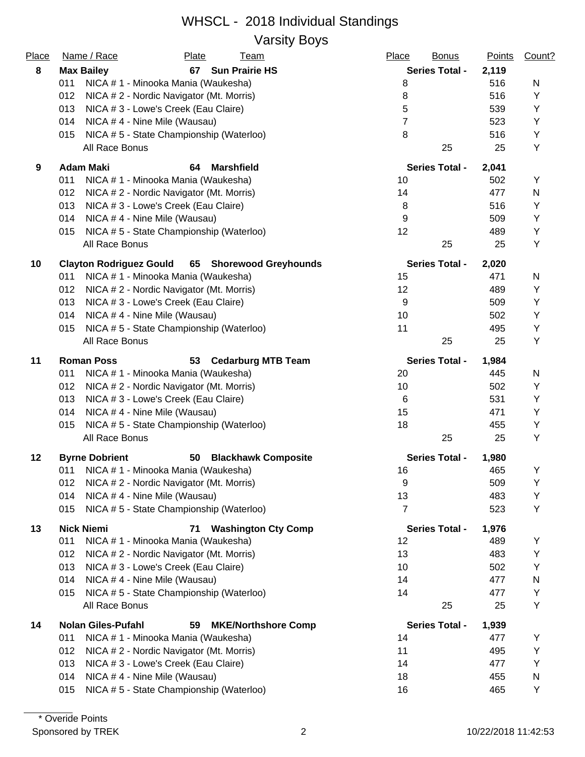#### WHSCL - 2018 Individual Standings Varsity Boys

|       | vaivity Doyo                                                  |                       |               |        |
|-------|---------------------------------------------------------------|-----------------------|---------------|--------|
| Place | Name / Race<br><b>Plate</b><br><b>Team</b>                    | Place<br><b>Bonus</b> | <b>Points</b> | Count? |
| 8     | <b>Sun Prairie HS</b><br><b>Max Bailey</b><br>67              | <b>Series Total -</b> | 2,119         |        |
|       | 011<br>NICA # 1 - Minooka Mania (Waukesha)                    | 8                     | 516           | N      |
|       | 012<br>NICA # 2 - Nordic Navigator (Mt. Morris)               | 8                     | 516           | Υ      |
|       | 013<br>NICA # 3 - Lowe's Creek (Eau Claire)                   | 5                     | 539           | Υ      |
|       | 014<br>NICA #4 - Nine Mile (Wausau)                           | 7                     | 523           | Y      |
|       | NICA #5 - State Championship (Waterloo)<br>015                | 8                     | 516           | Y      |
|       | All Race Bonus                                                | 25                    | 25            | Y      |
| 9     | <b>Adam Maki</b><br>64<br><b>Marshfield</b>                   | <b>Series Total -</b> | 2,041         |        |
|       | 011<br>NICA # 1 - Minooka Mania (Waukesha)                    | 10                    | 502           | Y      |
|       | 012<br>NICA # 2 - Nordic Navigator (Mt. Morris)               | 14                    | 477           | N      |
|       | 013<br>NICA # 3 - Lowe's Creek (Eau Claire)                   | 8                     | 516           | Y      |
|       | 014<br>NICA #4 - Nine Mile (Wausau)                           | 9                     | 509           | Y      |
|       | NICA #5 - State Championship (Waterloo)<br>015                | 12                    | 489           | Υ      |
|       | All Race Bonus                                                | 25                    | 25            | Y      |
| 10    | <b>Clayton Rodriguez Gould</b><br>65 Shorewood Greyhounds     | <b>Series Total -</b> | 2,020         |        |
|       | 011<br>NICA # 1 - Minooka Mania (Waukesha)                    | 15                    | 471           | N      |
|       | 012<br>NICA # 2 - Nordic Navigator (Mt. Morris)               | 12                    | 489           | Υ      |
|       | 013<br>NICA # 3 - Lowe's Creek (Eau Claire)                   | 9                     | 509           | Y      |
|       | 014<br>NICA #4 - Nine Mile (Wausau)                           | 10                    | 502           | Υ      |
|       | NICA #5 - State Championship (Waterloo)<br>015                | 11                    | 495           | Υ      |
|       | All Race Bonus                                                | 25                    | 25            | Y      |
| 11    | <b>Roman Poss</b><br>53<br><b>Cedarburg MTB Team</b>          | <b>Series Total -</b> | 1,984         |        |
|       | 011<br>NICA # 1 - Minooka Mania (Waukesha)                    | 20                    | 445           | N      |
|       | 012<br>NICA # 2 - Nordic Navigator (Mt. Morris)               | 10                    | 502           | Υ      |
|       | 013<br>NICA # 3 - Lowe's Creek (Eau Claire)                   | 6                     | 531           | Y      |
|       | 014<br>NICA #4 - Nine Mile (Wausau)                           | 15                    | 471           | Y      |
|       | NICA #5 - State Championship (Waterloo)<br>015                | 18                    | 455           | Υ      |
|       | All Race Bonus                                                | 25                    | 25            | Υ      |
| 12    | <b>Blackhawk Composite</b><br><b>Byrne Dobrient</b><br>50     | <b>Series Total -</b> | 1,980         |        |
|       | 011 NICA # 1 - Minooka Mania (Waukesha)                       | 16                    | 465           | Y      |
|       | NICA # 2 - Nordic Navigator (Mt. Morris)<br>012               | 9                     | 509           | Υ      |
|       | 014<br>NICA #4 - Nine Mile (Wausau)                           | 13                    | 483           | Υ      |
|       | NICA #5 - State Championship (Waterloo)<br>015                | 7                     | 523           | Υ      |
| 13    | <b>Nick Niemi</b><br>71<br><b>Washington Cty Comp</b>         | <b>Series Total -</b> | 1,976         |        |
|       | 011<br>NICA # 1 - Minooka Mania (Waukesha)                    | 12                    | 489           | Υ      |
|       | 012<br>NICA # 2 - Nordic Navigator (Mt. Morris)               | 13                    | 483           | Υ      |
|       | 013<br>NICA # 3 - Lowe's Creek (Eau Claire)                   | 10                    | 502           | Υ      |
|       | 014<br>NICA #4 - Nine Mile (Wausau)                           | 14                    | 477           | N      |
|       | NICA #5 - State Championship (Waterloo)<br>015                | 14                    | 477           | Y      |
|       | All Race Bonus                                                | 25                    | 25            | Y      |
| 14    | <b>Nolan Giles-Pufahl</b><br>59<br><b>MKE/Northshore Comp</b> | <b>Series Total -</b> | 1,939         |        |
|       | 011<br>NICA # 1 - Minooka Mania (Waukesha)                    | 14                    | 477           | Υ      |
|       | 012<br>NICA # 2 - Nordic Navigator (Mt. Morris)               | 11                    | 495           | Y      |
|       | NICA # 3 - Lowe's Creek (Eau Claire)<br>013                   | 14                    | 477           | Υ      |
|       | NICA #4 - Nine Mile (Wausau)<br>014                           | 18                    | 455           | N      |
|       | NICA #5 - State Championship (Waterloo)<br>015                | 16                    | 465           | Υ      |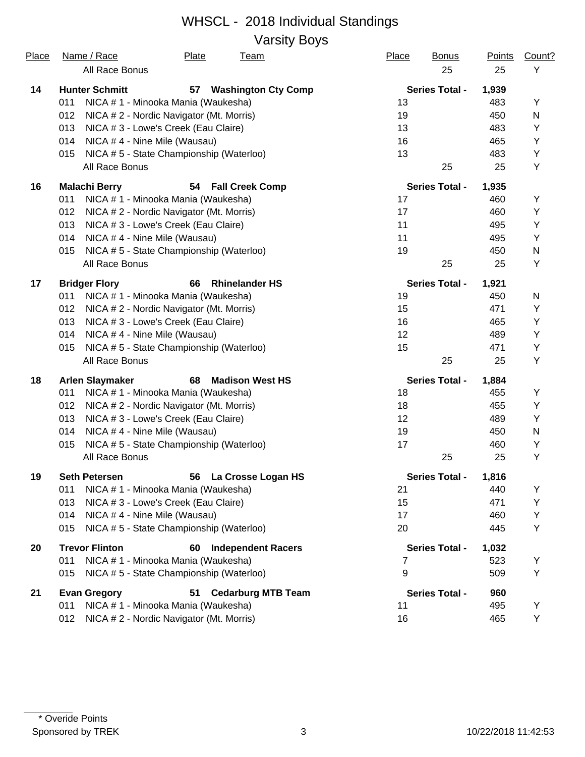Varsity Boys

| <u>Place</u> | Name / Race<br>All Race Bonus                   | <b>Plate</b><br><u>Team</u>      | <b>Place</b> | <b>Bonus</b><br>25    | <b>Points</b><br>25 | Count?<br>Y |
|--------------|-------------------------------------------------|----------------------------------|--------------|-----------------------|---------------------|-------------|
|              | <b>Hunter Schmitt</b>                           |                                  |              | <b>Series Total -</b> |                     |             |
| 14           | 011<br>NICA # 1 - Minooka Mania (Waukesha)      | <b>Washington Cty Comp</b><br>57 | 13           |                       | 1,939<br>483        | Y           |
|              | 012<br>NICA # 2 - Nordic Navigator (Mt. Morris) |                                  | 19           |                       | 450                 | N           |
|              | 013<br>NICA # 3 - Lowe's Creek (Eau Claire)     |                                  | 13           |                       | 483                 | Υ           |
|              | 014<br>NICA #4 - Nine Mile (Wausau)             |                                  | 16           |                       | 465                 | Υ           |
|              | NICA #5 - State Championship (Waterloo)<br>015  |                                  | 13           |                       | 483                 | Υ           |
|              | All Race Bonus                                  |                                  |              | 25                    | 25                  | Υ           |
| 16           | <b>Malachi Berry</b>                            | 54 Fall Creek Comp               |              | <b>Series Total -</b> | 1,935               |             |
|              | 011<br>NICA # 1 - Minooka Mania (Waukesha)      |                                  | 17           |                       | 460                 | Υ           |
|              | 012<br>NICA # 2 - Nordic Navigator (Mt. Morris) |                                  | 17           |                       | 460                 | Y           |
|              | 013<br>NICA # 3 - Lowe's Creek (Eau Claire)     |                                  | 11           |                       | 495                 | Υ           |
|              | 014<br>NICA #4 - Nine Mile (Wausau)             |                                  | 11           |                       | 495                 | Y           |
|              | NICA #5 - State Championship (Waterloo)<br>015  |                                  | 19           |                       | 450                 | N           |
|              | All Race Bonus                                  |                                  |              | 25                    | 25                  | Y           |
| 17           | <b>Bridger Flory</b>                            | 66<br><b>Rhinelander HS</b>      |              | <b>Series Total -</b> | 1,921               |             |
|              | NICA # 1 - Minooka Mania (Waukesha)<br>011      |                                  | 19           |                       | 450                 | N           |
|              | 012<br>NICA # 2 - Nordic Navigator (Mt. Morris) |                                  | 15           |                       | 471                 | Y           |
|              | 013<br>NICA # 3 - Lowe's Creek (Eau Claire)     |                                  | 16           |                       | 465                 | Υ           |
|              | 014<br>NICA #4 - Nine Mile (Wausau)             |                                  | 12           |                       | 489                 | Y           |
|              | NICA #5 - State Championship (Waterloo)<br>015  |                                  | 15           |                       | 471                 | Υ           |
|              | All Race Bonus                                  |                                  |              | 25                    | 25                  | Υ           |
| 18           | <b>Arlen Slaymaker</b>                          | 68<br><b>Madison West HS</b>     |              | <b>Series Total -</b> | 1,884               |             |
|              | NICA # 1 - Minooka Mania (Waukesha)<br>011      |                                  | 18           |                       | 455                 | Y           |
|              | 012<br>NICA # 2 - Nordic Navigator (Mt. Morris) |                                  | 18           |                       | 455                 | Υ           |
|              | 013<br>NICA # 3 - Lowe's Creek (Eau Claire)     |                                  | 12           |                       | 489                 | Υ           |
|              | 014<br>NICA #4 - Nine Mile (Wausau)             |                                  | 19           |                       | 450                 | N           |
|              | NICA #5 - State Championship (Waterloo)<br>015  |                                  | 17           |                       | 460                 | Υ           |
|              | All Race Bonus                                  |                                  |              | 25                    | 25                  | Y           |
| 19           | <b>Seth Petersen</b>                            | 56<br>La Crosse Logan HS         |              | <b>Series Total -</b> | 1,816               |             |
|              | NICA # 1 - Minooka Mania (Waukesha)<br>011      |                                  | 21           |                       | 440                 | Y           |
|              | 013<br>NICA # 3 - Lowe's Creek (Eau Claire)     |                                  | 15           |                       | 471                 | Υ           |
|              | NICA #4 - Nine Mile (Wausau)<br>014             |                                  | 17           |                       | 460                 | Υ           |
|              | NICA #5 - State Championship (Waterloo)<br>015  |                                  | 20           |                       | 445                 | Υ           |
| 20           | <b>Trevor Flinton</b>                           | <b>Independent Racers</b><br>60  |              | <b>Series Total -</b> | 1,032               |             |
|              | NICA # 1 - Minooka Mania (Waukesha)<br>011      |                                  | 7            |                       | 523                 | Y           |
|              | NICA #5 - State Championship (Waterloo)<br>015  |                                  | 9            |                       | 509                 | Υ           |
| 21           | <b>Evan Gregory</b>                             | <b>Cedarburg MTB Team</b><br>51  |              | <b>Series Total -</b> | 960                 |             |
|              | 011<br>NICA # 1 - Minooka Mania (Waukesha)      |                                  | 11           |                       | 495                 | Y           |
|              | NICA #2 - Nordic Navigator (Mt. Morris)<br>012  |                                  | 16           |                       | 465                 | Y           |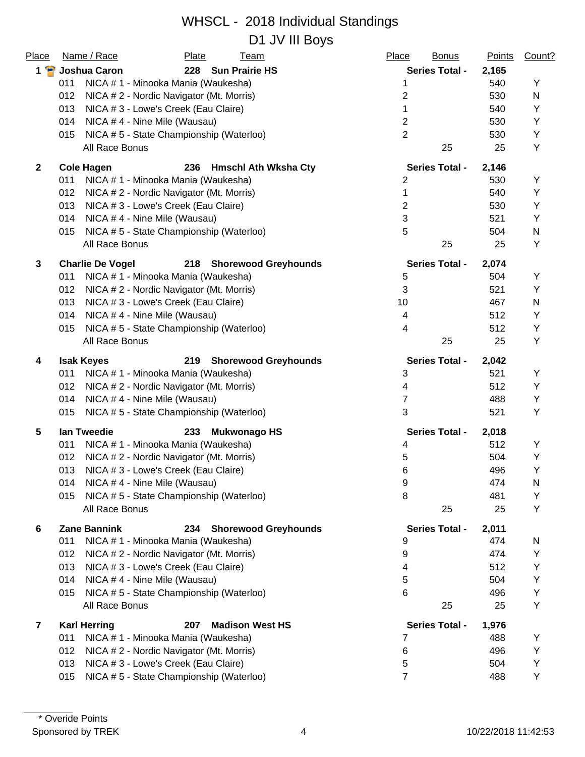#### WHSCL - 2018 Individual Standings D1 JV III Boys

| Place        | Name / Race<br><b>Plate</b><br><b>Team</b>                                                         | Place<br><b>Bonus</b> | Points       | Count? |
|--------------|----------------------------------------------------------------------------------------------------|-----------------------|--------------|--------|
| 1 P          | Joshua Caron<br>228<br><b>Sun Prairie HS</b>                                                       | <b>Series Total -</b> | 2,165        |        |
|              | NICA # 1 - Minooka Mania (Waukesha)<br>011                                                         | 1                     | 540          | Y      |
|              | 012<br>NICA # 2 - Nordic Navigator (Mt. Morris)                                                    | 2                     | 530          | N      |
|              | NICA # 3 - Lowe's Creek (Eau Claire)<br>013                                                        | 1                     | 540          | Υ      |
|              | 014<br>NICA #4 - Nine Mile (Wausau)                                                                | $\overline{2}$        | 530          | Υ      |
|              | NICA #5 - State Championship (Waterloo)<br>015                                                     | $\overline{2}$        | 530          | Υ      |
|              | All Race Bonus                                                                                     | 25                    | 25           | Υ      |
| $\mathbf{2}$ | <b>Cole Hagen</b><br>236<br><b>Hmschl Ath Wksha Cty</b>                                            | <b>Series Total -</b> | 2,146        |        |
|              | 011<br>NICA # 1 - Minooka Mania (Waukesha)                                                         | 2                     | 530          | Y      |
|              | 012<br>NICA # 2 - Nordic Navigator (Mt. Morris)                                                    | 1                     | 540          | Y      |
|              | 013<br>NICA # 3 - Lowe's Creek (Eau Claire)                                                        | $\overline{2}$        | 530          | Υ      |
|              | 014<br>NICA #4 - Nine Mile (Wausau)                                                                | 3                     | 521          | Y      |
|              | NICA #5 - State Championship (Waterloo)<br>015                                                     | 5                     | 504          | N      |
|              | All Race Bonus                                                                                     | 25                    | 25           | Y      |
| 3            | <b>Charlie De Vogel</b><br>218 Shorewood Greyhounds                                                | <b>Series Total -</b> | 2,074        |        |
|              | NICA # 1 - Minooka Mania (Waukesha)<br>011                                                         | 5                     | 504          | Υ      |
|              | 012<br>NICA # 2 - Nordic Navigator (Mt. Morris)                                                    | 3                     | 521          | Y      |
|              | 013<br>NICA # 3 - Lowe's Creek (Eau Claire)                                                        | 10                    | 467          | N      |
|              | 014<br>NICA #4 - Nine Mile (Wausau)                                                                | 4                     | 512          | Υ      |
|              | NICA #5 - State Championship (Waterloo)<br>015                                                     | 4                     | 512          | Y      |
|              | All Race Bonus                                                                                     | 25                    | 25           | Υ      |
| 4            | <b>Isak Keyes</b><br>219 Shorewood Greyhounds                                                      | <b>Series Total -</b> | 2,042        |        |
|              | 011<br>NICA # 1 - Minooka Mania (Waukesha)                                                         | 3                     | 521          | Υ      |
|              | 012<br>NICA # 2 - Nordic Navigator (Mt. Morris)                                                    | 4                     | 512          | Υ      |
|              | NICA #4 - Nine Mile (Wausau)<br>014                                                                | 7                     | 488          | Y      |
|              | NICA #5 - State Championship (Waterloo)<br>015                                                     | 3                     | 521          | Υ      |
| 5            | lan Tweedie<br>233<br><b>Mukwonago HS</b>                                                          | <b>Series Total -</b> | 2,018        |        |
|              | 011<br>NICA # 1 - Minooka Mania (Waukesha)                                                         | 4                     | 512          | Υ      |
|              | 012<br>NICA # 2 - Nordic Navigator (Mt. Morris)                                                    | 5                     | 504          | Y      |
|              | 013<br>NICA # 3 - Lowe's Creek (Eau Claire)                                                        | 6                     | 496          | Y      |
|              | NICA #4 - Nine Mile (Wausau)<br>014                                                                | 9                     | 474          | N      |
|              | NICA #5 - State Championship (Waterloo)<br>015                                                     | 8                     | 481          | Y      |
|              | All Race Bonus                                                                                     | 25                    | 25           | Υ      |
| 6            | <b>Zane Bannink</b><br><b>Shorewood Greyhounds</b><br>234                                          | <b>Series Total -</b> | 2,011        |        |
|              | NICA #1 - Minooka Mania (Waukesha)<br>011                                                          | 9                     | 474          | N      |
|              | NICA # 2 - Nordic Navigator (Mt. Morris)<br>012                                                    | 9                     | 474          | Υ      |
|              | 013<br>NICA # 3 - Lowe's Creek (Eau Claire)                                                        | 4                     | 512          | Υ      |
|              | NICA # 4 - Nine Mile (Wausau)<br>014                                                               | 5                     | 504          | Υ      |
|              | NICA #5 - State Championship (Waterloo)<br>015                                                     | 6                     | 496          | Υ      |
|              | All Race Bonus                                                                                     | 25                    | 25           | Υ      |
|              |                                                                                                    | <b>Series Total -</b> |              |        |
| 7            | <b>Karl Herring</b><br>207<br><b>Madison West HS</b><br>NICA # 1 - Minooka Mania (Waukesha)<br>011 | 7                     | 1,976<br>488 | Y      |
|              | 012<br>NICA # 2 - Nordic Navigator (Mt. Morris)                                                    | 6                     | 496          | Υ      |
|              | NICA # 3 - Lowe's Creek (Eau Claire)<br>013                                                        | 5                     | 504          | Υ      |
|              | NICA #5 - State Championship (Waterloo)<br>015                                                     | 7                     | 488          | Υ      |
|              |                                                                                                    |                       |              |        |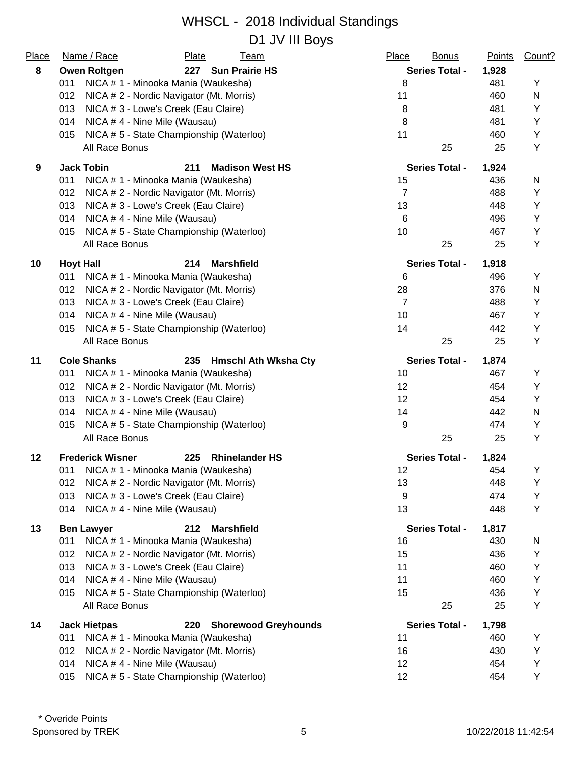#### WHSCL - 2018 Individual Standings D1 JV III Bovs

| Place | Name / Race<br><b>Plate</b><br><b>Team</b>                | Place<br><b>Bonus</b> | <b>Points</b> | Count? |
|-------|-----------------------------------------------------------|-----------------------|---------------|--------|
| 8     | 227 Sun Prairie HS<br><b>Owen Roltgen</b>                 | <b>Series Total -</b> | 1,928         |        |
|       | 011<br>NICA # 1 - Minooka Mania (Waukesha)                | 8                     | 481           | Υ      |
|       | NICA # 2 - Nordic Navigator (Mt. Morris)<br>012           | 11                    | 460           | N      |
|       | 013<br>NICA # 3 - Lowe's Creek (Eau Claire)               | 8                     | 481           | Υ      |
|       | 014<br>NICA #4 - Nine Mile (Wausau)                       | 8                     | 481           | Y      |
|       | NICA #5 - State Championship (Waterloo)<br>015            | 11                    | 460           | Y      |
|       | All Race Bonus                                            | 25                    | 25            | Y      |
| 9     | <b>Jack Tobin</b><br>211<br><b>Madison West HS</b>        | <b>Series Total -</b> | 1,924         |        |
|       | 011<br>NICA # 1 - Minooka Mania (Waukesha)                | 15                    | 436           | N      |
|       | 012<br>NICA # 2 - Nordic Navigator (Mt. Morris)           | $\overline{7}$        | 488           | Υ      |
|       | 013<br>NICA # 3 - Lowe's Creek (Eau Claire)               | 13                    | 448           | Y      |
|       | 014<br>NICA #4 - Nine Mile (Wausau)                       | 6                     | 496           | Υ      |
|       | NICA #5 - State Championship (Waterloo)<br>015            | 10                    | 467           | Y      |
|       | All Race Bonus                                            | 25                    | 25            | Y      |
| 10    | <b>Hoyt Hall</b><br>214<br><b>Marshfield</b>              | <b>Series Total -</b> | 1,918         |        |
|       | NICA # 1 - Minooka Mania (Waukesha)<br>011                | 6                     | 496           | Υ      |
|       | 012<br>NICA # 2 - Nordic Navigator (Mt. Morris)           | 28                    | 376           | N      |
|       | 013<br>NICA # 3 - Lowe's Creek (Eau Claire)               | $\overline{7}$        | 488           | Υ      |
|       | 014<br>NICA #4 - Nine Mile (Wausau)                       | 10                    | 467           | Υ      |
|       | NICA #5 - State Championship (Waterloo)<br>015            | 14                    | 442           | Y      |
|       | All Race Bonus                                            | 25                    | 25            | Y      |
| 11    | <b>Cole Shanks</b><br>235<br><b>Hmschl Ath Wksha Cty</b>  | <b>Series Total -</b> | 1,874         |        |
|       | NICA # 1 - Minooka Mania (Waukesha)<br>011                | 10                    | 467           | Y      |
|       | 012<br>NICA # 2 - Nordic Navigator (Mt. Morris)           | 12                    | 454           | Y      |
|       | 013<br>NICA # 3 - Lowe's Creek (Eau Claire)               | 12                    | 454           | Y      |
|       | 014<br>NICA #4 - Nine Mile (Wausau)                       | 14                    | 442           | N      |
|       | NICA #5 - State Championship (Waterloo)<br>015            | 9                     | 474           | Υ      |
|       | All Race Bonus                                            | 25                    | 25            | Y      |
| 12    | <b>Rhinelander HS</b><br><b>Frederick Wisner</b><br>225   | <b>Series Total -</b> | 1,824         |        |
|       | 011 NICA # 1 - Minooka Mania (Waukesha)                   | 12                    | 454           | Y      |
|       | NICA # 2 - Nordic Navigator (Mt. Morris)<br>012           | 13                    | 448           | Υ      |
|       | 013<br>NICA # 3 - Lowe's Creek (Eau Claire)               | 9                     | 474           | Υ      |
|       | 014<br>NICA #4 - Nine Mile (Wausau)                       | 13                    | 448           | Y      |
| 13    | 212<br><b>Marshfield</b><br><b>Ben Lawyer</b>             | <b>Series Total -</b> | 1,817         |        |
|       | 011<br>NICA # 1 - Minooka Mania (Waukesha)                | 16                    | 430           | N      |
|       | 012<br>NICA # 2 - Nordic Navigator (Mt. Morris)           | 15                    | 436           | Υ      |
|       | 013<br>NICA # 3 - Lowe's Creek (Eau Claire)               | 11                    | 460           | Y      |
|       | 014<br>NICA #4 - Nine Mile (Wausau)                       | 11                    | 460           | Υ      |
|       | NICA #5 - State Championship (Waterloo)<br>015            | 15                    | 436           | Υ      |
|       | All Race Bonus                                            | 25                    | 25            | Y      |
| 14    | <b>Jack Hietpas</b><br><b>Shorewood Greyhounds</b><br>220 | <b>Series Total -</b> | 1,798         |        |
|       | NICA # 1 - Minooka Mania (Waukesha)<br>011                | 11                    | 460           | Y      |
|       | 012<br>NICA # 2 - Nordic Navigator (Mt. Morris)           | 16                    | 430           | Y      |
|       | NICA #4 - Nine Mile (Wausau)<br>014                       | 12                    | 454           | Υ      |
|       | NICA #5 - State Championship (Waterloo)<br>015            | 12                    | 454           | Υ      |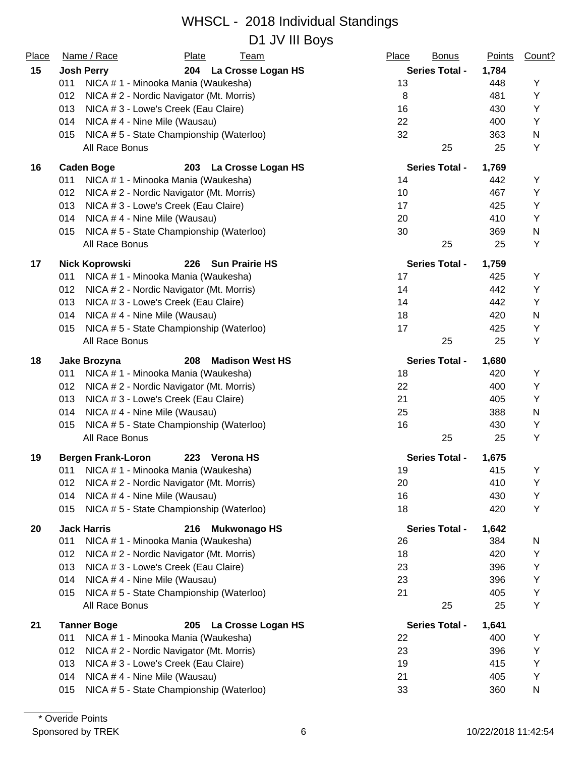D1 JV III Boys

| Place | Name / Race                                 | Plate                                    |  | <b>Team</b>            |       | Place | <b>Bonus</b>          | Points | Count? |
|-------|---------------------------------------------|------------------------------------------|--|------------------------|-------|-------|-----------------------|--------|--------|
| 15    | <b>Josh Perry</b>                           | 204 La Crosse Logan HS                   |  | <b>Series Total -</b>  | 1,784 |       |                       |        |        |
|       | 011                                         | NICA # 1 - Minooka Mania (Waukesha)      |  |                        |       | 13    |                       | 448    | Υ      |
|       | 012                                         | NICA # 2 - Nordic Navigator (Mt. Morris) |  |                        |       | 8     |                       | 481    | Υ      |
|       | 013<br>NICA # 3 - Lowe's Creek (Eau Claire) |                                          |  |                        |       | 16    |                       | 430    | Υ      |
|       | 014                                         | NICA #4 - Nine Mile (Wausau)             |  |                        |       | 22    |                       | 400    | Υ      |
|       | 015                                         | NICA # 5 - State Championship (Waterloo) |  |                        |       | 32    |                       | 363    | N      |
|       | All Race Bonus                              |                                          |  |                        |       |       | 25                    | 25     | Υ      |
| 16    | <b>Caden Boge</b>                           |                                          |  | 203 La Crosse Logan HS |       |       | <b>Series Total -</b> | 1,769  |        |
|       | 011                                         | NICA # 1 - Minooka Mania (Waukesha)      |  |                        |       | 14    |                       | 442    | Υ      |
|       | 012                                         | NICA # 2 - Nordic Navigator (Mt. Morris) |  |                        |       | 10    |                       | 467    | Υ      |
|       | 013                                         | NICA # 3 - Lowe's Creek (Eau Claire)     |  |                        |       | 17    |                       | 425    | Υ      |
|       | 014                                         | NICA #4 - Nine Mile (Wausau)             |  |                        |       | 20    |                       | 410    | Υ      |
|       | 015                                         | NICA #5 - State Championship (Waterloo)  |  |                        |       | 30    |                       | 369    | N      |
|       | All Race Bonus                              |                                          |  |                        |       |       | 25                    | 25     | Υ      |
| 17    | <b>Nick Koprowski</b>                       | 226                                      |  | <b>Sun Prairie HS</b>  |       |       | <b>Series Total -</b> | 1,759  |        |
|       | 011                                         | NICA # 1 - Minooka Mania (Waukesha)      |  |                        |       | 17    |                       | 425    | Υ      |
|       | 012                                         | NICA # 2 - Nordic Navigator (Mt. Morris) |  |                        |       | 14    |                       | 442    | Υ      |
|       | 013                                         | NICA # 3 - Lowe's Creek (Eau Claire)     |  |                        |       | 14    |                       | 442    | Υ      |
|       | 014                                         | NICA #4 - Nine Mile (Wausau)             |  |                        |       | 18    |                       | 420    | N      |
|       | 015                                         | NICA #5 - State Championship (Waterloo)  |  |                        |       | 17    |                       | 425    | Υ      |
|       | All Race Bonus                              |                                          |  |                        |       |       | 25                    | 25     | Υ      |
| 18    | Jake Brozyna                                | 208                                      |  | <b>Madison West HS</b> |       |       | <b>Series Total -</b> | 1,680  |        |
|       | 011                                         | NICA # 1 - Minooka Mania (Waukesha)      |  |                        |       | 18    |                       | 420    | Y      |
|       | 012                                         | NICA # 2 - Nordic Navigator (Mt. Morris) |  |                        |       | 22    |                       | 400    | Υ      |
|       | 013                                         | NICA # 3 - Lowe's Creek (Eau Claire)     |  |                        |       | 21    |                       | 405    | Y      |
|       | 014                                         | NICA #4 - Nine Mile (Wausau)             |  |                        |       | 25    |                       | 388    | N      |
|       | 015                                         | NICA #5 - State Championship (Waterloo)  |  |                        |       | 16    |                       | 430    | Υ      |
|       | All Race Bonus                              |                                          |  |                        |       |       | 25                    | 25     | Υ      |
| 19    | <b>Bergen Frank-Loron</b>                   | 223                                      |  | <b>Verona HS</b>       |       |       | <b>Series Total -</b> | 1,675  |        |
|       | 011 NICA # 1 - Minooka Mania (Waukesha)     |                                          |  |                        |       | 19    |                       | 415    | Υ      |
|       | 012                                         | NICA # 2 - Nordic Navigator (Mt. Morris) |  |                        |       | 20    |                       | 410    | Υ      |
|       | 014                                         | NICA #4 - Nine Mile (Wausau)             |  |                        |       | 16    |                       | 430    | Υ      |
|       | 015                                         | NICA #5 - State Championship (Waterloo)  |  |                        |       | 18    |                       | 420    | Υ      |
| 20    | <b>Jack Harris</b>                          | 216                                      |  | <b>Mukwonago HS</b>    |       |       | <b>Series Total -</b> | 1,642  |        |
|       | 011                                         | NICA # 1 - Minooka Mania (Waukesha)      |  |                        |       | 26    |                       | 384    | N      |
|       | 012                                         | NICA # 2 - Nordic Navigator (Mt. Morris) |  |                        |       | 18    |                       | 420    | Υ      |
|       | 013                                         | NICA # 3 - Lowe's Creek (Eau Claire)     |  |                        |       | 23    |                       | 396    | Υ      |
|       | 014                                         | NICA #4 - Nine Mile (Wausau)             |  |                        |       | 23    |                       | 396    | Υ      |
|       | 015                                         | NICA #5 - State Championship (Waterloo)  |  |                        |       | 21    |                       | 405    | Υ      |
|       | All Race Bonus                              |                                          |  |                        |       |       | 25                    | 25     | Υ      |
| 21    | <b>Tanner Boge</b>                          | 205                                      |  | La Crosse Logan HS     |       |       | <b>Series Total -</b> | 1,641  |        |
|       | 011                                         | NICA # 1 - Minooka Mania (Waukesha)      |  |                        |       | 22    |                       | 400    | Υ      |
|       | 012                                         | NICA # 2 - Nordic Navigator (Mt. Morris) |  |                        |       | 23    |                       | 396    | Υ      |
|       | 013                                         | NICA # 3 - Lowe's Creek (Eau Claire)     |  |                        |       | 19    |                       | 415    | Υ      |
|       | 014                                         | NICA #4 - Nine Mile (Wausau)             |  |                        |       | 21    |                       | 405    | Υ      |
|       | 015                                         | NICA #5 - State Championship (Waterloo)  |  |                        |       | 33    |                       | 360    | N      |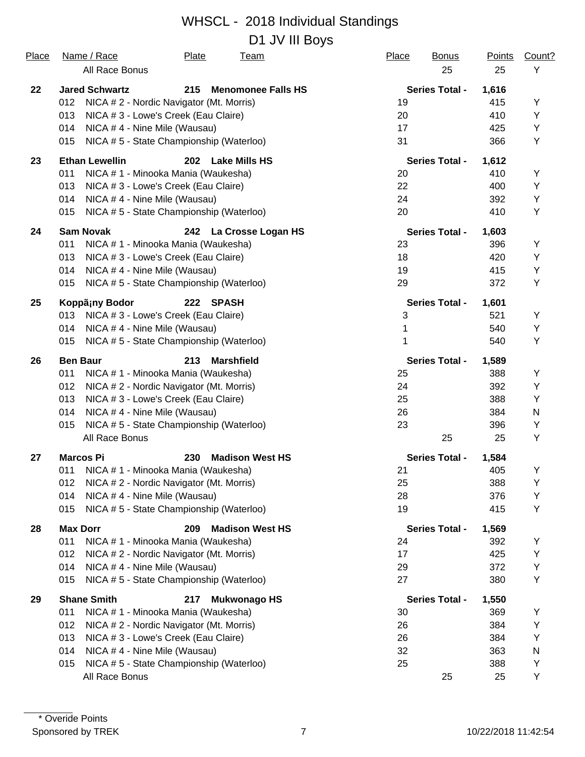#### WHSCL - 2018 Individual Standings D1 JV III Boys

| Place | Name / Race<br>All Race Bonus       | Plate<br><b>Team</b>                     | Place<br><b>Bonus</b><br>25 | <b>Points</b><br>25 | Count?<br>Υ |
|-------|-------------------------------------|------------------------------------------|-----------------------------|---------------------|-------------|
| 22    | <b>Jared Schwartz</b>               | 215<br><b>Menomonee Falls HS</b>         | <b>Series Total -</b>       | 1,616               |             |
|       | 012                                 | NICA # 2 - Nordic Navigator (Mt. Morris) | 19                          | 415                 | Υ           |
|       | 013                                 | NICA # 3 - Lowe's Creek (Eau Claire)     | 20                          | 410                 | Y           |
|       | 014<br>NICA #4 - Nine Mile (Wausau) |                                          | 17                          | 425                 | Y           |
|       | 015                                 | NICA #5 - State Championship (Waterloo)  | 31                          | 366                 | Y           |
| 23    | <b>Ethan Lewellin</b>               | 202<br><b>Lake Mills HS</b>              | <b>Series Total -</b>       | 1,612               |             |
|       | 011                                 | NICA # 1 - Minooka Mania (Waukesha)      | 20                          | 410                 | Y           |
|       | 013                                 | NICA # 3 - Lowe's Creek (Eau Claire)     | 22                          | 400                 | Y           |
|       | 014<br>NICA #4 - Nine Mile (Wausau) |                                          | 24                          | 392                 | Y           |
|       | 015                                 | NICA #5 - State Championship (Waterloo)  | 20                          | 410                 | Y           |
| 24    | <b>Sam Novak</b>                    | 242<br>La Crosse Logan HS                | <b>Series Total -</b>       | 1,603               |             |
|       | 011                                 | NICA # 1 - Minooka Mania (Waukesha)      | 23                          | 396                 | Υ           |
|       | 013                                 | NICA # 3 - Lowe's Creek (Eau Claire)     | 18                          | 420                 | Y           |
|       | NICA #4 - Nine Mile (Wausau)<br>014 |                                          | 19                          | 415                 | Υ           |
|       | 015                                 | NICA #5 - State Championship (Waterloo)  | 29                          | 372                 | Y           |
| 25    | Koppäiny Bodor                      | <b>SPASH</b><br>222                      | <b>Series Total -</b>       | 1,601               |             |
|       | 013                                 | NICA # 3 - Lowe's Creek (Eau Claire)     | 3                           | 521                 | Υ           |
|       | NICA #4 - Nine Mile (Wausau)<br>014 |                                          | 1                           | 540                 | Υ           |
|       | 015                                 | NICA #5 - State Championship (Waterloo)  | 1                           | 540                 | Y           |
| 26    | <b>Ben Baur</b>                     | 213<br><b>Marshfield</b>                 | <b>Series Total -</b>       | 1,589               |             |
|       | 011                                 | NICA # 1 - Minooka Mania (Waukesha)      | 25                          | 388                 | Υ           |
|       | 012                                 | NICA # 2 - Nordic Navigator (Mt. Morris) | 24                          | 392                 | Y           |
|       | 013                                 | NICA # 3 - Lowe's Creek (Eau Claire)     | 25                          | 388                 | Y           |
|       | 014<br>NICA #4 - Nine Mile (Wausau) |                                          | 26                          | 384                 | N           |
|       | 015                                 | NICA #5 - State Championship (Waterloo)  | 23                          | 396                 | Υ           |
|       | All Race Bonus                      |                                          | 25                          | 25                  | Y           |
| 27    | <b>Marcos Pi</b>                    | <b>Madison West HS</b><br>230            | <b>Series Total -</b>       | 1,584               |             |
|       | 011                                 | NICA #1 - Minooka Mania (Waukesha)       | 21                          | 405                 | Υ           |
|       | 012                                 | NICA # 2 - Nordic Navigator (Mt. Morris) | 25                          | 388                 | Y           |
|       | 014<br>NICA #4 - Nine Mile (Wausau) |                                          | 28                          | 376                 | Y           |
|       | 015                                 | NICA #5 - State Championship (Waterloo)  | 19                          | 415                 | Υ           |
| 28    | <b>Max Dorr</b>                     | <b>Madison West HS</b><br>209            | <b>Series Total -</b>       | 1,569               |             |
|       | 011                                 | NICA # 1 - Minooka Mania (Waukesha)      | 24                          | 392                 | Υ           |
|       | 012                                 | NICA # 2 - Nordic Navigator (Mt. Morris) | 17                          | 425                 | Y           |
|       | 014<br>NICA #4 - Nine Mile (Wausau) |                                          | 29                          | 372                 | Υ           |
|       | 015                                 | NICA #5 - State Championship (Waterloo)  | 27                          | 380                 | Y           |
| 29    | <b>Shane Smith</b>                  | <b>Mukwonago HS</b><br>217               | <b>Series Total -</b>       | 1,550               |             |
|       | 011                                 | NICA # 1 - Minooka Mania (Waukesha)      | 30                          | 369                 | Y           |
|       | 012                                 | NICA # 2 - Nordic Navigator (Mt. Morris) | 26                          | 384                 | Υ           |
|       | 013                                 | NICA # 3 - Lowe's Creek (Eau Claire)     | 26                          | 384                 | Υ           |
|       | NICA #4 - Nine Mile (Wausau)<br>014 |                                          | 32                          | 363                 | N           |
|       | 015                                 | NICA #5 - State Championship (Waterloo)  | 25                          | 388                 | Υ           |
|       | All Race Bonus                      |                                          | 25                          | 25                  | Υ           |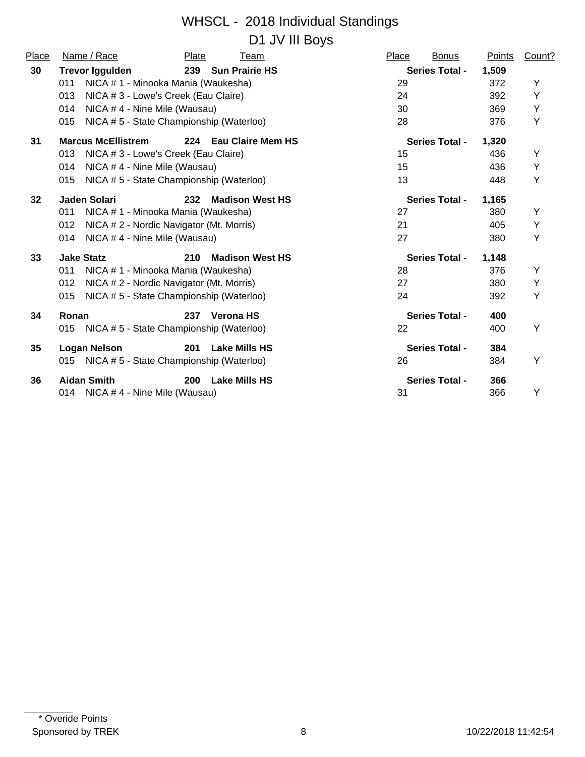#### WHSCL - 2018 Individual Standings D1 JV III Bovs

| Place | Name / Race                                     | Plate | Team                     | Place | <b>Bonus</b>          | Points | Count? |
|-------|-------------------------------------------------|-------|--------------------------|-------|-----------------------|--------|--------|
| 30    | <b>Trevor Iggulden</b>                          |       | 239 Sun Prairie HS       |       | <b>Series Total -</b> | 1,509  |        |
|       | NICA # 1 - Minooka Mania (Waukesha)<br>011      |       |                          | 29    |                       | 372    | Y      |
|       | NICA # 3 - Lowe's Creek (Eau Claire)<br>013     |       |                          | 24    |                       | 392    | Y      |
|       | 014<br>NICA #4 - Nine Mile (Wausau)             |       |                          | 30    |                       | 369    | Υ      |
|       | NICA #5 - State Championship (Waterloo)<br>015  |       |                          | 28    |                       | 376    | Y      |
| 31    | <b>Marcus McEllistrem</b>                       | 224   | <b>Eau Claire Mem HS</b> |       | <b>Series Total -</b> | 1,320  |        |
|       | NICA # 3 - Lowe's Creek (Eau Claire)<br>013     |       |                          | 15    |                       | 436    | Y      |
|       | NICA #4 - Nine Mile (Wausau)<br>014             |       |                          | 15    |                       | 436    | Y      |
|       | NICA # 5 - State Championship (Waterloo)<br>015 |       |                          | 13    |                       | 448    | Y      |
| 32    | <b>Jaden Solari</b>                             | 232   | <b>Madison West HS</b>   |       | <b>Series Total -</b> | 1,165  |        |
|       | NICA # 1 - Minooka Mania (Waukesha)<br>011      |       |                          | 27    |                       | 380    | Y      |
|       | NICA # 2 - Nordic Navigator (Mt. Morris)<br>012 |       |                          | 21    |                       | 405    | Y      |
|       | NICA #4 - Nine Mile (Wausau)<br>014             |       |                          | 27    |                       | 380    | Y      |
| 33    | <b>Jake Statz</b>                               | 210   | <b>Madison West HS</b>   |       | <b>Series Total -</b> | 1,148  |        |
|       | 011<br>NICA # 1 - Minooka Mania (Waukesha)      |       |                          | 28    |                       | 376    | Y      |
|       | NICA # 2 - Nordic Navigator (Mt. Morris)<br>012 |       |                          | 27    |                       | 380    | Y      |
|       | NICA #5 - State Championship (Waterloo)<br>015  |       |                          | 24    |                       | 392    | Υ      |
| 34    | Ronan                                           | 237   | <b>Verona HS</b>         |       | <b>Series Total -</b> | 400    |        |
|       | NICA #5 - State Championship (Waterloo)<br>015  |       |                          | 22    |                       | 400    | Y      |
| 35    | <b>Logan Nelson</b>                             | 201   | <b>Lake Mills HS</b>     |       | <b>Series Total -</b> | 384    |        |
|       | 015 NICA # 5 - State Championship (Waterloo)    |       |                          | 26    |                       | 384    | Υ      |
| 36    | <b>Aidan Smith</b>                              | 200   | <b>Lake Mills HS</b>     |       | <b>Series Total -</b> | 366    |        |
|       | 014 NICA # 4 - Nine Mile (Wausau)               |       |                          | 31    |                       | 366    | Υ      |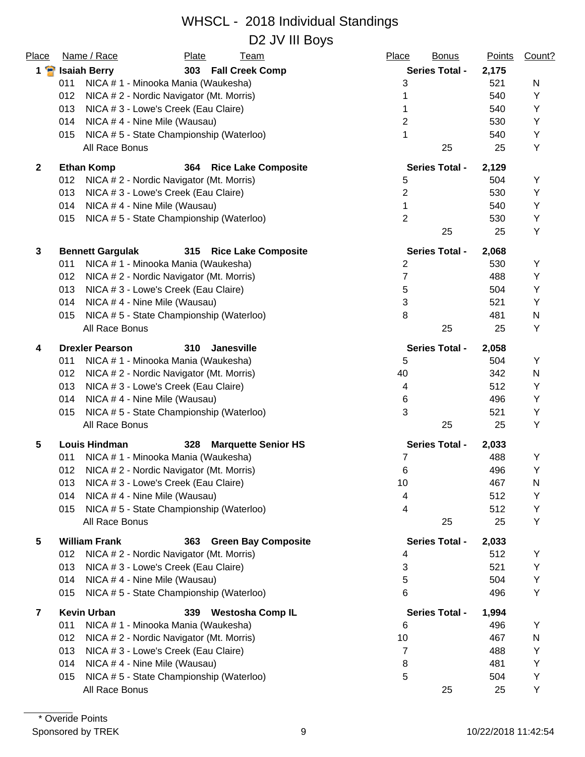| Place          | Name / Race<br><b>Plate</b><br><b>Team</b>                | Place<br><b>Bonus</b> | <b>Points</b> | Count? |
|----------------|-----------------------------------------------------------|-----------------------|---------------|--------|
| $1 \bullet$    | <b>Isaiah Berry</b><br>303 Fall Creek Comp                | <b>Series Total -</b> | 2,175         |        |
|                | 011<br>NICA # 1 - Minooka Mania (Waukesha)                | 3                     | 521           | N      |
|                | 012<br>NICA # 2 - Nordic Navigator (Mt. Morris)           |                       | 540           | Υ      |
|                | 013<br>NICA # 3 - Lowe's Creek (Eau Claire)               | 1                     | 540           | Y      |
|                | 014<br>NICA #4 - Nine Mile (Wausau)                       | $\overline{2}$        | 530           | Y      |
|                | NICA #5 - State Championship (Waterloo)<br>015            | 1                     | 540           | Υ      |
|                | All Race Bonus                                            | 25                    | 25            | Y      |
| $\mathbf{2}$   | <b>Ethan Komp</b><br>364<br><b>Rice Lake Composite</b>    | <b>Series Total -</b> | 2,129         |        |
|                | 012<br>NICA # 2 - Nordic Navigator (Mt. Morris)           | 5                     | 504           | Y      |
|                | 013<br>NICA # 3 - Lowe's Creek (Eau Claire)               | $\overline{2}$        | 530           | Υ      |
|                | 014<br>NICA #4 - Nine Mile (Wausau)                       | 1                     | 540           | Y      |
|                | NICA #5 - State Championship (Waterloo)<br>015            | $\overline{2}$        | 530           | Y      |
|                |                                                           | 25                    | 25            | Y      |
| 3              | <b>Bennett Gargulak</b><br>315 Rice Lake Composite        | <b>Series Total -</b> | 2,068         |        |
|                | NICA # 1 - Minooka Mania (Waukesha)<br>011                | $\overline{2}$        | 530           | Y      |
|                | 012<br>NICA # 2 - Nordic Navigator (Mt. Morris)           | $\overline{7}$        | 488           | Y      |
|                | 013<br>NICA # 3 - Lowe's Creek (Eau Claire)               | 5                     | 504           | Y      |
|                | 014<br>NICA #4 - Nine Mile (Wausau)                       | 3                     | 521           | Y      |
|                | NICA #5 - State Championship (Waterloo)<br>015            | 8                     | 481           | N      |
|                | All Race Bonus                                            | 25                    | 25            | Υ      |
| 4              | <b>Drexler Pearson</b><br>310<br><b>Janesville</b>        | <b>Series Total -</b> | 2,058         |        |
|                | 011<br>NICA # 1 - Minooka Mania (Waukesha)                | 5                     | 504           | Υ      |
|                | 012<br>NICA # 2 - Nordic Navigator (Mt. Morris)           | 40                    | 342           | N      |
|                | 013<br>NICA # 3 - Lowe's Creek (Eau Claire)               | 4                     | 512           | Υ      |
|                | 014<br>NICA #4 - Nine Mile (Wausau)                       | 6                     | 496           | Y      |
|                | NICA #5 - State Championship (Waterloo)<br>015            | 3                     | 521           | Y      |
|                | All Race Bonus                                            | 25                    | 25            | Y      |
| 5              | 328<br><b>Louis Hindman</b><br><b>Marquette Senior HS</b> | <b>Series Total -</b> | 2,033         |        |
|                | NICA # 1 - Minooka Mania (Waukesha)<br>011                | 7                     | 488           | Y      |
|                | 012<br>NICA # 2 - Nordic Navigator (Mt. Morris)           | 6                     | 496           | Υ      |
|                | NICA # 3 - Lowe's Creek (Eau Claire)<br>013               | 10                    | 467           | N      |
|                | 014<br>NICA #4 - Nine Mile (Wausau)                       | 4                     | 512           | Y      |
|                | NICA #5 - State Championship (Waterloo)<br>015            | 4                     | 512           | Υ      |
|                | All Race Bonus                                            | 25                    | 25            | Y      |
| 5              | <b>William Frank</b><br><b>Green Bay Composite</b><br>363 | <b>Series Total -</b> | 2,033         |        |
|                | 012<br>NICA # 2 - Nordic Navigator (Mt. Morris)           | 4                     | 512           | Υ      |
|                | 013<br>NICA # 3 - Lowe's Creek (Eau Claire)               | 3                     | 521           | Y      |
|                | NICA #4 - Nine Mile (Wausau)<br>014                       | 5                     | 504           | Y      |
|                | NICA #5 - State Championship (Waterloo)<br>015            | 6                     | 496           | Y      |
| $\overline{7}$ | <b>Kevin Urban</b><br>339<br><b>Westosha Comp IL</b>      | <b>Series Total -</b> | 1,994         |        |
|                | NICA # 1 - Minooka Mania (Waukesha)<br>011                | 6                     | 496           | Y      |
|                | 012<br>NICA # 2 - Nordic Navigator (Mt. Morris)           | 10                    | 467           | N      |
|                | 013<br>NICA # 3 - Lowe's Creek (Eau Claire)               | $\overline{7}$        | 488           | Υ      |
|                | NICA #4 - Nine Mile (Wausau)<br>014                       | 8                     | 481           | Υ      |
|                | NICA #5 - State Championship (Waterloo)<br>015            | 5                     | 504           | Y      |
|                | All Race Bonus                                            | 25                    | 25            | Υ      |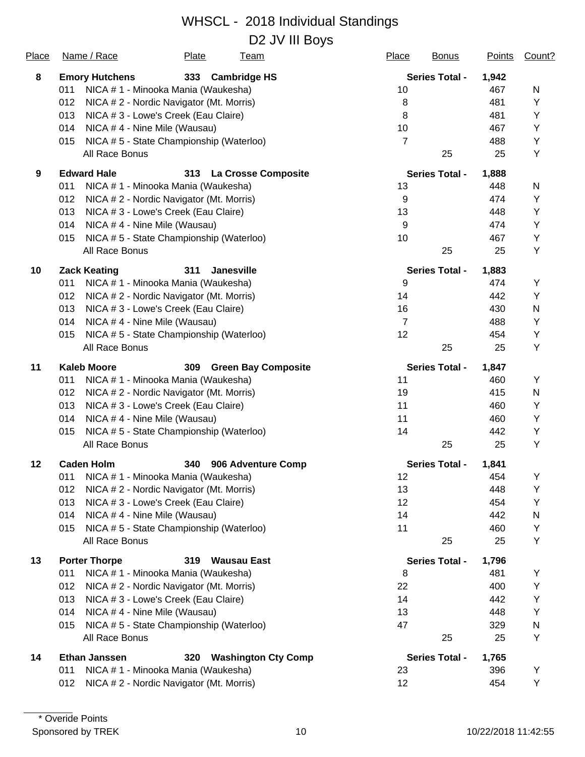D2 JV III Boys

| <u>Place</u> | Name / Race                                     | <b>Plate</b> | <u>Team</u>                | <b>Place</b>   | <b>Bonus</b>          | <b>Points</b> | Count?    |
|--------------|-------------------------------------------------|--------------|----------------------------|----------------|-----------------------|---------------|-----------|
| 8            | <b>Emory Hutchens</b>                           | 333          | <b>Cambridge HS</b>        |                | <b>Series Total -</b> | 1,942         |           |
|              | NICA # 1 - Minooka Mania (Waukesha)<br>011      |              |                            | 10             |                       | 467           | N         |
|              | 012<br>NICA # 2 - Nordic Navigator (Mt. Morris) |              |                            | 8              |                       | 481           | Y         |
|              | 013<br>NICA # 3 - Lowe's Creek (Eau Claire)     |              |                            | 8              |                       | 481           | Υ         |
|              | 014<br>NICA #4 - Nine Mile (Wausau)             |              |                            | 10             |                       | 467           | Υ         |
|              | NICA #5 - State Championship (Waterloo)<br>015  |              |                            | $\overline{7}$ |                       | 488           | Υ         |
|              | All Race Bonus                                  |              |                            |                | 25                    | 25            | Υ         |
| 9            | <b>Edward Hale</b>                              | 313          | <b>La Crosse Composite</b> |                | <b>Series Total -</b> | 1,888         |           |
|              | 011<br>NICA # 1 - Minooka Mania (Waukesha)      |              |                            | 13             |                       | 448           | N         |
|              | 012<br>NICA # 2 - Nordic Navigator (Mt. Morris) |              |                            | $9\,$          |                       | 474           | Υ         |
|              | 013<br>NICA # 3 - Lowe's Creek (Eau Claire)     |              |                            | 13             |                       | 448           | Y         |
|              | 014<br>NICA #4 - Nine Mile (Wausau)             |              |                            | $9\,$          |                       | 474           | Y         |
|              | NICA #5 - State Championship (Waterloo)<br>015  |              |                            | 10             |                       | 467           | Υ         |
|              | All Race Bonus                                  |              |                            |                | 25                    | 25            | Y         |
| 10           | <b>Zack Keating</b>                             | 311          | <b>Janesville</b>          |                | <b>Series Total -</b> | 1,883         |           |
|              | NICA # 1 - Minooka Mania (Waukesha)<br>011      |              |                            | 9              |                       | 474           | Y         |
|              | 012<br>NICA # 2 - Nordic Navigator (Mt. Morris) |              |                            | 14             |                       | 442           | Y         |
|              | 013<br>NICA # 3 - Lowe's Creek (Eau Claire)     |              |                            | 16             |                       | 430           | N         |
|              | 014<br>NICA #4 - Nine Mile (Wausau)             |              |                            | $\overline{7}$ |                       | 488           | Υ         |
|              | NICA #5 - State Championship (Waterloo)<br>015  |              |                            | 12             |                       | 454           | Υ         |
|              | All Race Bonus                                  |              |                            |                | 25                    | 25            | Υ         |
| 11           | <b>Kaleb Moore</b>                              | 309          | <b>Green Bay Composite</b> |                | <b>Series Total -</b> | 1,847         |           |
|              | NICA # 1 - Minooka Mania (Waukesha)<br>011      |              |                            | 11             |                       | 460           | Y         |
|              | 012<br>NICA # 2 - Nordic Navigator (Mt. Morris) |              |                            | 19             |                       | 415           | ${\sf N}$ |
|              | 013<br>NICA #3 - Lowe's Creek (Eau Claire)      |              |                            | 11             |                       | 460           | Υ         |
|              | NICA #4 - Nine Mile (Wausau)<br>014             |              |                            | 11             |                       | 460           | Υ         |
|              | NICA #5 - State Championship (Waterloo)<br>015  |              |                            | 14             |                       | 442           | Υ         |
|              | All Race Bonus                                  |              |                            |                | 25                    | 25            | Y         |
| $12 \,$      | <b>Caden Holm</b>                               | 340          | 906 Adventure Comp         |                | <b>Series Total -</b> | 1,841         |           |
|              | NICA # 1 - Minooka Mania (Waukesha)<br>011      |              |                            | 12             |                       | 454           | Υ         |
|              | NICA # 2 - Nordic Navigator (Mt. Morris)<br>012 |              |                            | 13             |                       | 448           | Y         |
|              | 013<br>NICA # 3 - Lowe's Creek (Eau Claire)     |              |                            | 12             |                       | 454           | Υ         |
|              | 014<br>NICA #4 - Nine Mile (Wausau)             |              |                            | 14             |                       | 442           | N         |
|              | NICA #5 - State Championship (Waterloo)<br>015  |              |                            | 11             |                       | 460           | Υ         |
|              | All Race Bonus                                  |              |                            |                | 25                    | 25            | Υ         |
| 13           | <b>Porter Thorpe</b>                            | 319          | <b>Wausau East</b>         |                | <b>Series Total -</b> | 1,796         |           |
|              | 011<br>NICA # 1 - Minooka Mania (Waukesha)      |              |                            | 8              |                       | 481           | Y         |
|              | 012<br>NICA # 2 - Nordic Navigator (Mt. Morris) |              |                            | 22             |                       | 400           | Y         |
|              | 013<br>NICA # 3 - Lowe's Creek (Eau Claire)     |              |                            | 14             |                       | 442           | Y         |
|              | NICA #4 - Nine Mile (Wausau)<br>014             |              |                            | 13             |                       | 448           | Y         |
|              | NICA #5 - State Championship (Waterloo)<br>015  |              |                            | 47             |                       | 329           | N         |
|              | All Race Bonus                                  |              |                            |                | 25                    | 25            | Υ         |
| 14           | <b>Ethan Janssen</b>                            | 320          | <b>Washington Cty Comp</b> |                | <b>Series Total -</b> | 1,765         |           |
|              | NICA # 1 - Minooka Mania (Waukesha)<br>011      |              |                            | 23             |                       | 396           | Υ         |
|              | 012<br>NICA # 2 - Nordic Navigator (Mt. Morris) |              |                            | 12             |                       | 454           | Υ         |
|              |                                                 |              |                            |                |                       |               |           |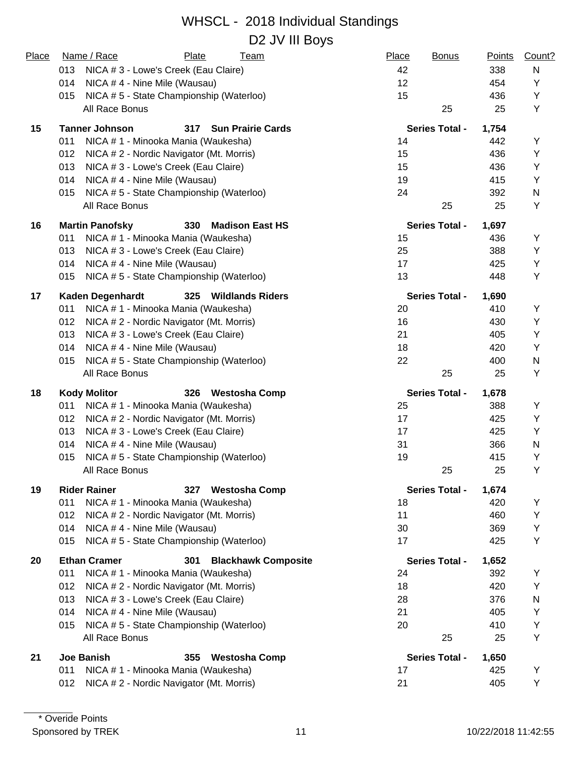| Place | Name / Race<br>Plate<br><b>Team</b>                       | Place<br><b>Bonus</b> | <b>Points</b> | Count? |
|-------|-----------------------------------------------------------|-----------------------|---------------|--------|
|       | NICA # 3 - Lowe's Creek (Eau Claire)<br>013               | 42                    | 338           | N      |
|       | 014<br>NICA #4 - Nine Mile (Wausau)                       | 12                    | 454           | Y      |
|       | NICA # 5 - State Championship (Waterloo)<br>015           | 15                    | 436           | Y      |
|       | All Race Bonus                                            | 25                    | 25            | Y      |
| 15    | <b>Tanner Johnson</b><br>317<br><b>Sun Prairie Cards</b>  | <b>Series Total -</b> | 1,754         |        |
|       | 011<br>NICA # 1 - Minooka Mania (Waukesha)                | 14                    | 442           | Y      |
|       | 012<br>NICA # 2 - Nordic Navigator (Mt. Morris)           | 15                    | 436           | Y      |
|       | 013<br>NICA # 3 - Lowe's Creek (Eau Claire)               | 15                    | 436           | Y      |
|       | 014<br>NICA #4 - Nine Mile (Wausau)                       | 19                    | 415           | Υ      |
|       | NICA #5 - State Championship (Waterloo)<br>015            | 24                    | 392           | N      |
|       | All Race Bonus                                            | 25                    | 25            | Υ      |
| 16    | <b>Martin Panofsky</b><br>330<br><b>Madison East HS</b>   | <b>Series Total -</b> | 1,697         |        |
|       | 011<br>NICA # 1 - Minooka Mania (Waukesha)                | 15                    | 436           | Y      |
|       | 013<br>NICA # 3 - Lowe's Creek (Eau Claire)               | 25                    | 388           | Υ      |
|       | 014<br>NICA #4 - Nine Mile (Wausau)                       | 17                    | 425           | Y      |
|       | NICA #5 - State Championship (Waterloo)<br>015            | 13                    | 448           | Y      |
| 17    | <b>Kaden Degenhardt</b><br>325<br><b>Wildlands Riders</b> | <b>Series Total -</b> | 1,690         |        |
|       | 011<br>NICA # 1 - Minooka Mania (Waukesha)                | 20                    | 410           | Y      |
|       | 012<br>NICA # 2 - Nordic Navigator (Mt. Morris)           | 16                    | 430           | Y      |
|       | 013<br>NICA # 3 - Lowe's Creek (Eau Claire)               | 21                    | 405           | Y      |
|       | 014<br>NICA #4 - Nine Mile (Wausau)                       | 18                    | 420           | Y      |
|       | NICA #5 - State Championship (Waterloo)<br>015            | 22                    | 400           | N      |
|       | All Race Bonus                                            | 25                    | 25            | Y      |
| 18    | <b>Kody Molitor</b><br>326<br><b>Westosha Comp</b>        | <b>Series Total -</b> | 1,678         |        |
|       | 011<br>NICA # 1 - Minooka Mania (Waukesha)                | 25                    | 388           | Υ      |
|       | 012<br>NICA # 2 - Nordic Navigator (Mt. Morris)           | 17                    | 425           | Υ      |
|       | 013<br>NICA # 3 - Lowe's Creek (Eau Claire)               | 17                    | 425           | Y      |
|       | 014<br>NICA #4 - Nine Mile (Wausau)                       | 31                    | 366           | N      |
|       | NICA #5 - State Championship (Waterloo)<br>015            | 19                    | 415           | Y      |
|       | All Race Bonus                                            | 25                    | 25            | Υ      |
| 19    | <b>Rider Rainer</b><br>327<br><b>Westosha Comp</b>        | <b>Series Total -</b> | 1,674         |        |
|       | 011<br>NICA # 1 - Minooka Mania (Waukesha)                | 18                    | 420           | Υ      |
|       | 012<br>NICA # 2 - Nordic Navigator (Mt. Morris)           | 11                    | 460           | Υ      |
|       | 014<br>NICA #4 - Nine Mile (Wausau)                       | 30                    | 369           | Y      |
|       | NICA #5 - State Championship (Waterloo)<br>015            | 17                    | 425           | Y      |
| 20    | <b>Ethan Cramer</b><br>301<br><b>Blackhawk Composite</b>  | <b>Series Total -</b> | 1,652         |        |
|       | 011<br>NICA # 1 - Minooka Mania (Waukesha)                | 24                    | 392           | Υ      |
|       | 012<br>NICA # 2 - Nordic Navigator (Mt. Morris)           | 18                    | 420           | Y      |
|       | 013<br>NICA # 3 - Lowe's Creek (Eau Claire)               | 28                    | 376           | N      |
|       | 014<br>NICA #4 - Nine Mile (Wausau)                       | 21                    | 405           | Υ      |
|       | NICA #5 - State Championship (Waterloo)<br>015            | 20                    | 410           | Υ      |
|       | All Race Bonus                                            | 25                    | 25            | Y      |
| 21    | <b>Joe Banish</b><br>355<br><b>Westosha Comp</b>          | <b>Series Total -</b> | 1,650         |        |
|       | 011<br>NICA # 1 - Minooka Mania (Waukesha)                | 17                    | 425           | Υ      |
|       | 012<br>NICA # 2 - Nordic Navigator (Mt. Morris)           | 21                    | 405           | Y      |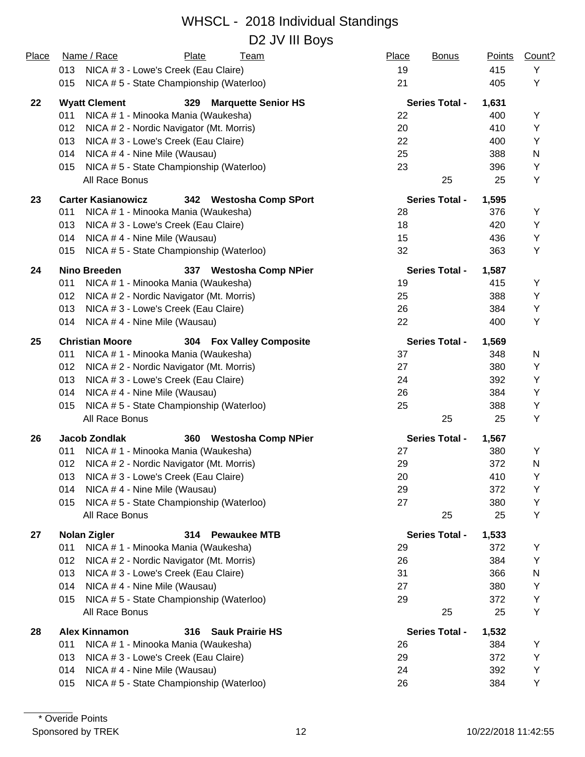| Place | Name / Race<br>Plate<br><u>Team</u>                            | Place<br><b>Bonus</b> | <b>Points</b> | Count? |
|-------|----------------------------------------------------------------|-----------------------|---------------|--------|
|       | 013<br>NICA # 3 - Lowe's Creek (Eau Claire)                    | 19                    | 415           | Υ      |
|       | 015<br>NICA #5 - State Championship (Waterloo)                 | 21                    | 405           | Y      |
| 22    | <b>Wyatt Clement</b><br>329<br><b>Marquette Senior HS</b>      | <b>Series Total -</b> | 1,631         |        |
|       | 011<br>NICA # 1 - Minooka Mania (Waukesha)                     | 22                    | 400           | Y      |
|       | 012<br>NICA # 2 - Nordic Navigator (Mt. Morris)                | 20                    | 410           | Y      |
|       | 013<br>NICA # 3 - Lowe's Creek (Eau Claire)                    | 22                    | 400           | Y      |
|       | 014<br>NICA #4 - Nine Mile (Wausau)                            | 25                    | 388           | N      |
|       | NICA #5 - State Championship (Waterloo)<br>015                 | 23                    | 396           | Υ      |
|       | All Race Bonus                                                 | 25                    | 25            | Υ      |
| 23    | <b>Carter Kasianowicz</b><br>342<br><b>Westosha Comp SPort</b> | <b>Series Total -</b> | 1,595         |        |
|       | NICA # 1 - Minooka Mania (Waukesha)<br>011                     | 28                    | 376           | Y      |
|       | 013<br>NICA # 3 - Lowe's Creek (Eau Claire)                    | 18                    | 420           | Υ      |
|       | NICA #4 - Nine Mile (Wausau)<br>014                            | 15                    | 436           | Υ      |
|       | NICA #5 - State Championship (Waterloo)<br>015                 | 32                    | 363           | Υ      |
| 24    | <b>Nino Breeden</b><br><b>Westosha Comp NPier</b><br>337       | <b>Series Total -</b> | 1,587         |        |
|       | NICA # 1 - Minooka Mania (Waukesha)<br>011                     | 19                    | 415           | Υ      |
|       | 012<br>NICA # 2 - Nordic Navigator (Mt. Morris)                | 25                    | 388           | Y      |
|       | 013<br>NICA # 3 - Lowe's Creek (Eau Claire)                    | 26                    | 384           | Y      |
|       | NICA #4 - Nine Mile (Wausau)<br>014                            | 22                    | 400           | Y      |
| 25    | <b>Christian Moore</b><br>304 Fox Valley Composite             | <b>Series Total -</b> | 1,569         |        |
|       | 011<br>NICA # 1 - Minooka Mania (Waukesha)                     | 37                    | 348           | N      |
|       | 012<br>NICA # 2 - Nordic Navigator (Mt. Morris)                | 27                    | 380           | Y      |
|       | 013<br>NICA # 3 - Lowe's Creek (Eau Claire)                    | 24                    | 392           | Y      |
|       | NICA # 4 - Nine Mile (Wausau)<br>014                           | 26                    | 384           | Y      |
|       | NICA #5 - State Championship (Waterloo)<br>015                 | 25                    | 388           | Y      |
|       | All Race Bonus                                                 | 25                    | 25            | Υ      |
| 26    | <b>Jacob Zondlak</b><br>360<br><b>Westosha Comp NPier</b>      | <b>Series Total -</b> | 1,567         |        |
|       | NICA # 1 - Minooka Mania (Waukesha)<br>011                     | 27                    | 380           | Y      |
|       | NICA # 2 - Nordic Navigator (Mt. Morris)<br>012                | 29                    | 372           | N      |
|       | NICA # 3 - Lowe's Creek (Eau Claire)<br>013                    | 20                    | 410           | Υ      |
|       | NICA #4 - Nine Mile (Wausau)<br>014                            | 29                    | 372           | Y      |
|       | NICA #5 - State Championship (Waterloo)<br>015                 | 27                    | 380           | Υ      |
|       | All Race Bonus                                                 | 25                    | 25            | Y      |
| 27    | <b>Nolan Zigler</b><br>314 Pewaukee MTB                        | <b>Series Total -</b> | 1,533         |        |
|       | 011<br>NICA # 1 - Minooka Mania (Waukesha)                     | 29                    | 372           | Υ      |
|       | 012<br>NICA # 2 - Nordic Navigator (Mt. Morris)                | 26                    | 384           | Y      |
|       | 013<br>NICA # 3 - Lowe's Creek (Eau Claire)                    | 31                    | 366           | N      |
|       | 014<br>NICA #4 - Nine Mile (Wausau)                            | 27                    | 380           | Υ      |
|       | NICA #5 - State Championship (Waterloo)<br>015                 | 29                    | 372           | Y      |
|       | All Race Bonus                                                 | 25                    | 25            | Υ      |
| 28    | <b>Alex Kinnamon</b><br>316<br><b>Sauk Prairie HS</b>          | <b>Series Total -</b> | 1,532         |        |
|       | 011<br>NICA # 1 - Minooka Mania (Waukesha)                     | 26                    | 384           | Y      |
|       | 013<br>NICA # 3 - Lowe's Creek (Eau Claire)                    | 29                    | 372           | Υ      |
|       | 014<br>NICA #4 - Nine Mile (Wausau)                            | 24                    | 392           | Y      |
|       | NICA # 5 - State Championship (Waterloo)<br>015                | 26                    | 384           | Υ      |
|       |                                                                |                       |               |        |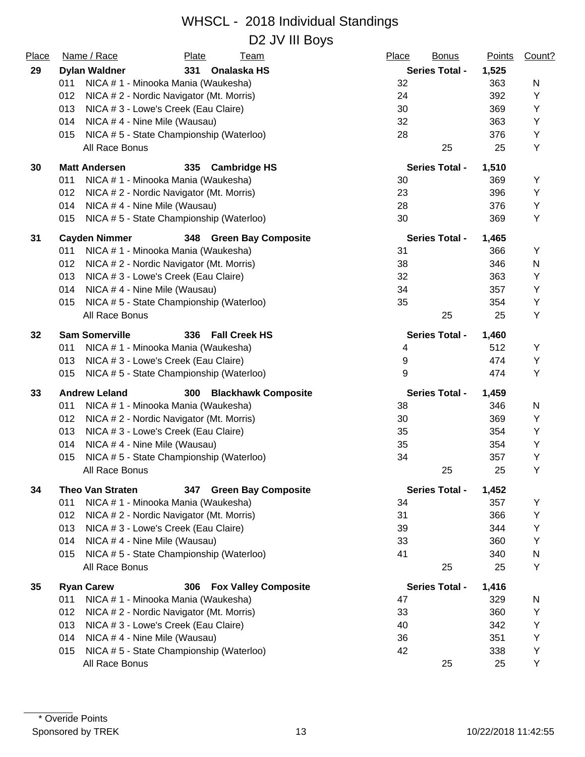| Place | Name / Race<br>Plate<br>Team                                 | Place<br><b>Bonus</b> | <b>Points</b> | Count? |
|-------|--------------------------------------------------------------|-----------------------|---------------|--------|
| 29    | <b>Dylan Waldner</b><br>Onalaska HS<br>331                   | <b>Series Total -</b> | 1,525         |        |
|       | NICA # 1 - Minooka Mania (Waukesha)<br>011                   | 32                    | 363           | N      |
|       | 012<br>NICA # 2 - Nordic Navigator (Mt. Morris)              | 24                    | 392           | Υ      |
|       | 013<br>NICA # 3 - Lowe's Creek (Eau Claire)                  | 30                    | 369           | Υ      |
|       | 014<br>NICA #4 - Nine Mile (Wausau)                          | 32                    | 363           | Υ      |
|       | NICA # 5 - State Championship (Waterloo)<br>015              | 28                    | 376           | Υ      |
|       | All Race Bonus                                               | 25                    | 25            | Υ      |
| 30    | <b>Matt Andersen</b><br>335<br><b>Cambridge HS</b>           | <b>Series Total -</b> | 1,510         |        |
|       | 011<br>NICA # 1 - Minooka Mania (Waukesha)                   | 30                    | 369           | Υ      |
|       | NICA # 2 - Nordic Navigator (Mt. Morris)<br>012              | 23                    | 396           | Υ      |
|       | 014<br>NICA #4 - Nine Mile (Wausau)                          | 28                    | 376           | Υ      |
|       | NICA #5 - State Championship (Waterloo)<br>015               | 30                    | 369           | Y      |
| 31    | <b>Cayden Nimmer</b><br>348 Green Bay Composite              | <b>Series Total -</b> | 1,465         |        |
|       | 011<br>NICA # 1 - Minooka Mania (Waukesha)                   | 31                    | 366           | Υ      |
|       | 012<br>NICA # 2 - Nordic Navigator (Mt. Morris)              | 38                    | 346           | N      |
|       | 013<br>NICA # 3 - Lowe's Creek (Eau Claire)                  | 32                    | 363           | Y      |
|       | 014<br>NICA #4 - Nine Mile (Wausau)                          | 34                    | 357           | Υ      |
|       | NICA # 5 - State Championship (Waterloo)<br>015              | 35                    | 354           | Υ      |
|       | All Race Bonus                                               | 25                    | 25            | Υ      |
| 32    | <b>Sam Somerville</b><br><b>Fall Creek HS</b><br>336         | <b>Series Total -</b> | 1,460         |        |
|       | NICA # 1 - Minooka Mania (Waukesha)<br>011                   | 4                     | 512           | Y      |
|       | NICA # 3 - Lowe's Creek (Eau Claire)<br>013                  | 9                     | 474           | Υ      |
|       | 015<br>NICA #5 - State Championship (Waterloo)               | 9                     | 474           | Y      |
| 33    | <b>Andrew Leland</b><br>300<br><b>Blackhawk Composite</b>    | <b>Series Total -</b> | 1,459         |        |
|       | 011<br>NICA # 1 - Minooka Mania (Waukesha)                   | 38                    | 346           | N      |
|       | 012<br>NICA #2 - Nordic Navigator (Mt. Morris)               | 30                    | 369           | Υ      |
|       | 013<br>NICA # 3 - Lowe's Creek (Eau Claire)                  | 35                    | 354           | Y      |
|       | 014<br>NICA #4 - Nine Mile (Wausau)                          | 35                    | 354           | Y      |
|       | NICA #5 - State Championship (Waterloo)<br>015               | 34                    | 357           | Y      |
|       | All Race Bonus                                               | 25                    | 25            | Y      |
| 34    | <b>Theo Van Straten</b><br><b>Green Bay Composite</b><br>347 | <b>Series Total -</b> | 1,452         |        |
|       | 011<br>NICA #1 - Minooka Mania (Waukesha)                    | 34                    | 357           | Y      |
|       | 012<br>NICA # 2 - Nordic Navigator (Mt. Morris)              | 31                    | 366           | Υ      |
|       | 013<br>NICA # 3 - Lowe's Creek (Eau Claire)                  | 39                    | 344           | Y      |
|       | 014<br>NICA #4 - Nine Mile (Wausau)                          | 33                    | 360           | Y      |
|       | NICA #5 - State Championship (Waterloo)<br>015               | 41                    | 340           | N      |
|       | All Race Bonus                                               | 25                    | 25            | Y      |
| 35    | <b>Ryan Carew</b><br><b>Fox Valley Composite</b><br>306      | <b>Series Total -</b> | 1,416         |        |
|       | 011<br>NICA # 1 - Minooka Mania (Waukesha)                   | 47                    | 329           | N      |
|       | 012<br>NICA # 2 - Nordic Navigator (Mt. Morris)              | 33                    | 360           | Y      |
|       | 013<br>NICA #3 - Lowe's Creek (Eau Claire)                   | 40                    | 342           | Y      |
|       | 014<br>NICA #4 - Nine Mile (Wausau)                          | 36                    | 351           | Y      |
|       | NICA #5 - State Championship (Waterloo)<br>015               | 42                    | 338           | Y      |
|       | All Race Bonus                                               | 25                    | 25            | Υ      |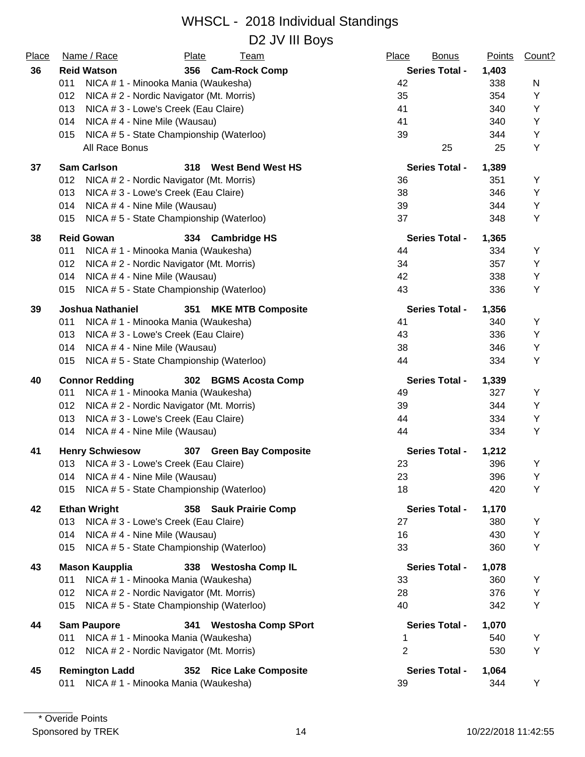| Place | Name / Race<br><b>Plate</b><br><b>Team</b>                 | Place<br><b>Bonus</b> | <b>Points</b> | Count? |
|-------|------------------------------------------------------------|-----------------------|---------------|--------|
| 36    | <b>Reid Watson</b><br>356 Cam-Rock Comp                    | <b>Series Total -</b> | 1,403         |        |
|       | NICA # 1 - Minooka Mania (Waukesha)<br>011                 | 42                    | 338           | N      |
|       | 012<br>NICA # 2 - Nordic Navigator (Mt. Morris)            | 35                    | 354           | Υ      |
|       | 013<br>NICA # 3 - Lowe's Creek (Eau Claire)                | 41                    | 340           | Υ      |
|       | 014<br>NICA #4 - Nine Mile (Wausau)                        | 41                    | 340           | Υ      |
|       | NICA #5 - State Championship (Waterloo)<br>015             | 39                    | 344           | Υ      |
|       | All Race Bonus                                             | 25                    | 25            | Υ      |
| 37    | <b>Sam Carlson</b><br>318<br><b>West Bend West HS</b>      | <b>Series Total -</b> | 1,389         |        |
|       | 012<br>NICA # 2 - Nordic Navigator (Mt. Morris)            | 36                    | 351           | Υ      |
|       | NICA # 3 - Lowe's Creek (Eau Claire)<br>013                | 38                    | 346           | Υ      |
|       | 014<br>NICA #4 - Nine Mile (Wausau)                        | 39                    | 344           | Υ      |
|       | NICA #5 - State Championship (Waterloo)<br>015             | 37                    | 348           | Υ      |
| 38    | <b>Reid Gowan</b><br>334 Cambridge HS                      | <b>Series Total -</b> | 1,365         |        |
|       | 011<br>NICA # 1 - Minooka Mania (Waukesha)                 | 44                    | 334           | Y      |
|       | 012<br>NICA # 2 - Nordic Navigator (Mt. Morris)            | 34                    | 357           | Υ      |
|       | NICA #4 - Nine Mile (Wausau)<br>014                        | 42                    | 338           | Υ      |
|       | NICA #5 - State Championship (Waterloo)<br>015             | 43                    | 336           | Υ      |
| 39    | <b>Joshua Nathaniel</b><br>351<br><b>MKE MTB Composite</b> | <b>Series Total -</b> | 1,356         |        |
|       | NICA # 1 - Minooka Mania (Waukesha)<br>011                 | 41                    | 340           | Υ      |
|       | 013<br>NICA # 3 - Lowe's Creek (Eau Claire)                | 43                    | 336           | Υ      |
|       | NICA #4 - Nine Mile (Wausau)<br>014                        | 38                    | 346           | Υ      |
|       | NICA #5 - State Championship (Waterloo)<br>015             | 44                    | 334           | Υ      |
| 40    | <b>Connor Redding</b><br>302<br><b>BGMS Acosta Comp</b>    | <b>Series Total -</b> | 1,339         |        |
|       | 011<br>NICA # 1 - Minooka Mania (Waukesha)                 | 49                    | 327           | Υ      |
|       | 012<br>NICA # 2 - Nordic Navigator (Mt. Morris)            | 39                    | 344           | Y      |
|       | 013<br>NICA # 3 - Lowe's Creek (Eau Claire)                | 44                    | 334           | Υ      |
|       | 014<br>NICA #4 - Nine Mile (Wausau)                        | 44                    | 334           | Υ      |
| 41    | <b>Henry Schwiesow</b><br>307 Green Bay Composite          | <b>Series Total -</b> | 1,212         |        |
|       | 013 NICA # 3 - Lowe's Creek (Eau Claire)                   | 23                    | 396           | Υ      |
|       | 014<br>NICA #4 - Nine Mile (Wausau)                        | 23                    | 396           | Y      |
|       | NICA #5 - State Championship (Waterloo)<br>015             | 18                    | 420           | Υ      |
| 42    | <b>Ethan Wright</b><br>358 Sauk Prairie Comp               | <b>Series Total -</b> | 1,170         |        |
|       | 013<br>NICA # 3 - Lowe's Creek (Eau Claire)                | 27                    | 380           | Y      |
|       | 014<br>NICA #4 - Nine Mile (Wausau)                        | 16                    | 430           | Υ      |
|       | NICA #5 - State Championship (Waterloo)<br>015             | 33                    | 360           | Y      |
| 43    | <b>Mason Kaupplia</b><br>338 Westosha Comp IL              | <b>Series Total -</b> | 1,078         |        |
|       | NICA # 1 - Minooka Mania (Waukesha)<br>011                 | 33                    | 360           | Υ      |
|       | NICA # 2 - Nordic Navigator (Mt. Morris)<br>012            | 28                    | 376           | Υ      |
|       | NICA #5 - State Championship (Waterloo)<br>015             | 40                    | 342           | Υ      |
| 44    | <b>Sam Paupore</b><br><b>Westosha Comp SPort</b><br>341    | <b>Series Total -</b> | 1,070         |        |
|       | NICA # 1 - Minooka Mania (Waukesha)<br>011                 | 1                     | 540           | Y      |
|       | NICA # 2 - Nordic Navigator (Mt. Morris)<br>012            | $\overline{2}$        | 530           | Υ      |
| 45    | <b>Remington Ladd</b><br><b>Rice Lake Composite</b><br>352 | <b>Series Total -</b> | 1,064         |        |
|       | NICA # 1 - Minooka Mania (Waukesha)<br>011                 | 39                    | 344           | Υ      |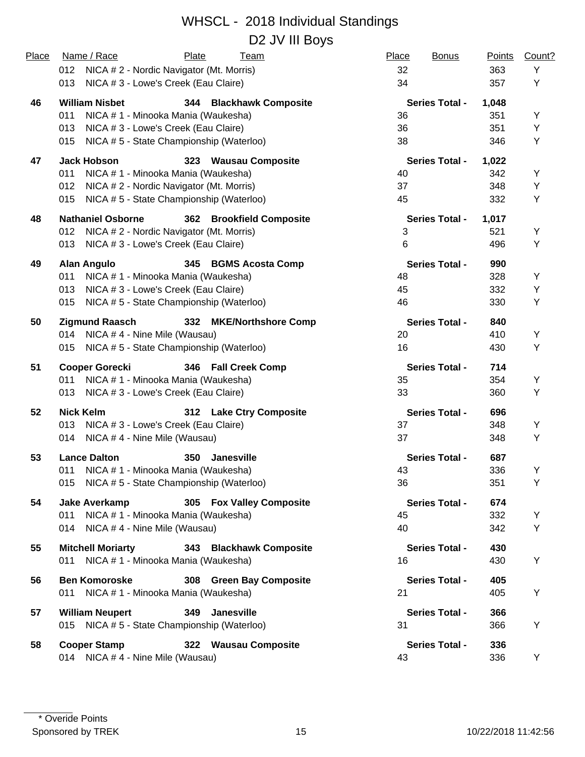| Place | Name / Race<br>Plate<br>Team                         | Place<br><b>Bonus</b> | <b>Points</b> | Count? |
|-------|------------------------------------------------------|-----------------------|---------------|--------|
|       | 012<br>NICA # 2 - Nordic Navigator (Mt. Morris)      | 32                    | 363           | Y      |
|       | NICA # 3 - Lowe's Creek (Eau Claire)<br>013          | 34                    | 357           | Y      |
| 46    | <b>William Nisbet</b><br>344 Blackhawk Composite     | <b>Series Total -</b> | 1,048         |        |
|       | NICA # 1 - Minooka Mania (Waukesha)<br>011           | 36                    | 351           | Y      |
|       | NICA #3 - Lowe's Creek (Eau Claire)<br>013           | 36                    | 351           | Y      |
|       | NICA #5 - State Championship (Waterloo)<br>015       | 38                    | 346           | Y      |
| 47    | <b>Jack Hobson</b><br>323 Wausau Composite           | <b>Series Total -</b> | 1,022         |        |
|       | NICA # 1 - Minooka Mania (Waukesha)<br>011           | 40                    | 342           | Y      |
|       | NICA # 2 - Nordic Navigator (Mt. Morris)<br>012      | 37                    | 348           | Y      |
|       | NICA #5 - State Championship (Waterloo)<br>015       | 45                    | 332           | Y      |
| 48    | <b>Nathaniel Osborne</b><br>362 Brookfield Composite | <b>Series Total -</b> | 1,017         |        |
|       | NICA # 2 - Nordic Navigator (Mt. Morris)<br>012      | 3                     | 521           | Y      |
|       | NICA # 3 - Lowe's Creek (Eau Claire)<br>013          | 6                     | 496           | Y      |
| 49    | <b>Alan Angulo</b><br>345 BGMS Acosta Comp           | <b>Series Total -</b> | 990           |        |
|       | NICA # 1 - Minooka Mania (Waukesha)<br>011           | 48                    | 328           | Y      |
|       | NICA # 3 - Lowe's Creek (Eau Claire)<br>013          | 45                    | 332           | Y      |
|       | NICA #5 - State Championship (Waterloo)<br>015       | 46                    | 330           | Y      |
| 50    | <b>Zigmund Raasch</b><br>332 MKE/Northshore Comp     | <b>Series Total -</b> | 840           |        |
|       | NICA # 4 - Nine Mile (Wausau)<br>014                 | 20                    | 410           | Υ      |
|       | NICA # 5 - State Championship (Waterloo)<br>015      | 16                    | 430           | Y      |
| 51    | <b>Cooper Gorecki</b><br>346 Fall Creek Comp         | <b>Series Total -</b> | 714           |        |
|       | NICA # 1 - Minooka Mania (Waukesha)<br>011           | 35                    | 354           | Y      |
|       | 013 NICA # 3 - Lowe's Creek (Eau Claire)             | 33                    | 360           | Y      |
| 52    | <b>Nick Kelm</b><br>312 Lake Ctry Composite          | <b>Series Total -</b> | 696           |        |
|       | NICA # 3 - Lowe's Creek (Eau Claire)<br>013          | 37                    | 348           | Y      |
|       | NICA #4 - Nine Mile (Wausau)<br>014                  | 37                    | 348           | Y      |
| 53    | <b>Lance Dalton</b><br>350<br><b>Janesville</b>      | <b>Series Total -</b> | 687           |        |
|       | NICA # 1 - Minooka Mania (Waukesha)<br>011           | 43                    | 336           | Y      |
|       | NICA #5 - State Championship (Waterloo)<br>015       | 36                    | 351           | Y      |
| 54    | <b>Jake Averkamp</b><br>305 Fox Valley Composite     | <b>Series Total -</b> | 674           |        |
|       | NICA # 1 - Minooka Mania (Waukesha)<br>011           | 45                    | 332           | Y      |
|       | 014<br>NICA # 4 - Nine Mile (Wausau)                 | 40                    | 342           | Υ      |
| 55    | <b>Mitchell Moriarty</b><br>343 Blackhawk Composite  | <b>Series Total -</b> | 430           |        |
|       | NICA # 1 - Minooka Mania (Waukesha)<br>011           | 16                    | 430           | Υ      |
| 56    | <b>Ben Komoroske</b><br>308 Green Bay Composite      | <b>Series Total -</b> | 405           |        |
|       | NICA # 1 - Minooka Mania (Waukesha)<br>011           | 21                    | 405           | Υ      |
| 57    | <b>Janesville</b><br><b>William Neupert</b><br>349   | <b>Series Total -</b> | 366           |        |
|       | 015 NICA #5 - State Championship (Waterloo)          | 31                    | 366           | Υ      |
| 58    | <b>Cooper Stamp</b><br>322 Wausau Composite          | <b>Series Total -</b> | 336           |        |
|       | 014 NICA #4 - Nine Mile (Wausau)                     | 43                    | 336           | Y      |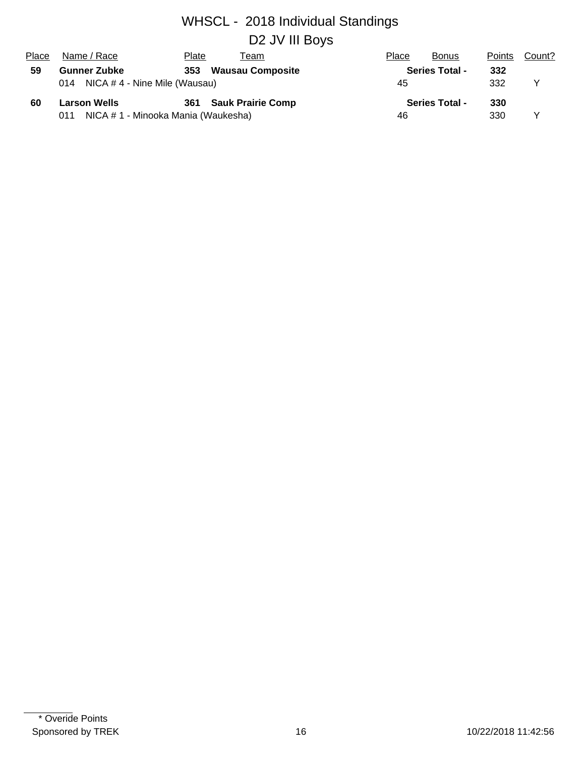## WHSCL - 2018 Individual Standings D2 JV III Boys

| Place | Name / Race                                | Plate | Геаm                     | Place | <b>Bonus</b>          | <b>Points</b> | Count? |
|-------|--------------------------------------------|-------|--------------------------|-------|-----------------------|---------------|--------|
| 59    | <b>Gunner Zubke</b>                        |       | 353 Wausau Composite     |       | <b>Series Total -</b> | 332           |        |
|       | 014 NICA #4 - Nine Mile (Wausau)           |       | 45                       |       | 332                   | v             |        |
| 60    | <b>Larson Wells</b>                        | 361   | <b>Sauk Prairie Comp</b> |       | <b>Series Total -</b> | 330           |        |
|       | NICA # 1 - Minooka Mania (Waukesha)<br>011 |       |                          | 46    |                       | 330           | v      |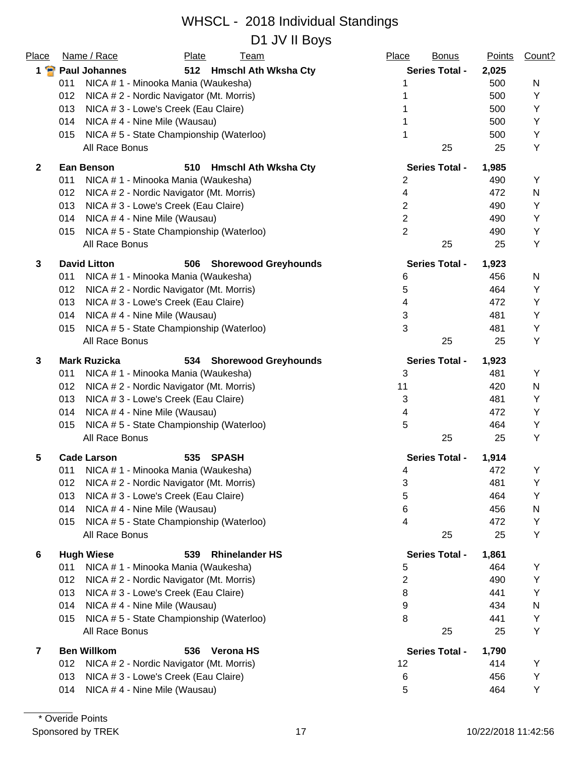D1 JV II Boys

| Place                   | Name / Race                                     | Plate               | <b>Team</b>                 | Place          | <b>Bonus</b>          | <b>Points</b> | Count? |
|-------------------------|-------------------------------------------------|---------------------|-----------------------------|----------------|-----------------------|---------------|--------|
| $1 \cdot P$             | <b>Paul Johannes</b>                            |                     | 512 Hmschl Ath Wksha Cty    |                | <b>Series Total -</b> | 2,025         |        |
|                         | 011<br>NICA # 1 - Minooka Mania (Waukesha)      |                     |                             | 1              |                       | 500           | N      |
|                         | 012<br>NICA # 2 - Nordic Navigator (Mt. Morris) |                     |                             |                |                       | 500           | Υ      |
|                         | 013<br>NICA # 3 - Lowe's Creek (Eau Claire)     |                     |                             |                |                       | 500           | Y      |
|                         | NICA #4 - Nine Mile (Wausau)<br>014             |                     |                             |                |                       | 500           | Υ      |
|                         | NICA #5 - State Championship (Waterloo)<br>015  |                     |                             | 1              |                       | 500           | Υ      |
|                         | All Race Bonus                                  |                     |                             |                | 25                    | 25            | Y      |
| $\overline{2}$          | <b>Ean Benson</b>                               | 510                 | <b>Hmschl Ath Wksha Cty</b> |                | <b>Series Total -</b> | 1,985         |        |
|                         | NICA # 1 - Minooka Mania (Waukesha)<br>011      |                     |                             | 2              |                       | 490           | Υ      |
|                         | NICA # 2 - Nordic Navigator (Mt. Morris)<br>012 |                     |                             | 4              |                       | 472           | N      |
|                         | 013<br>NICA # 3 - Lowe's Creek (Eau Claire)     |                     |                             | $\overline{2}$ |                       | 490           | Υ      |
|                         | 014<br>NICA #4 - Nine Mile (Wausau)             |                     |                             | $\overline{2}$ |                       | 490           | Υ      |
|                         | NICA #5 - State Championship (Waterloo)<br>015  |                     |                             | $\overline{2}$ |                       | 490           | Y      |
|                         | All Race Bonus                                  |                     |                             |                | 25                    | 25            | Y      |
| 3                       | <b>David Litton</b>                             | 506                 | <b>Shorewood Greyhounds</b> |                | <b>Series Total -</b> | 1,923         |        |
|                         | 011<br>NICA # 1 - Minooka Mania (Waukesha)      |                     |                             | 6              |                       | 456           | N      |
|                         | 012<br>NICA #2 - Nordic Navigator (Mt. Morris)  |                     |                             | 5              |                       | 464           | Y      |
|                         | 013<br>NICA # 3 - Lowe's Creek (Eau Claire)     |                     |                             | 4              |                       | 472           | Y      |
|                         | 014<br>NICA #4 - Nine Mile (Wausau)             |                     |                             | 3              |                       | 481           | Υ      |
|                         | NICA #5 - State Championship (Waterloo)<br>015  |                     |                             | 3              |                       | 481           | Y      |
|                         | All Race Bonus                                  |                     |                             |                | 25                    | 25            | Υ      |
| 3                       | <b>Mark Ruzicka</b>                             | 534                 | <b>Shorewood Greyhounds</b> |                | <b>Series Total -</b> | 1,923         |        |
|                         | NICA # 1 - Minooka Mania (Waukesha)<br>011      |                     |                             | 3              |                       | 481           | Υ      |
|                         | NICA # 2 - Nordic Navigator (Mt. Morris)<br>012 |                     |                             | 11             |                       | 420           | N      |
|                         | NICA # 3 - Lowe's Creek (Eau Claire)<br>013     |                     |                             | 3              |                       | 481           | Υ      |
|                         | NICA #4 - Nine Mile (Wausau)<br>014             |                     |                             | 4              |                       | 472           | Υ      |
|                         | NICA #5 - State Championship (Waterloo)<br>015  |                     |                             | 5              |                       | 464           | Υ      |
|                         | All Race Bonus                                  |                     |                             |                | 25                    | 25            | Y      |
| 5                       | <b>Cade Larson</b>                              | 535<br><b>SPASH</b> |                             |                | <b>Series Total -</b> | 1,914         |        |
|                         | NICA # 1 - Minooka Mania (Waukesha)<br>011      |                     |                             | 4              |                       | 472           | Y      |
|                         | NICA # 2 - Nordic Navigator (Mt. Morris)<br>012 |                     |                             | 3              |                       | 481           | Y      |
|                         | 013<br>NICA # 3 - Lowe's Creek (Eau Claire)     |                     |                             | 5              |                       | 464           | Υ      |
|                         | 014<br>NICA #4 - Nine Mile (Wausau)             |                     |                             | 6              |                       | 456           | N      |
|                         | NICA #5 - State Championship (Waterloo)<br>015  |                     |                             | 4              |                       | 472           | Υ      |
|                         | All Race Bonus                                  |                     |                             |                | 25                    | 25            | Y      |
| 6                       | <b>Hugh Wiese</b>                               | 539                 | <b>Rhinelander HS</b>       |                | <b>Series Total -</b> | 1,861         |        |
|                         | 011<br>NICA # 1 - Minooka Mania (Waukesha)      |                     |                             | 5              |                       | 464           | Y      |
|                         | NICA # 2 - Nordic Navigator (Mt. Morris)<br>012 |                     |                             | 2              |                       | 490           | Υ      |
|                         | NICA # 3 - Lowe's Creek (Eau Claire)<br>013     |                     |                             | 8              |                       | 441           | Υ      |
|                         | 014<br>NICA #4 - Nine Mile (Wausau)             | 9                   |                             | 434            | N                     |               |        |
|                         | NICA #5 - State Championship (Waterloo)<br>015  |                     |                             | 8              |                       | 441           | Υ      |
|                         | All Race Bonus                                  |                     |                             |                | 25                    | 25            | Υ      |
| $\overline{\mathbf{z}}$ | <b>Ben Willkom</b>                              | 536                 | <b>Verona HS</b>            |                | <b>Series Total -</b> | 1,790         |        |
|                         | 012<br>NICA # 2 - Nordic Navigator (Mt. Morris) |                     |                             | 12             |                       | 414           | Y      |
|                         | NICA # 3 - Lowe's Creek (Eau Claire)<br>013     |                     |                             | 6              |                       | 456           | Υ      |
|                         | NICA #4 - Nine Mile (Wausau)<br>014             |                     |                             | 5              |                       | 464           | Υ      |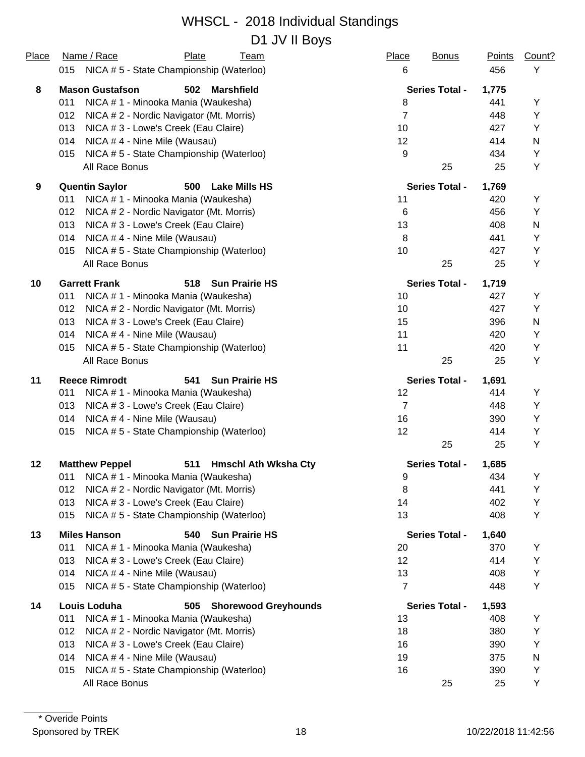## WHSCL - 2018 Individual Standings D1 JV II Boys

| Place | Name / Race                                     | Plate | Team                        | Place          | <b>Bonus</b>          | <b>Points</b> | Count?    |
|-------|-------------------------------------------------|-------|-----------------------------|----------------|-----------------------|---------------|-----------|
|       | NICA # 5 - State Championship (Waterloo)<br>015 |       |                             | 6              |                       | 456           | Υ         |
| 8     | <b>Mason Gustafson</b>                          | 502   | <b>Marshfield</b>           |                | <b>Series Total -</b> | 1,775         |           |
|       | NICA # 1 - Minooka Mania (Waukesha)<br>011      |       |                             | 8              |                       | 441           | Y         |
|       | 012<br>NICA # 2 - Nordic Navigator (Mt. Morris) |       |                             | $\overline{7}$ |                       | 448           | Y         |
|       | 013<br>NICA # 3 - Lowe's Creek (Eau Claire)     |       |                             | 10             |                       | 427           | Y         |
|       | 014<br>NICA #4 - Nine Mile (Wausau)             |       |                             | 12             |                       | 414           | ${\sf N}$ |
|       | NICA #5 - State Championship (Waterloo)<br>015  |       |                             | 9              |                       | 434           | Y         |
|       | All Race Bonus                                  |       |                             |                | 25                    | 25            | Υ         |
| 9     | <b>Quentin Saylor</b>                           | 500   | <b>Lake Mills HS</b>        |                | <b>Series Total -</b> | 1,769         |           |
|       | 011<br>NICA # 1 - Minooka Mania (Waukesha)      |       |                             | 11             |                       | 420           | Υ         |
|       | 012<br>NICA # 2 - Nordic Navigator (Mt. Morris) |       |                             | 6              |                       | 456           | Y         |
|       | 013<br>NICA # 3 - Lowe's Creek (Eau Claire)     |       |                             | 13             |                       | 408           | ${\sf N}$ |
|       | 014<br>NICA #4 - Nine Mile (Wausau)             |       |                             | 8              |                       | 441           | Y         |
|       | 015<br>NICA #5 - State Championship (Waterloo)  |       |                             | 10             |                       | 427           | Υ         |
|       | All Race Bonus                                  |       |                             |                | 25                    | 25            | Y         |
| 10    | <b>Garrett Frank</b>                            | 518   | <b>Sun Prairie HS</b>       |                | <b>Series Total -</b> | 1,719         |           |
|       | 011<br>NICA # 1 - Minooka Mania (Waukesha)      |       |                             | 10             |                       | 427           | Y         |
|       | 012<br>NICA # 2 - Nordic Navigator (Mt. Morris) |       |                             | 10             |                       | 427           | Y         |
|       | 013<br>NICA # 3 - Lowe's Creek (Eau Claire)     |       |                             | 15             |                       | 396           | N         |
|       | NICA # 4 - Nine Mile (Wausau)<br>014            |       |                             | 11             |                       | 420           | Υ         |
|       | NICA #5 - State Championship (Waterloo)<br>015  |       |                             | 11             |                       | 420           | Y         |
|       | All Race Bonus                                  |       |                             |                | 25                    | 25            | Υ         |
| 11    | <b>Reece Rimrodt</b>                            | 541   | <b>Sun Prairie HS</b>       |                | <b>Series Total -</b> | 1,691         |           |
|       | NICA # 1 - Minooka Mania (Waukesha)<br>011      |       |                             | 12             |                       | 414           | Υ         |
|       | 013<br>NICA # 3 - Lowe's Creek (Eau Claire)     |       |                             | $\overline{7}$ |                       | 448           | Y         |
|       | NICA #4 - Nine Mile (Wausau)<br>014             |       |                             | 16             |                       | 390           | Υ         |
|       | NICA #5 - State Championship (Waterloo)<br>015  |       |                             | 12             |                       | 414           | Y         |
|       |                                                 |       |                             |                | 25                    | 25            | Υ         |
| 12    | <b>Matthew Peppel</b>                           |       | 511 Hmschl Ath Wksha Cty    |                | <b>Series Total -</b> | 1,685         |           |
|       | 011 NICA # 1 - Minooka Mania (Waukesha)         |       |                             | 9              |                       | 434           | Y         |
|       | 012<br>NICA # 2 - Nordic Navigator (Mt. Morris) |       |                             | 8              |                       | 441           | Y         |
|       | NICA # 3 - Lowe's Creek (Eau Claire)<br>013     |       |                             | 14             |                       | 402           | Υ         |
|       | NICA #5 - State Championship (Waterloo)<br>015  |       |                             | 13             |                       | 408           | Y         |
| 13    | <b>Miles Hanson</b>                             | 540   | <b>Sun Prairie HS</b>       |                | <b>Series Total -</b> | 1,640         |           |
|       | 011<br>NICA # 1 - Minooka Mania (Waukesha)      |       |                             | 20             |                       | 370           | Y         |
|       | 013<br>NICA # 3 - Lowe's Creek (Eau Claire)     |       |                             | 12             |                       | 414           | Υ         |
|       | NICA #4 - Nine Mile (Wausau)<br>014             |       |                             | 13             |                       | 408           | Υ         |
|       | 015<br>NICA #5 - State Championship (Waterloo)  |       |                             | $\overline{7}$ |                       | 448           | Y         |
| 14    | Louis Loduha                                    | 505   | <b>Shorewood Greyhounds</b> |                | <b>Series Total -</b> | 1,593         |           |
|       | 011<br>NICA # 1 - Minooka Mania (Waukesha)      |       |                             | 13             |                       | 408           | Υ         |
|       | 012<br>NICA # 2 - Nordic Navigator (Mt. Morris) |       |                             | 18             |                       | 380           | Υ         |
|       | NICA # 3 - Lowe's Creek (Eau Claire)<br>013     |       |                             | 16             |                       | 390           | Υ         |
|       | 014<br>NICA #4 - Nine Mile (Wausau)             |       |                             | 19             |                       | 375           | N         |
|       | NICA #5 - State Championship (Waterloo)<br>015  |       |                             | 16             |                       | 390           | Y         |
|       | All Race Bonus                                  |       |                             |                | 25                    | 25            | Υ         |
|       |                                                 |       |                             |                |                       |               |           |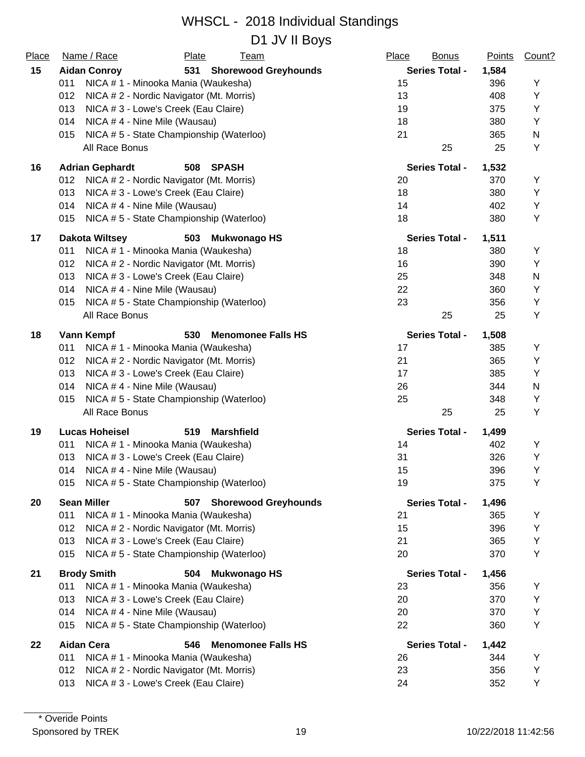D1 JV II Boys

| Place | Name / Race                                    | <b>Plate</b><br><b>Team</b>              |                             | Place | <b>Bonus</b>          | <b>Points</b> | Count? |
|-------|------------------------------------------------|------------------------------------------|-----------------------------|-------|-----------------------|---------------|--------|
| 15    | <b>Aidan Conroy</b>                            |                                          | 531 Shorewood Greyhounds    |       | <b>Series Total -</b> | 1,584         |        |
|       | 011                                            | NICA # 1 - Minooka Mania (Waukesha)      |                             | 15    |                       | 396           | Υ      |
|       | 012                                            | NICA # 2 - Nordic Navigator (Mt. Morris) |                             | 13    |                       | 408           | Υ      |
|       | 013                                            | NICA # 3 - Lowe's Creek (Eau Claire)     |                             | 19    |                       | 375           | Υ      |
|       | 014                                            | NICA #4 - Nine Mile (Wausau)             |                             | 18    |                       | 380           | Υ      |
|       | 015                                            | NICA #5 - State Championship (Waterloo)  |                             | 21    |                       | 365           | N      |
|       | All Race Bonus                                 |                                          |                             |       | 25                    | 25            | Υ      |
| 16    | <b>Adrian Gephardt</b>                         | 508<br><b>SPASH</b>                      |                             |       | <b>Series Total -</b> | 1,532         |        |
|       | 012                                            | NICA # 2 - Nordic Navigator (Mt. Morris) |                             | 20    |                       | 370           | Υ      |
|       | 013                                            | NICA # 3 - Lowe's Creek (Eau Claire)     |                             | 18    |                       | 380           | Υ      |
|       | 014                                            | NICA #4 - Nine Mile (Wausau)             |                             | 14    |                       | 402           | Υ      |
|       | 015                                            | NICA #5 - State Championship (Waterloo)  |                             | 18    |                       | 380           | Υ      |
| 17    | <b>Dakota Wiltsey</b>                          | 503<br><b>Mukwonago HS</b>               |                             |       | <b>Series Total -</b> | 1,511         |        |
|       | 011                                            | NICA # 1 - Minooka Mania (Waukesha)      |                             | 18    |                       | 380           | Υ      |
|       | 012                                            | NICA # 2 - Nordic Navigator (Mt. Morris) |                             | 16    |                       | 390           | Υ      |
|       | 013                                            | NICA # 3 - Lowe's Creek (Eau Claire)     |                             | 25    |                       | 348           | N      |
|       | 014                                            | NICA #4 - Nine Mile (Wausau)             |                             | 22    |                       | 360           | Υ      |
|       | NICA #5 - State Championship (Waterloo)<br>015 | 23                                       |                             | 356   | Υ                     |               |        |
|       | All Race Bonus                                 |                                          |                             |       | 25                    | 25            | Υ      |
| 18    | Vann Kempf                                     | 530                                      | <b>Menomonee Falls HS</b>   |       | <b>Series Total -</b> | 1,508         |        |
|       | 011                                            | NICA # 1 - Minooka Mania (Waukesha)      |                             | 17    |                       | 385           | Y      |
|       | 012                                            | NICA # 2 - Nordic Navigator (Mt. Morris) |                             | 21    |                       | 365           | Υ      |
|       | 013                                            | NICA # 3 - Lowe's Creek (Eau Claire)     |                             | 17    |                       | 385           | Υ      |
|       | 014<br>NICA #4 - Nine Mile (Wausau)            | 26                                       |                             | 344   | N                     |               |        |
|       | 015                                            | NICA #5 - State Championship (Waterloo)  | 25                          |       | 348                   | Υ             |        |
|       | All Race Bonus                                 |                                          |                             |       | 25                    | 25            | Υ      |
| 19    | <b>Lucas Hoheisel</b>                          | 519<br><b>Marshfield</b>                 |                             |       | <b>Series Total -</b> | 1,499         |        |
|       | 011                                            | NICA # 1 - Minooka Mania (Waukesha)      |                             | 14    |                       | 402           | Υ      |
|       | 013                                            | NICA # 3 - Lowe's Creek (Eau Claire)     |                             | 31    |                       | 326           | Υ      |
|       | 014                                            | NICA #4 - Nine Mile (Wausau)             |                             | 15    |                       | 396           | Υ      |
|       | 015                                            | NICA #5 - State Championship (Waterloo)  |                             | 19    |                       | 375           | Υ      |
| 20    | <b>Sean Miller</b>                             | 507                                      | <b>Shorewood Greyhounds</b> |       | <b>Series Total -</b> | 1,496         |        |
|       | 011                                            | NICA # 1 - Minooka Mania (Waukesha)      |                             | 21    |                       | 365           | Υ      |
|       | 012                                            | NICA # 2 - Nordic Navigator (Mt. Morris) |                             | 15    |                       | 396           | Υ      |
|       | 013                                            | NICA # 3 - Lowe's Creek (Eau Claire)     |                             | 21    |                       | 365           | Υ      |
|       | 015                                            | NICA #5 - State Championship (Waterloo)  |                             | 20    |                       | 370           | Y      |
| 21    | <b>Brody Smith</b>                             | 504<br><b>Mukwonago HS</b>               |                             |       | <b>Series Total -</b> | 1,456         |        |
|       | 011                                            | NICA # 1 - Minooka Mania (Waukesha)      |                             | 23    |                       | 356           | Υ      |
|       | 013                                            | NICA # 3 - Lowe's Creek (Eau Claire)     |                             | 20    |                       | 370           | Υ      |
|       | 014                                            | NICA #4 - Nine Mile (Wausau)             |                             | 20    |                       | 370           | Υ      |
|       | 015                                            | NICA #5 - State Championship (Waterloo)  |                             | 22    |                       | 360           | Υ      |
| 22    | <b>Aidan Cera</b>                              | 546                                      | <b>Menomonee Falls HS</b>   |       | <b>Series Total -</b> | 1,442         |        |
|       | 011                                            | NICA # 1 - Minooka Mania (Waukesha)      |                             | 26    |                       | 344           | Υ      |
|       | 012                                            | NICA # 2 - Nordic Navigator (Mt. Morris) |                             | 23    |                       | 356           | Υ      |
|       | 013                                            | NICA # 3 - Lowe's Creek (Eau Claire)     |                             | 24    |                       | 352           | Υ      |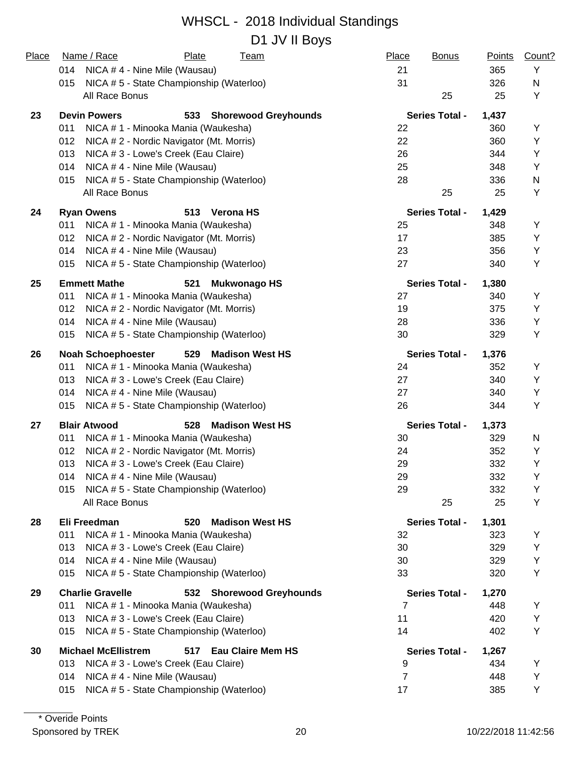#### WHSCL - 2018 Individual Standings D1 JV II Boys

| Place | Name / Race<br>Plate<br><b>Team</b>                        | Place<br><b>Bonus</b> | <b>Points</b> | Count? |
|-------|------------------------------------------------------------|-----------------------|---------------|--------|
|       | 014<br>NICA #4 - Nine Mile (Wausau)                        | 21                    | 365           | Y      |
|       | NICA #5 - State Championship (Waterloo)<br>015             | 31                    | 326           | N      |
|       | All Race Bonus                                             | 25                    | 25            | Y      |
| 23    | <b>Devin Powers</b><br>533 Shorewood Greyhounds            | <b>Series Total -</b> | 1,437         |        |
|       | 011<br>NICA # 1 - Minooka Mania (Waukesha)                 | 22                    | 360           | Υ      |
|       | 012<br>NICA # 2 - Nordic Navigator (Mt. Morris)            | 22                    | 360           | Υ      |
|       | 013<br>NICA # 3 - Lowe's Creek (Eau Claire)                | 26                    | 344           | Υ      |
|       | 014<br>NICA #4 - Nine Mile (Wausau)                        | 25                    | 348           | Υ      |
|       | NICA #5 - State Championship (Waterloo)<br>015             | 28                    | 336           | N      |
|       | All Race Bonus                                             | 25                    | 25            | Υ      |
| 24    | <b>Ryan Owens</b><br>513<br><b>Verona HS</b>               | <b>Series Total -</b> | 1,429         |        |
|       | 011<br>NICA # 1 - Minooka Mania (Waukesha)                 | 25                    | 348           | Υ      |
|       | 012<br>NICA # 2 - Nordic Navigator (Mt. Morris)            | 17                    | 385           | Y      |
|       | 014<br>NICA #4 - Nine Mile (Wausau)                        | 23                    | 356           | Υ      |
|       | NICA #5 - State Championship (Waterloo)<br>015             | 27                    | 340           | Υ      |
| 25    | <b>Emmett Mathe</b><br><b>Mukwonago HS</b><br>521          | <b>Series Total -</b> | 1,380         |        |
|       | NICA # 1 - Minooka Mania (Waukesha)<br>011                 | 27                    | 340           | Υ      |
|       | 012<br>NICA # 2 - Nordic Navigator (Mt. Morris)            | 19                    | 375           | Y      |
|       | 014<br>NICA #4 - Nine Mile (Wausau)                        | 28                    | 336           | Y      |
|       | NICA #5 - State Championship (Waterloo)<br>015             | 30                    | 329           | Υ      |
| 26    | <b>Madison West HS</b><br><b>Noah Schoephoester</b><br>529 | <b>Series Total -</b> | 1,376         |        |
|       | 011<br>NICA # 1 - Minooka Mania (Waukesha)                 | 24                    | 352           | Υ      |
|       | 013<br>NICA # 3 - Lowe's Creek (Eau Claire)                | 27                    | 340           | Υ      |
|       | 014<br>NICA #4 - Nine Mile (Wausau)                        | 27                    | 340           | Y      |
|       | NICA #5 - State Championship (Waterloo)<br>015             | 26                    | 344           | Y      |
| 27    | <b>Madison West HS</b><br><b>Blair Atwood</b><br>528       | <b>Series Total -</b> | 1,373         |        |
|       | NICA # 1 - Minooka Mania (Waukesha)<br>011                 | 30                    | 329           | N      |
|       | 012<br>NICA # 2 - Nordic Navigator (Mt. Morris)            | 24                    | 352           | Υ      |
|       | 013<br>NICA # 3 - Lowe's Creek (Eau Claire)                | 29                    | 332           | Υ      |
|       | NICA # 4 - Nine Mile (Wausau)<br>014                       | 29                    | 332           | Υ      |
|       | NICA #5 - State Championship (Waterloo)<br>015             | 29                    | 332           | Y      |
|       | All Race Bonus                                             | 25                    | 25            | Y      |
| 28    | <b>Madison West HS</b><br>Eli Freedman<br>520              | <b>Series Total -</b> | 1,301         |        |
|       | 011<br>NICA # 1 - Minooka Mania (Waukesha)                 | 32                    | 323           | Y      |
|       | NICA # 3 - Lowe's Creek (Eau Claire)<br>013                | 30                    | 329           | Υ      |
|       | NICA #4 - Nine Mile (Wausau)<br>014                        | 30                    | 329           | Υ      |
|       | NICA #5 - State Championship (Waterloo)<br>015             | 33                    | 320           | Υ      |
| 29    | <b>Charlie Gravelle</b><br>532 Shorewood Greyhounds        | <b>Series Total -</b> | 1,270         |        |
|       | NICA # 1 - Minooka Mania (Waukesha)<br>011                 | 7                     | 448           | Y      |
|       | NICA # 3 - Lowe's Creek (Eau Claire)<br>013                | 11                    | 420           | Υ      |
|       | NICA #5 - State Championship (Waterloo)<br>015             | 14                    | 402           | Υ      |
| 30    | <b>Michael McEllistrem</b><br>517 Eau Claire Mem HS        | <b>Series Total -</b> | 1,267         |        |
|       | 013<br>NICA # 3 - Lowe's Creek (Eau Claire)                | 9                     | 434           | Y      |
|       | NICA #4 - Nine Mile (Wausau)<br>014                        | $\overline{7}$        | 448           | Y      |
|       | NICA #5 - State Championship (Waterloo)<br>015             | 17                    | 385           | Y      |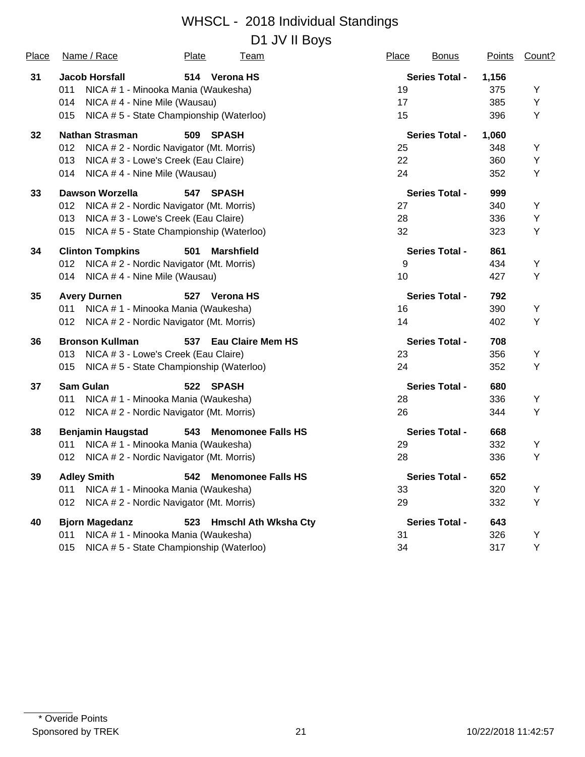D1 JV II Boys

| Place | Name / Race                                     | Plate<br><b>Team</b>                     | Place | <b>Bonus</b>          | <b>Points</b> | Count? |
|-------|-------------------------------------------------|------------------------------------------|-------|-----------------------|---------------|--------|
| 31    | <b>Jacob Horsfall</b>                           | 514 Verona HS                            |       | <b>Series Total -</b> | 1,156         |        |
|       | 011<br>NICA # 1 - Minooka Mania (Waukesha)      |                                          | 19    |                       | 375           | Υ      |
|       | NICA #4 - Nine Mile (Wausau)<br>014             |                                          | 17    |                       | 385           | Y      |
|       | 015                                             | NICA #5 - State Championship (Waterloo)  | 15    |                       | 396           | Υ      |
| 32    | <b>Nathan Strasman</b>                          | 509<br><b>SPASH</b>                      |       | <b>Series Total -</b> | 1,060         |        |
|       | 012<br>NICA # 2 - Nordic Navigator (Mt. Morris) |                                          | 25    |                       | 348           | Υ      |
|       | 013<br>NICA # 3 - Lowe's Creek (Eau Claire)     |                                          | 22    |                       | 360           | Y      |
|       | NICA #4 - Nine Mile (Wausau)<br>014             |                                          | 24    |                       | 352           | Y      |
| 33    | <b>Dawson Worzella</b>                          | 547<br><b>SPASH</b>                      |       | <b>Series Total -</b> | 999           |        |
|       | NICA # 2 - Nordic Navigator (Mt. Morris)<br>012 |                                          | 27    |                       | 340           | Υ      |
|       | NICA # 3 - Lowe's Creek (Eau Claire)<br>013     |                                          | 28    |                       | 336           | Y      |
|       | 015                                             | NICA #5 - State Championship (Waterloo)  | 32    |                       | 323           | Y      |
| 34    | <b>Clinton Tompkins</b>                         | 501<br><b>Marshfield</b>                 |       | <b>Series Total -</b> | 861           |        |
|       | 012                                             | NICA # 2 - Nordic Navigator (Mt. Morris) | 9     |                       | 434           | Υ      |
|       | NICA #4 - Nine Mile (Wausau)<br>014             |                                          | 10    |                       | 427           | Y      |
| 35    | <b>Avery Durnen</b>                             | 527 Verona HS                            |       | <b>Series Total -</b> | 792           |        |
|       | NICA # 1 - Minooka Mania (Waukesha)<br>011      |                                          | 16    |                       | 390           | Υ      |
|       | 012                                             | NICA # 2 - Nordic Navigator (Mt. Morris) | 14    |                       | 402           | Υ      |
| 36    | <b>Bronson Kullman</b>                          | 537 Eau Claire Mem HS                    |       | <b>Series Total -</b> | 708           |        |
|       | 013<br>NICA # 3 - Lowe's Creek (Eau Claire)     |                                          | 23    |                       | 356           | Υ      |
|       | 015                                             | NICA #5 - State Championship (Waterloo)  | 24    |                       | 352           | Y      |
| 37    | <b>Sam Gulan</b>                                | 522 SPASH                                |       | <b>Series Total -</b> | 680           |        |
|       | NICA # 1 - Minooka Mania (Waukesha)<br>011      |                                          | 28    |                       | 336           | Υ      |
|       | NICA # 2 - Nordic Navigator (Mt. Morris)<br>012 |                                          | 26    |                       | 344           | Y      |
| 38    | <b>Benjamin Haugstad</b>                        | 543<br><b>Menomonee Falls HS</b>         |       | <b>Series Total -</b> | 668           |        |
|       | 011<br>NICA # 1 - Minooka Mania (Waukesha)      |                                          | 29    |                       | 332           | Υ      |
|       | NICA # 2 - Nordic Navigator (Mt. Morris)<br>012 |                                          | 28    |                       | 336           | Y      |
| 39    | <b>Adley Smith</b>                              | 542 Menomonee Falls HS                   |       | <b>Series Total -</b> | 652           |        |
|       | NICA # 1 - Minooka Mania (Waukesha)<br>011      |                                          | 33    |                       | 320           | Υ      |
|       | NICA # 2 - Nordic Navigator (Mt. Morris)<br>012 |                                          | 29    |                       | 332           | Υ      |
| 40    | <b>Bjorn Magedanz</b>                           | 523 Hmschl Ath Wksha Cty                 |       | <b>Series Total -</b> | 643           |        |
|       | NICA #1 - Minooka Mania (Waukesha)<br>011       |                                          | 31    |                       | 326           | Y      |
|       | 015                                             | NICA #5 - State Championship (Waterloo)  | 34    |                       | 317           | Y      |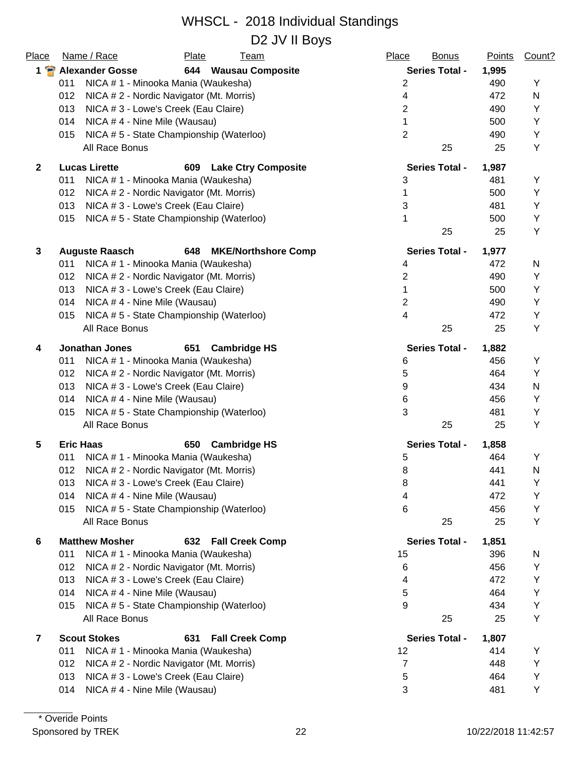| Place               | Name / Race                                     | Plate | <b>Team</b>                | Place             | <b>Bonus</b>          | <b>Points</b> | Count? |
|---------------------|-------------------------------------------------|-------|----------------------------|-------------------|-----------------------|---------------|--------|
| $1 \nightharpoonup$ | <b>Alexander Gosse</b>                          |       | 644 Wausau Composite       |                   | <b>Series Total -</b> | 1,995         |        |
|                     | 011<br>NICA # 1 - Minooka Mania (Waukesha)      |       |                            | $\overline{2}$    |                       | 490           | Υ      |
|                     | 012<br>NICA # 2 - Nordic Navigator (Mt. Morris) |       |                            | $\overline{4}$    |                       | 472           | N      |
|                     | 013<br>NICA # 3 - Lowe's Creek (Eau Claire)     |       |                            | $\overline{2}$    |                       | 490           | Υ      |
|                     | 014<br>NICA #4 - Nine Mile (Wausau)             |       |                            | 1                 |                       | 500           | Υ      |
|                     | NICA #5 - State Championship (Waterloo)<br>015  |       |                            | $\overline{2}$    |                       | 490           | Υ      |
|                     | All Race Bonus                                  |       |                            |                   | 25                    | 25            | Υ      |
| $\mathbf{2}$        | <b>Lucas Lirette</b>                            | 609   | <b>Lake Ctry Composite</b> |                   | <b>Series Total -</b> | 1,987         |        |
|                     | 011<br>NICA # 1 - Minooka Mania (Waukesha)      |       |                            | 3                 |                       | 481           | Y      |
|                     | NICA # 2 - Nordic Navigator (Mt. Morris)<br>012 |       |                            | 1                 |                       | 500           | Y      |
|                     | NICA # 3 - Lowe's Creek (Eau Claire)<br>013     |       |                            | 3                 |                       | 481           | Υ      |
|                     | 015<br>NICA #5 - State Championship (Waterloo)  |       |                            | 1                 |                       | 500           | Υ      |
|                     |                                                 |       |                            |                   | 25                    | 25            | Υ      |
| 3                   | <b>Auguste Raasch</b>                           | 648   | <b>MKE/Northshore Comp</b> |                   | <b>Series Total -</b> | 1,977         |        |
|                     | NICA # 1 - Minooka Mania (Waukesha)<br>011      |       |                            | 4                 |                       | 472           | N      |
|                     | 012<br>NICA # 2 - Nordic Navigator (Mt. Morris) |       |                            | 2                 |                       | 490           | Υ      |
|                     | 013<br>NICA # 3 - Lowe's Creek (Eau Claire)     |       |                            | 1                 |                       | 500           | Υ      |
|                     | 014<br>NICA #4 - Nine Mile (Wausau)             |       |                            | $\overline{2}$    |                       | 490           | Y      |
|                     | NICA #5 - State Championship (Waterloo)<br>015  |       |                            | 4                 |                       | 472           | Υ      |
|                     | All Race Bonus                                  |       |                            |                   | 25                    | 25            | Υ      |
| 4                   | <b>Jonathan Jones</b>                           | 651   | <b>Cambridge HS</b>        |                   | <b>Series Total -</b> | 1,882         |        |
|                     | NICA # 1 - Minooka Mania (Waukesha)<br>011      |       |                            | 6                 |                       | 456           | Υ      |
|                     | 012<br>NICA # 2 - Nordic Navigator (Mt. Morris) |       |                            | 5                 |                       | 464           | Y      |
|                     | 013<br>NICA # 3 - Lowe's Creek (Eau Claire)     |       |                            | 9                 |                       | 434           | N      |
|                     | 014<br>NICA #4 - Nine Mile (Wausau)             |       |                            | 6                 |                       | 456           | Υ      |
|                     | NICA #5 - State Championship (Waterloo)<br>015  |       |                            | 3                 |                       | 481           | Y      |
|                     | All Race Bonus                                  |       |                            |                   | 25                    | 25            | Υ      |
| 5                   | <b>Eric Haas</b>                                | 650   | <b>Cambridge HS</b>        |                   | <b>Series Total -</b> | 1,858         |        |
|                     | NICA # 1 - Minooka Mania (Waukesha)<br>011      |       |                            | 5                 |                       | 464           | Υ      |
|                     | NICA # 2 - Nordic Navigator (Mt. Morris)<br>012 |       |                            | 8                 |                       | 441           | N      |
|                     | NICA #3 - Lowe's Creek (Eau Claire)<br>013      |       |                            | 8                 |                       | 441           | Υ      |
|                     | 014<br>NICA #4 - Nine Mile (Wausau)             |       |                            | 4                 |                       | 472           | Υ      |
|                     | 015<br>NICA #5 - State Championship (Waterloo)  |       |                            | 6                 |                       | 456           | Y      |
|                     | All Race Bonus                                  |       |                            |                   | 25                    | 25            | Υ      |
| 6                   | <b>Matthew Mosher</b>                           | 632   | <b>Fall Creek Comp</b>     |                   | <b>Series Total -</b> | 1,851         |        |
|                     | 011<br>NICA # 1 - Minooka Mania (Waukesha)      |       |                            | 15                |                       | 396           | N      |
|                     | 012<br>NICA # 2 - Nordic Navigator (Mt. Morris) |       |                            | 6                 |                       | 456           | Υ      |
|                     | 013<br>NICA # 3 - Lowe's Creek (Eau Claire)     |       |                            | 4                 |                       | 472           | Υ      |
|                     | NICA #4 - Nine Mile (Wausau)<br>014             |       |                            | 5                 |                       | 464           | Υ      |
|                     | NICA #5 - State Championship (Waterloo)<br>015  |       |                            | 9                 |                       | 434           | Υ      |
|                     | All Race Bonus                                  |       |                            |                   | 25                    | 25            | Υ      |
| 7                   | <b>Scout Stokes</b>                             | 631   | <b>Fall Creek Comp</b>     |                   | <b>Series Total -</b> | 1,807         |        |
|                     | NICA # 1 - Minooka Mania (Waukesha)<br>011      |       |                            | $12 \overline{ }$ |                       | 414           | Y      |
|                     | NICA # 2 - Nordic Navigator (Mt. Morris)<br>012 |       |                            | 7                 |                       | 448           | Υ      |
|                     | NICA #3 - Lowe's Creek (Eau Claire)<br>013      |       |                            | 5                 |                       | 464           | Υ      |
|                     | NICA #4 - Nine Mile (Wausau)<br>014             |       |                            | 3                 |                       | 481           | Υ      |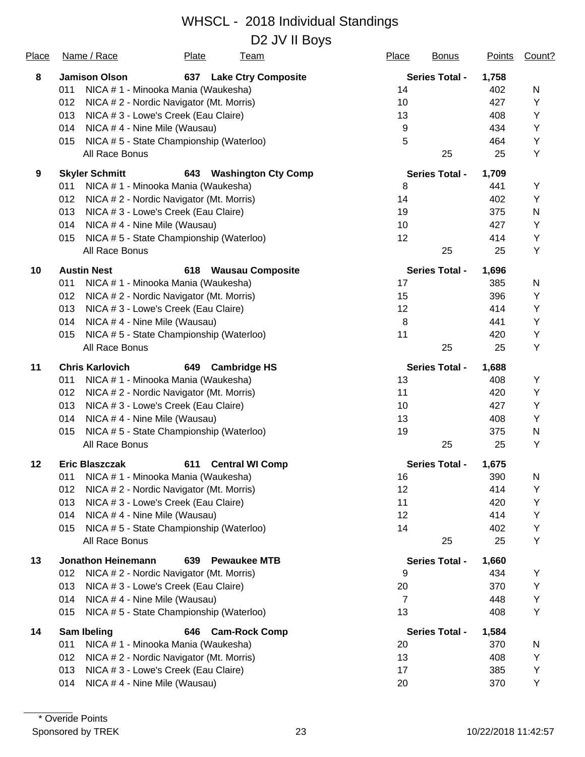D2 JV II Boys

| Place | Name / Race                             | Plate                                    | <b>Team</b>                | Place          | <b>Bonus</b>          | <b>Points</b> | Count?    |
|-------|-----------------------------------------|------------------------------------------|----------------------------|----------------|-----------------------|---------------|-----------|
| 8     | <b>Jamison Olson</b>                    | 637                                      | <b>Lake Ctry Composite</b> |                | <b>Series Total -</b> | 1,758         |           |
|       | 011                                     | NICA # 1 - Minooka Mania (Waukesha)      |                            | 14             |                       | 402           | N         |
|       | 012                                     | NICA # 2 - Nordic Navigator (Mt. Morris) |                            | 10             |                       | 427           | Υ         |
|       | 013                                     | NICA # 3 - Lowe's Creek (Eau Claire)     |                            | 13             |                       | 408           | Υ         |
|       | 014                                     | NICA #4 - Nine Mile (Wausau)             |                            | 9              |                       | 434           | Y         |
|       | 015                                     | NICA #5 - State Championship (Waterloo)  |                            | 5              |                       | 464           | Υ         |
|       | All Race Bonus                          |                                          |                            |                | 25                    | 25            | Υ         |
| 9     | <b>Skyler Schmitt</b>                   | 643                                      | <b>Washington Cty Comp</b> |                | <b>Series Total -</b> | 1,709         |           |
|       | 011                                     | NICA # 1 - Minooka Mania (Waukesha)      |                            | 8              |                       | 441           | Υ         |
|       | 012                                     | NICA # 2 - Nordic Navigator (Mt. Morris) |                            | 14             |                       | 402           | Y         |
|       | 013                                     | NICA # 3 - Lowe's Creek (Eau Claire)     |                            | 19             |                       | 375           | ${\sf N}$ |
|       | 014                                     | NICA #4 - Nine Mile (Wausau)             |                            | 10             |                       | 427           | Υ         |
|       | 015                                     | NICA # 5 - State Championship (Waterloo) |                            | 12             |                       | 414           | Υ         |
|       | All Race Bonus                          |                                          |                            |                | 25                    | 25            | Υ         |
| 10    | <b>Austin Nest</b>                      | 618                                      | <b>Wausau Composite</b>    |                | <b>Series Total -</b> | 1,696         |           |
|       | 011                                     | NICA # 1 - Minooka Mania (Waukesha)      |                            | 17             |                       | 385           | N         |
|       | 012                                     | NICA # 2 - Nordic Navigator (Mt. Morris) |                            | 15             |                       | 396           | Υ         |
|       | 013                                     | NICA # 3 - Lowe's Creek (Eau Claire)     |                            | 12             |                       | 414           | Υ         |
|       | 014                                     | NICA #4 - Nine Mile (Wausau)             |                            | 8              |                       | 441           | Υ         |
|       | 015                                     | NICA #5 - State Championship (Waterloo)  |                            | 11             |                       | 420           | Υ         |
|       | All Race Bonus                          |                                          |                            |                | 25                    | 25            | Υ         |
| 11    | <b>Chris Karlovich</b>                  | 649                                      | <b>Cambridge HS</b>        |                | <b>Series Total -</b> | 1,688         |           |
|       | 011                                     | NICA # 1 - Minooka Mania (Waukesha)      |                            | 13             |                       | 408           | Y         |
|       | 012                                     | NICA # 2 - Nordic Navigator (Mt. Morris) |                            | 11             |                       | 420           | Y         |
|       | 013                                     | NICA # 3 - Lowe's Creek (Eau Claire)     |                            | 10             |                       | 427           | Υ         |
|       | 014                                     | NICA #4 - Nine Mile (Wausau)             |                            | 13             |                       | 408           | Υ         |
|       | 015                                     | NICA #5 - State Championship (Waterloo)  |                            | 19             |                       | 375           | N         |
|       | All Race Bonus                          |                                          |                            |                | 25                    | 25            | Y         |
| 12    | <b>Eric Blaszczak</b>                   | 611                                      | <b>Central WI Comp</b>     |                | <b>Series Total -</b> | 1,675         |           |
|       | 011 NICA # 1 - Minooka Mania (Waukesha) |                                          |                            | 16             |                       | 390           | N         |
|       | 012                                     | NICA # 2 - Nordic Navigator (Mt. Morris) |                            | 12             |                       | 414           | Y         |
|       | 013                                     | NICA # 3 - Lowe's Creek (Eau Claire)     |                            | 11             |                       | 420           | Υ         |
|       | 014                                     | NICA #4 - Nine Mile (Wausau)             |                            | 12             |                       | 414           | Υ         |
|       | 015                                     | NICA #5 - State Championship (Waterloo)  |                            | 14             |                       | 402           | Υ         |
|       | All Race Bonus                          |                                          |                            |                | 25                    | 25            | Υ         |
| 13    | <b>Jonathon Heinemann</b>               | 639                                      | <b>Pewaukee MTB</b>        |                | <b>Series Total -</b> | 1,660         |           |
|       | 012                                     | NICA # 2 - Nordic Navigator (Mt. Morris) |                            | 9              |                       | 434           | Υ         |
|       | 013                                     | NICA # 3 - Lowe's Creek (Eau Claire)     |                            | 20             |                       | 370           | Υ         |
|       | 014                                     | NICA #4 - Nine Mile (Wausau)             |                            | $\overline{7}$ |                       | 448           | Υ         |
|       | 015                                     | NICA #5 - State Championship (Waterloo)  |                            | 13             |                       | 408           | Υ         |
| 14    | Sam Ibeling                             | 646                                      | <b>Cam-Rock Comp</b>       |                | <b>Series Total -</b> | 1,584         |           |
|       | 011                                     | NICA # 1 - Minooka Mania (Waukesha)      |                            | 20             |                       | 370           | N         |
|       | 012                                     | NICA # 2 - Nordic Navigator (Mt. Morris) |                            | 13             |                       | 408           | Y         |
|       | 013                                     | NICA # 3 - Lowe's Creek (Eau Claire)     |                            | 17             |                       | 385           | Υ         |
|       | 014                                     | NICA #4 - Nine Mile (Wausau)             |                            | 20             |                       | 370           | Υ         |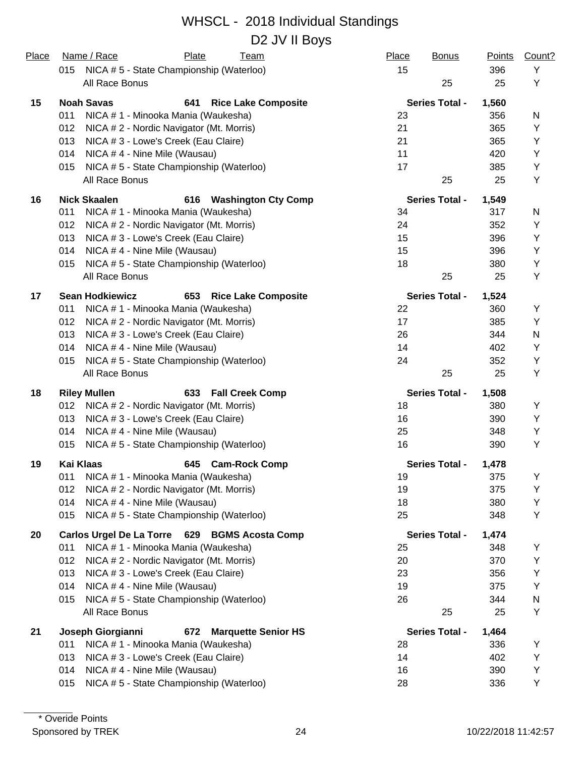#### WHSCL - 2018 Individual Standings D2 JV II Boys

| <b>Place</b> | Name / Race<br>Plate<br><b>Team</b><br>015<br>NICA # 5 - State Championship (Waterloo) | Place<br><b>Bonus</b><br>15 | <b>Points</b><br>396 | Count?<br>Y |
|--------------|----------------------------------------------------------------------------------------|-----------------------------|----------------------|-------------|
|              | All Race Bonus                                                                         | 25                          | 25                   | Y           |
| 15           | <b>Noah Savas</b><br>641<br><b>Rice Lake Composite</b>                                 | <b>Series Total -</b>       | 1,560                |             |
|              | 011<br>NICA # 1 - Minooka Mania (Waukesha)                                             | 23                          | 356                  | N           |
|              | NICA # 2 - Nordic Navigator (Mt. Morris)<br>012                                        | 21                          | 365                  | Υ           |
|              | 013<br>NICA # 3 - Lowe's Creek (Eau Claire)                                            | 21                          | 365                  | Y           |
|              | 014<br>NICA #4 - Nine Mile (Wausau)                                                    | 11                          | 420                  | Y           |
|              | NICA #5 - State Championship (Waterloo)<br>015                                         | 17                          | 385                  | Υ           |
|              | All Race Bonus                                                                         | 25                          | 25                   | Υ           |
| 16           | <b>Nick Skaalen</b><br><b>Washington Cty Comp</b><br>616                               | <b>Series Total -</b>       | 1,549                |             |
|              | NICA # 1 - Minooka Mania (Waukesha)<br>011                                             | 34                          | 317                  | N           |
|              | 012<br>NICA # 2 - Nordic Navigator (Mt. Morris)                                        | 24                          | 352                  | Υ           |
|              | 013<br>NICA # 3 - Lowe's Creek (Eau Claire)                                            | 15                          | 396                  | Υ           |
|              | 014<br>NICA #4 - Nine Mile (Wausau)                                                    | 15                          | 396                  | Y           |
|              | NICA #5 - State Championship (Waterloo)<br>015                                         | 18                          | 380                  | Υ           |
|              | All Race Bonus                                                                         | 25                          | 25                   | Υ           |
| 17           | <b>Sean Hodkiewicz</b><br>653<br><b>Rice Lake Composite</b>                            | <b>Series Total -</b>       | 1,524                |             |
|              | NICA # 1 - Minooka Mania (Waukesha)<br>011                                             | 22                          | 360                  | Υ           |
|              | 012<br>NICA # 2 - Nordic Navigator (Mt. Morris)                                        | 17                          | 385                  | Y           |
|              | 013<br>NICA # 3 - Lowe's Creek (Eau Claire)                                            | 26                          | 344                  | N           |
|              | 014<br>NICA #4 - Nine Mile (Wausau)                                                    | 14                          | 402                  | Υ           |
|              | NICA #5 - State Championship (Waterloo)<br>015                                         | 24                          | 352                  | Y           |
|              | All Race Bonus                                                                         | 25                          | 25                   | Y           |
| 18           | <b>Riley Mullen</b><br>633<br><b>Fall Creek Comp</b>                                   | <b>Series Total -</b>       | 1,508                |             |
|              | NICA # 2 - Nordic Navigator (Mt. Morris)<br>012                                        | 18                          | 380                  | Υ           |
|              | 013<br>NICA # 3 - Lowe's Creek (Eau Claire)                                            | 16                          | 390                  | Y           |
|              | NICA #4 - Nine Mile (Wausau)<br>014                                                    | 25                          | 348                  | Υ           |
|              | NICA #5 - State Championship (Waterloo)<br>015                                         | 16                          | 390                  | Y           |
| 19           | <b>Kai Klaas</b><br><b>Cam-Rock Comp</b><br>645                                        | <b>Series Total -</b>       | 1,478                |             |
|              | 011 NICA # 1 - Minooka Mania (Waukesha)                                                | 19                          | 375                  | Y           |
|              | NICA # 2 - Nordic Navigator (Mt. Morris)<br>012                                        | 19                          | 375                  | Y           |
|              | NICA #4 - Nine Mile (Wausau)<br>014                                                    | 18                          | 380                  | Y           |
|              | NICA #5 - State Championship (Waterloo)<br>015                                         | 25                          | 348                  | Υ           |
| 20           | Carlos Urgel De La Torre 629 BGMS Acosta Comp                                          | <b>Series Total -</b>       | 1,474                |             |
|              | NICA # 1 - Minooka Mania (Waukesha)<br>011                                             | 25                          | 348                  | Y           |
|              | NICA # 2 - Nordic Navigator (Mt. Morris)<br>012                                        | 20                          | 370                  | Y           |
|              | NICA # 3 - Lowe's Creek (Eau Claire)<br>013                                            | 23                          | 356                  | Υ           |
|              | NICA # 4 - Nine Mile (Wausau)<br>014                                                   | 19                          | 375                  | Y           |
|              | NICA #5 - State Championship (Waterloo)<br>015                                         | 26                          | 344                  | N           |
|              | All Race Bonus                                                                         | 25                          | 25                   | Υ           |
| 21           | Joseph Giorgianni<br><b>Marquette Senior HS</b><br>672                                 | <b>Series Total -</b>       | 1,464                |             |
|              | 011<br>NICA # 1 - Minooka Mania (Waukesha)                                             | 28                          | 336                  | Υ           |
|              | 013<br>NICA # 3 - Lowe's Creek (Eau Claire)                                            | 14                          | 402                  | Υ           |
|              | 014<br>NICA #4 - Nine Mile (Wausau)                                                    | 16                          | 390                  | Υ           |
|              | NICA # 5 - State Championship (Waterloo)<br>015                                        | 28                          | 336                  | Y           |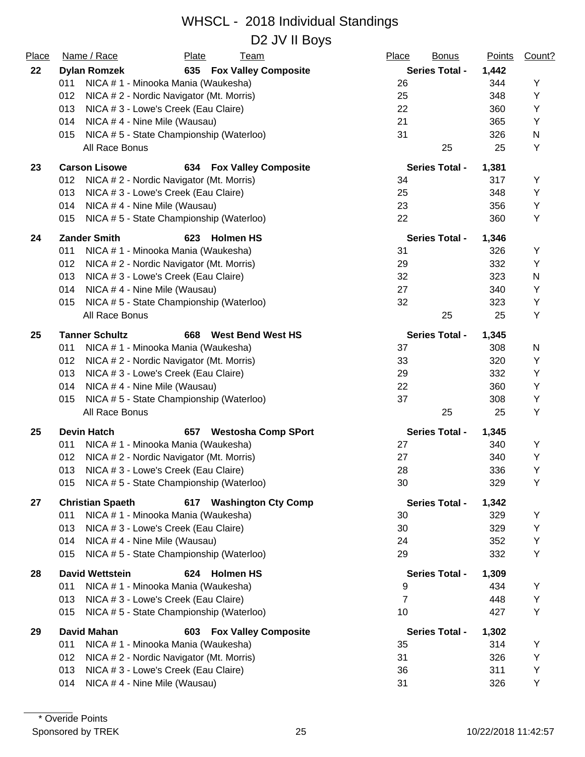D2 JV II Boys

| Place | Name / Race<br>Plate<br><b>Team</b>                        | Place<br><b>Bonus</b> | <b>Points</b> | Count? |
|-------|------------------------------------------------------------|-----------------------|---------------|--------|
| 22    | 635 Fox Valley Composite<br><b>Dylan Romzek</b>            | <b>Series Total -</b> | 1,442         |        |
|       | 011<br>NICA # 1 - Minooka Mania (Waukesha)                 | 26                    | 344           | Y      |
|       | 012<br>NICA # 2 - Nordic Navigator (Mt. Morris)            | 25                    | 348           | Y      |
|       | 013<br>NICA # 3 - Lowe's Creek (Eau Claire)                | 22                    | 360           | Y      |
|       | 014<br>NICA #4 - Nine Mile (Wausau)                        | 21                    | 365           | Y      |
|       | 015<br>NICA #5 - State Championship (Waterloo)             | 31                    | 326           | N      |
|       | All Race Bonus                                             | 25                    | 25            | Υ      |
| 23    | <b>Carson Lisowe</b><br>634<br><b>Fox Valley Composite</b> | <b>Series Total -</b> | 1,381         |        |
|       | 012<br>NICA # 2 - Nordic Navigator (Mt. Morris)            | 34                    | 317           | Υ      |
|       | 013<br>NICA # 3 - Lowe's Creek (Eau Claire)                | 25                    | 348           | Υ      |
|       | 014<br>NICA #4 - Nine Mile (Wausau)                        | 23                    | 356           | Y      |
|       | NICA #5 - State Championship (Waterloo)<br>015             | 22                    | 360           | Y      |
| 24    | <b>Zander Smith</b><br><b>Holmen HS</b><br>623             | <b>Series Total -</b> | 1,346         |        |
|       | NICA # 1 - Minooka Mania (Waukesha)<br>011                 | 31                    | 326           | Υ      |
|       | 012<br>NICA # 2 - Nordic Navigator (Mt. Morris)            | 29                    | 332           | Υ      |
|       | NICA # 3 - Lowe's Creek (Eau Claire)<br>013                | 32                    | 323           | N      |
|       | 014<br>NICA #4 - Nine Mile (Wausau)                        | 27                    | 340           | Υ      |
|       | NICA #5 - State Championship (Waterloo)<br>015             | 32                    | 323           | Υ      |
|       | All Race Bonus                                             | 25                    | 25            | Y      |
| 25    | <b>Tanner Schultz</b><br>668<br><b>West Bend West HS</b>   | <b>Series Total -</b> | 1,345         |        |
|       | 011<br>NICA # 1 - Minooka Mania (Waukesha)                 | 37                    | 308           | N      |
|       | 012<br>NICA # 2 - Nordic Navigator (Mt. Morris)            | 33                    | 320           | Υ      |
|       | 013<br>NICA # 3 - Lowe's Creek (Eau Claire)                | 29                    | 332           | Υ      |
|       | 014<br>NICA #4 - Nine Mile (Wausau)                        | 22                    | 360           | Υ      |
|       | 015<br>NICA #5 - State Championship (Waterloo)             | 37                    | 308           | Y      |
|       | All Race Bonus                                             | 25                    | 25            | Υ      |
| 25    | <b>Devin Hatch</b><br>657<br><b>Westosha Comp SPort</b>    | <b>Series Total -</b> | 1,345         |        |
|       | 011<br>NICA # 1 - Minooka Mania (Waukesha)                 | 27                    | 340           | Υ      |
|       | 012<br>NICA # 2 - Nordic Navigator (Mt. Morris)            | 27                    | 340           | Y      |
|       | 013<br>NICA # 3 - Lowe's Creek (Eau Claire)                | 28                    | 336           | Y      |
|       | NICA #5 - State Championship (Waterloo)<br>015             | 30                    | 329           | Y      |
| 27    | <b>Christian Spaeth</b><br>617 Washington Cty Comp         | <b>Series Total -</b> | 1,342         |        |
|       | 011<br>NICA # 1 - Minooka Mania (Waukesha)                 | 30                    | 329           | Y      |
|       | 013<br>NICA # 3 - Lowe's Creek (Eau Claire)                | 30                    | 329           | Υ      |
|       | NICA #4 - Nine Mile (Wausau)<br>014                        | 24                    | 352           | Υ      |
|       | 015<br>NICA #5 - State Championship (Waterloo)             | 29                    | 332           | Υ      |
| 28    | <b>Holmen HS</b><br><b>David Wettstein</b><br>624          | <b>Series Total -</b> | 1,309         |        |
|       | 011<br>NICA # 1 - Minooka Mania (Waukesha)                 | 9                     | 434           | Υ      |
|       | 013<br>NICA # 3 - Lowe's Creek (Eau Claire)                | 7                     | 448           | Υ      |
|       | NICA #5 - State Championship (Waterloo)<br>015             | 10                    | 427           | Υ      |
| 29    | <b>David Mahan</b><br>603<br><b>Fox Valley Composite</b>   | <b>Series Total -</b> | 1,302         |        |
|       | 011<br>NICA # 1 - Minooka Mania (Waukesha)                 | 35                    | 314           | Υ      |
|       | 012<br>NICA # 2 - Nordic Navigator (Mt. Morris)            | 31                    | 326           | Υ      |
|       | 013<br>NICA # 3 - Lowe's Creek (Eau Claire)                | 36                    | 311           | Υ      |
|       | 014<br>NICA #4 - Nine Mile (Wausau)                        | 31                    | 326           | Υ      |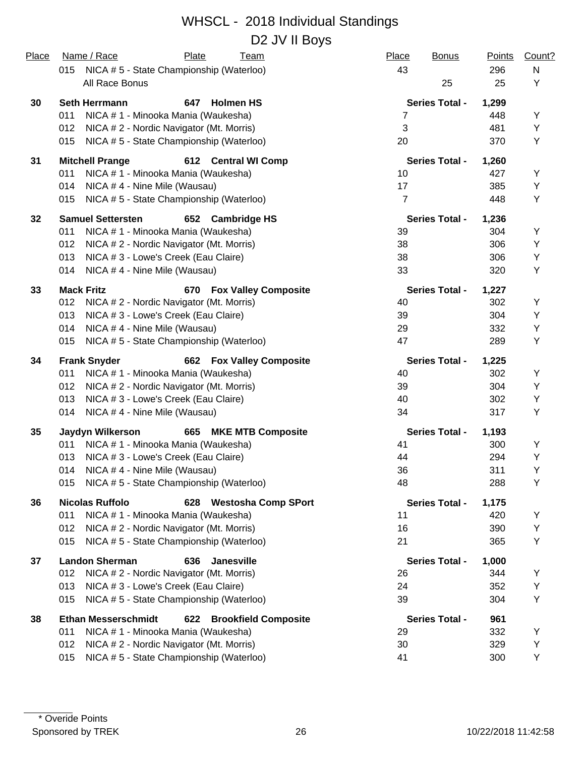#### WHSCL - 2018 Individual Standings D2 JV II Boys

| Place | Name / Race<br>Plate<br><b>Team</b>                              | Place<br><b>Bonus</b> | <b>Points</b> | Count? |
|-------|------------------------------------------------------------------|-----------------------|---------------|--------|
|       | NICA #5 - State Championship (Waterloo)<br>015                   | 43                    | 296           | N      |
|       | All Race Bonus                                                   | 25                    | 25            | Υ      |
| 30    | <b>Seth Herrmann</b><br>647<br><b>Holmen HS</b>                  | <b>Series Total -</b> | 1,299         |        |
|       | 011<br>NICA # 1 - Minooka Mania (Waukesha)                       | 7                     | 448           | Υ      |
|       | NICA # 2 - Nordic Navigator (Mt. Morris)<br>012                  | 3                     | 481           | Y      |
|       | NICA #5 - State Championship (Waterloo)<br>015                   | 20                    | 370           | Υ      |
| 31    | <b>Mitchell Prange</b><br>612 Central WI Comp                    | <b>Series Total -</b> | 1,260         |        |
|       | 011<br>NICA # 1 - Minooka Mania (Waukesha)                       | 10                    | 427           | Υ      |
|       | NICA #4 - Nine Mile (Wausau)<br>014                              | 17                    | 385           | Υ      |
|       | NICA #5 - State Championship (Waterloo)<br>015                   | $\overline{7}$        | 448           | Υ      |
| 32    | <b>Samuel Settersten</b><br>652 Cambridge HS                     | <b>Series Total -</b> | 1,236         |        |
|       | 011<br>NICA # 1 - Minooka Mania (Waukesha)                       | 39                    | 304           | Y      |
|       | 012<br>NICA # 2 - Nordic Navigator (Mt. Morris)                  | 38                    | 306           | Y      |
|       | 013<br>NICA # 3 - Lowe's Creek (Eau Claire)                      | 38                    | 306           | Υ      |
|       | NICA #4 - Nine Mile (Wausau)<br>014                              | 33                    | 320           | Υ      |
| 33    | <b>Mack Fritz</b><br>670 Fox Valley Composite                    | <b>Series Total -</b> | 1,227         |        |
|       | 012<br>NICA # 2 - Nordic Navigator (Mt. Morris)                  | 40                    | 302           | Y      |
|       | 013<br>NICA # 3 - Lowe's Creek (Eau Claire)                      | 39                    | 304           | Υ      |
|       | NICA #4 - Nine Mile (Wausau)<br>014                              | 29                    | 332           | Υ      |
|       | NICA #5 - State Championship (Waterloo)<br>015                   | 47                    | 289           | Υ      |
| 34    | <b>Frank Snyder</b><br><b>662 Fox Valley Composite</b>           | <b>Series Total -</b> | 1,225         |        |
|       | NICA # 1 - Minooka Mania (Waukesha)<br>011                       | 40                    | 302           | Υ      |
|       | 012<br>NICA # 2 - Nordic Navigator (Mt. Morris)                  | 39                    | 304           | Υ      |
|       | 013<br>NICA # 3 - Lowe's Creek (Eau Claire)                      | 40                    | 302           | Υ      |
|       | NICA # 4 - Nine Mile (Wausau)<br>014                             | 34                    | 317           | Υ      |
| 35    | <b>MKE MTB Composite</b><br><b>Jaydyn Wilkerson</b><br>665       | <b>Series Total -</b> | 1,193         |        |
|       | NICA # 1 - Minooka Mania (Waukesha)<br>011                       | 41                    | 300           | Υ      |
|       | NICA # 3 - Lowe's Creek (Eau Claire)<br>013                      | 44                    | 294           | Υ      |
|       | NICA #4 - Nine Mile (Wausau)<br>014                              | 36                    | 311           | Υ      |
|       | NICA # 5 - State Championship (Waterloo)<br>015                  | 48                    | 288           | Υ      |
| 36    | <b>Nicolas Ruffolo</b><br>628 Westosha Comp SPort                | <b>Series Total -</b> | 1,175         |        |
|       | NICA # 1 - Minooka Mania (Waukesha)<br>011                       | 11                    | 420           | Y      |
|       | 012<br>NICA # 2 - Nordic Navigator (Mt. Morris)                  | 16                    | 390           | Υ      |
|       | NICA #5 - State Championship (Waterloo)<br>015                   | 21                    | 365           | Υ      |
| 37    | <b>Landon Sherman</b><br>636<br>Janesville                       | <b>Series Total -</b> | 1,000         |        |
|       | 012<br>NICA # 2 - Nordic Navigator (Mt. Morris)                  | 26                    | 344           | Y      |
|       | NICA # 3 - Lowe's Creek (Eau Claire)<br>013                      | 24                    | 352           | Υ      |
|       | NICA # 5 - State Championship (Waterloo)<br>015                  | 39                    | 304           | Υ      |
| 38    | <b>Ethan Messerschmidt</b><br>622<br><b>Brookfield Composite</b> | <b>Series Total -</b> | 961           |        |
|       | 011<br>NICA # 1 - Minooka Mania (Waukesha)                       | 29                    | 332           | Υ      |
|       | NICA # 2 - Nordic Navigator (Mt. Morris)<br>012                  | 30                    | 329           | Υ      |
|       | NICA #5 - State Championship (Waterloo)<br>015                   | 41                    | 300           | Υ      |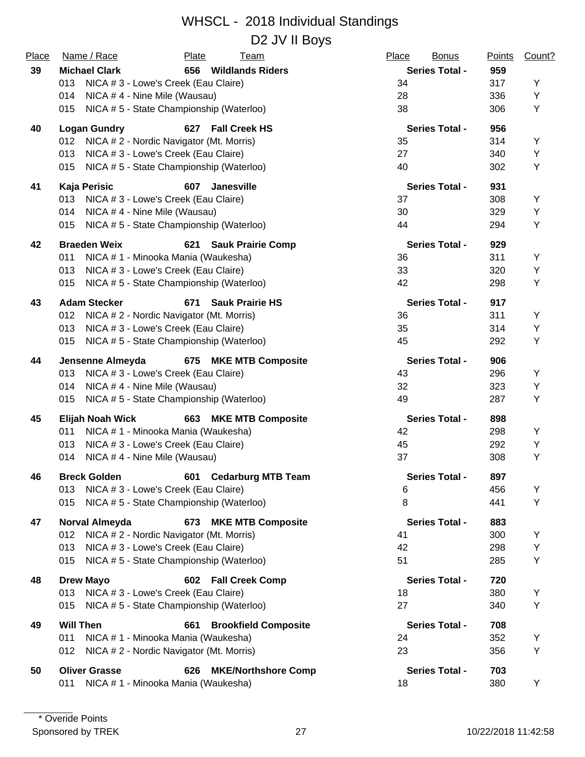D2 JV II Boys

| Place | Name / Race                                     | Plate | <b>Team</b>                 | Place | <b>Bonus</b>          | <b>Points</b> | Count? |
|-------|-------------------------------------------------|-------|-----------------------------|-------|-----------------------|---------------|--------|
| 39    | <b>Michael Clark</b>                            |       | 656 Wildlands Riders        |       | <b>Series Total -</b> | 959           |        |
|       | NICA # 3 - Lowe's Creek (Eau Claire)<br>013     |       |                             | 34    |                       | 317           | Y      |
|       | 014<br>NICA #4 - Nine Mile (Wausau)             |       |                             | 28    |                       | 336           | Υ      |
|       | NICA #5 - State Championship (Waterloo)<br>015  |       |                             | 38    |                       | 306           | Y      |
| 40    | <b>Logan Gundry</b>                             |       | 627 Fall Creek HS           |       | <b>Series Total -</b> | 956           |        |
|       | 012 NICA # 2 - Nordic Navigator (Mt. Morris)    |       |                             | 35    |                       | 314           | Y      |
|       | 013<br>NICA # 3 - Lowe's Creek (Eau Claire)     |       |                             | 27    |                       | 340           | Υ      |
|       | NICA #5 - State Championship (Waterloo)<br>015  |       |                             | 40    |                       | 302           | Υ      |
| 41    | Kaja Perisic                                    | 607   | Janesville                  |       | <b>Series Total -</b> | 931           |        |
|       | 013<br>NICA # 3 - Lowe's Creek (Eau Claire)     |       |                             | 37    |                       | 308           | Y      |
|       | 014<br>NICA #4 - Nine Mile (Wausau)             |       |                             | 30    |                       | 329           | Υ      |
|       | NICA #5 - State Championship (Waterloo)<br>015  |       |                             | 44    |                       | 294           | Y      |
| 42    | <b>Braeden Weix</b>                             |       | 621 Sauk Prairie Comp       |       | <b>Series Total -</b> | 929           |        |
|       | NICA # 1 - Minooka Mania (Waukesha)<br>011      |       |                             | 36    |                       | 311           | Y      |
|       | NICA # 3 - Lowe's Creek (Eau Claire)<br>013     |       |                             | 33    |                       | 320           | Υ      |
|       | NICA #5 - State Championship (Waterloo)<br>015  |       |                             | 42    |                       | 298           | Y      |
| 43    | <b>Adam Stecker</b>                             | 671   | <b>Sauk Prairie HS</b>      |       | <b>Series Total -</b> | 917           |        |
|       | NICA # 2 - Nordic Navigator (Mt. Morris)<br>012 |       |                             | 36    |                       | 311           | Y      |
|       | NICA # 3 - Lowe's Creek (Eau Claire)<br>013     |       |                             | 35    |                       | 314           | Υ      |
|       | NICA #5 - State Championship (Waterloo)<br>015  |       |                             | 45    |                       | 292           | Υ      |
| 44    | Jensenne Almeyda                                |       | 675 MKE MTB Composite       |       | <b>Series Total -</b> | 906           |        |
|       | 013<br>NICA # 3 - Lowe's Creek (Eau Claire)     |       |                             | 43    |                       | 296           | Y      |
|       | NICA #4 - Nine Mile (Wausau)<br>014             |       |                             | 32    |                       | 323           | Υ      |
|       | NICA #5 - State Championship (Waterloo)<br>015  |       |                             | 49    |                       | 287           | Υ      |
| 45    | Elijah Noah Wick                                |       | 663 MKE MTB Composite       |       | <b>Series Total -</b> | 898           |        |
|       | NICA # 1 - Minooka Mania (Waukesha)<br>011      |       |                             | 42    |                       | 298           | Y      |
|       | 013<br>NICA # 3 - Lowe's Creek (Eau Claire)     |       |                             | 45    |                       | 292           | Υ      |
|       | 014<br>NICA #4 - Nine Mile (Wausau)             |       |                             | 37    |                       | 308           | Y      |
| 46    | <b>Breck Golden</b>                             |       | 601 Cedarburg MTB Team      |       | <b>Series Total -</b> | 897           |        |
|       | 013 NICA # 3 - Lowe's Creek (Eau Claire)        |       |                             | 6     |                       | 456           | Y      |
|       | NICA #5 - State Championship (Waterloo)<br>015  |       |                             | 8     |                       | 441           | Υ      |
| 47    | Norval Almeyda                                  |       | 673 MKE MTB Composite       |       | <b>Series Total -</b> | 883           |        |
|       | NICA # 2 - Nordic Navigator (Mt. Morris)<br>012 |       |                             | 41    |                       | 300           | Y      |
|       | NICA # 3 - Lowe's Creek (Eau Claire)<br>013     |       |                             | 42    |                       | 298           | Υ      |
|       | NICA #5 - State Championship (Waterloo)<br>015  |       |                             | 51    |                       | 285           | Υ      |
| 48    | <b>Drew Mayo</b>                                |       | 602 Fall Creek Comp         |       | <b>Series Total -</b> | 720           |        |
|       | 013 NICA # 3 - Lowe's Creek (Eau Claire)        |       |                             | 18    |                       | 380           | Y      |
|       | NICA #5 - State Championship (Waterloo)<br>015  |       |                             | 27    |                       | 340           | Υ      |
| 49    | <b>Will Then</b>                                | 661   | <b>Brookfield Composite</b> |       | <b>Series Total -</b> | 708           |        |
|       | 011<br>NICA # 1 - Minooka Mania (Waukesha)      |       |                             | 24    |                       | 352           | Y      |
|       | NICA # 2 - Nordic Navigator (Mt. Morris)<br>012 |       |                             | 23    |                       | 356           | Υ      |
| 50    | <b>Oliver Grasse</b>                            | 626   | <b>MKE/Northshore Comp</b>  |       | <b>Series Total -</b> | 703           |        |
|       | NICA # 1 - Minooka Mania (Waukesha)<br>011      |       |                             | 18    |                       | 380           | Y      |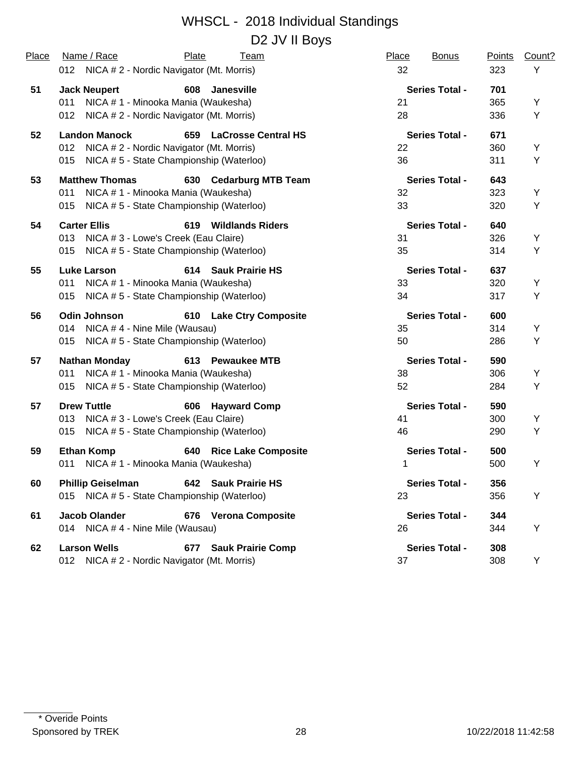| Place | Name / Race                                     | Plate<br><u>Team</u>              | Place<br><b>Bonus</b><br>32 | Points<br>323 | Count? |
|-------|-------------------------------------------------|-----------------------------------|-----------------------------|---------------|--------|
|       | 012 NICA # 2 - Nordic Navigator (Mt. Morris)    |                                   |                             |               | Υ      |
| 51    | <b>Jack Neupert</b>                             | 608 Janesville                    | <b>Series Total -</b>       | 701           |        |
|       | 011<br>NICA # 1 - Minooka Mania (Waukesha)      |                                   | 21                          | 365           | Y      |
|       | NICA # 2 - Nordic Navigator (Mt. Morris)<br>012 |                                   | 28                          | 336           | Y      |
| 52    | <b>Landon Manock</b>                            | 659 LaCrosse Central HS           | <b>Series Total -</b>       | 671           |        |
|       | NICA # 2 - Nordic Navigator (Mt. Morris)<br>012 |                                   | 22                          | 360           | Y      |
|       | NICA #5 - State Championship (Waterloo)<br>015  |                                   | 36                          | 311           | Y      |
| 53    | <b>Matthew Thomas</b>                           | 630 Cedarburg MTB Team            | <b>Series Total -</b>       | 643           |        |
|       | 011<br>NICA # 1 - Minooka Mania (Waukesha)      |                                   | 32                          | 323           | Y      |
|       | NICA #5 - State Championship (Waterloo)<br>015  |                                   | 33                          | 320           | Υ      |
| 54    | <b>Carter Ellis</b>                             | 619<br><b>Wildlands Riders</b>    | <b>Series Total -</b>       | 640           |        |
|       | 013<br>NICA # 3 - Lowe's Creek (Eau Claire)     |                                   | 31                          | 326           | Y      |
|       | NICA #5 - State Championship (Waterloo)<br>015  |                                   | 35                          | 314           | Υ      |
| 55    | <b>Luke Larson</b>                              | 614 Sauk Prairie HS               | <b>Series Total -</b>       | 637           |        |
|       | NICA # 1 - Minooka Mania (Waukesha)<br>011      |                                   | 33                          | 320           | Y      |
|       | NICA #5 - State Championship (Waterloo)<br>015  |                                   | 34                          | 317           | Υ      |
| 56    | <b>Odin Johnson</b>                             | 610 Lake Ctry Composite           | <b>Series Total -</b>       | 600           |        |
|       | NICA #4 - Nine Mile (Wausau)<br>014             |                                   | 35                          | 314           | Y      |
|       | NICA #5 - State Championship (Waterloo)<br>015  |                                   | 50                          | 286           | Υ      |
| 57    | <b>Nathan Monday</b>                            | 613 Pewaukee MTB                  | <b>Series Total -</b>       | 590           |        |
|       | NICA # 1 - Minooka Mania (Waukesha)<br>011      |                                   | 38                          | 306           | Y      |
|       | NICA #5 - State Championship (Waterloo)<br>015  |                                   | 52                          | 284           | Υ      |
| 57    | <b>Drew Tuttle</b>                              | <b>Hayward Comp</b><br>606        | <b>Series Total -</b>       | 590           |        |
|       | NICA # 3 - Lowe's Creek (Eau Claire)<br>013     |                                   | 41                          | 300           | Υ      |
|       | NICA #5 - State Championship (Waterloo)<br>015  |                                   | 46                          | 290           | Υ      |
| 59    | <b>Ethan Komp</b>                               | <b>Rice Lake Composite</b><br>640 | <b>Series Total -</b>       | 500           |        |
|       | NICA # 1 - Minooka Mania (Waukesha)<br>011      |                                   | 1                           | 500           | Υ      |
| 60    | <b>Phillip Geiselman</b>                        | 642 Sauk Prairie HS               | <b>Series Total -</b>       | 356           |        |
|       | 015 NICA #5 - State Championship (Waterloo)     |                                   | 23                          | 356           | Y      |
| 61    | <b>Jacob Olander</b>                            | 676 Verona Composite              | <b>Series Total -</b>       | 344           |        |
|       | 014 NICA #4 - Nine Mile (Wausau)                |                                   | 26                          | 344           | Υ      |
| 62    | <b>Larson Wells</b>                             | 677 Sauk Prairie Comp             | <b>Series Total -</b>       | 308           |        |
|       | 012 NICA # 2 - Nordic Navigator (Mt. Morris)    |                                   | 37                          | 308           | Υ      |
|       |                                                 |                                   |                             |               |        |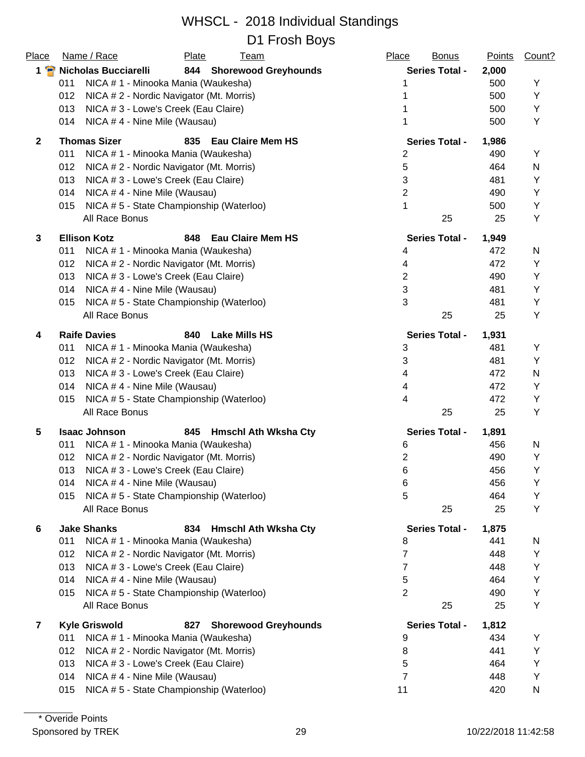| Place          | Name / Race                                     | Plate<br><b>Team</b>                     | Place<br><b>Bonus</b> | <b>Points</b> | Count? |
|----------------|-------------------------------------------------|------------------------------------------|-----------------------|---------------|--------|
| $1$ $\bullet$  | <b>Nicholas Bucciarelli</b>                     | 844 Shorewood Greyhounds                 | <b>Series Total -</b> | 2,000         |        |
|                | NICA # 1 - Minooka Mania (Waukesha)<br>011      |                                          |                       | 500           | Υ      |
|                | 012<br>NICA # 2 - Nordic Navigator (Mt. Morris) |                                          |                       | 500           | Y      |
|                | NICA # 3 - Lowe's Creek (Eau Claire)<br>013     |                                          |                       | 500           | Υ      |
|                | NICA #4 - Nine Mile (Wausau)<br>014             |                                          |                       | 500           | Υ      |
| $\overline{2}$ | <b>Thomas Sizer</b>                             | 835<br><b>Eau Claire Mem HS</b>          | <b>Series Total -</b> | 1,986         |        |
|                | 011<br>NICA # 1 - Minooka Mania (Waukesha)      |                                          | 2                     | 490           | Y      |
|                | 012<br>NICA # 2 - Nordic Navigator (Mt. Morris) |                                          | 5                     | 464           | N      |
|                | 013<br>NICA # 3 - Lowe's Creek (Eau Claire)     |                                          | 3                     | 481           | Υ      |
|                | NICA #4 - Nine Mile (Wausau)<br>014             |                                          | $\overline{2}$        | 490           | Υ      |
|                | 015                                             | NICA #5 - State Championship (Waterloo)  | 1                     | 500           | Υ      |
|                | All Race Bonus                                  |                                          | 25                    | 25            | Υ      |
| 3              | <b>Ellison Kotz</b>                             | 848<br><b>Eau Claire Mem HS</b>          | <b>Series Total -</b> | 1,949         |        |
|                | NICA # 1 - Minooka Mania (Waukesha)<br>011      |                                          | 4                     | 472           | N      |
|                | 012<br>NICA # 2 - Nordic Navigator (Mt. Morris) |                                          | 4                     | 472           | Υ      |
|                | 013<br>NICA # 3 - Lowe's Creek (Eau Claire)     |                                          | $\mathbf{2}$          | 490           | Y      |
|                | NICA #4 - Nine Mile (Wausau)<br>014             |                                          | 3                     | 481           | Y      |
|                | 015                                             | NICA #5 - State Championship (Waterloo)  | 3                     | 481           | Y      |
|                | All Race Bonus                                  |                                          | 25                    | 25            | Y      |
| 4              | <b>Raife Davies</b>                             | 840<br><b>Lake Mills HS</b>              | <b>Series Total -</b> | 1,931         |        |
|                | NICA # 1 - Minooka Mania (Waukesha)<br>011      |                                          | 3                     | 481           | Y      |
|                | 012<br>NICA # 2 - Nordic Navigator (Mt. Morris) |                                          | 3                     | 481           | Y      |
|                | 013<br>NICA # 3 - Lowe's Creek (Eau Claire)     |                                          | 4                     | 472           | N      |
|                | 014<br>NICA #4 - Nine Mile (Wausau)             |                                          | 4                     | 472           | Υ      |
|                | 015                                             | NICA #5 - State Championship (Waterloo)  | 4                     | 472           | Υ      |
|                | All Race Bonus                                  |                                          | 25                    | 25            | Υ      |
| 5              | <b>Isaac Johnson</b>                            | 845<br><b>Hmschl Ath Wksha Cty</b>       | <b>Series Total -</b> | 1,891         |        |
|                | NICA # 1 - Minooka Mania (Waukesha)<br>011      |                                          | 6                     | 456           | N      |
|                | NICA # 2 - Nordic Navigator (Mt. Morris)<br>012 |                                          | 2                     | 490           | Υ      |
|                | 013<br>NICA # 3 - Lowe's Creek (Eau Claire)     |                                          | 6                     | 456           | Υ      |
|                | NICA # 4 - Nine Mile (Wausau)<br>014            |                                          | 6                     | 456           | Y      |
|                | 015                                             | NICA # 5 - State Championship (Waterloo) | 5                     | 464           | Υ      |
|                | All Race Bonus                                  |                                          | 25                    | 25            | Υ      |
| 6              | <b>Jake Shanks</b>                              | 834<br><b>Hmschl Ath Wksha Cty</b>       | <b>Series Total -</b> | 1,875         |        |
|                | 011<br>NICA # 1 - Minooka Mania (Waukesha)      |                                          | 8                     | 441           | N      |
|                | 012<br>NICA # 2 - Nordic Navigator (Mt. Morris) |                                          | 7                     | 448           | Υ      |
|                | 013<br>NICA # 3 - Lowe's Creek (Eau Claire)     |                                          | 7                     | 448           | Υ      |
|                | 014<br>NICA #4 - Nine Mile (Wausau)             |                                          | 5                     | 464           | Υ      |
|                | 015                                             | NICA #5 - State Championship (Waterloo)  | $\overline{2}$        | 490           | Υ      |
|                | All Race Bonus                                  |                                          | 25                    | 25            | Y      |
| $\mathbf{7}$   | <b>Kyle Griswold</b>                            | 827<br><b>Shorewood Greyhounds</b>       | <b>Series Total -</b> | 1,812         |        |
|                | 011<br>NICA # 1 - Minooka Mania (Waukesha)      |                                          | 9                     | 434           | Υ      |
|                | 012<br>NICA # 2 - Nordic Navigator (Mt. Morris) |                                          | 8                     | 441           | Y      |
|                | 013<br>NICA # 3 - Lowe's Creek (Eau Claire)     |                                          | 5                     | 464           | Y      |
|                | NICA #4 - Nine Mile (Wausau)<br>014             |                                          | 7                     | 448           | Υ      |
|                | 015                                             | NICA #5 - State Championship (Waterloo)  | 11                    | 420           | N      |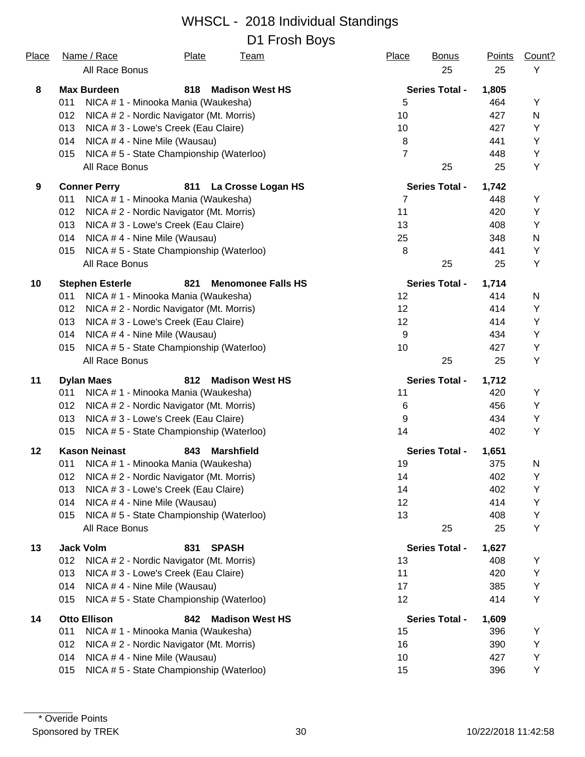| <u>Place</u> | Name / Race<br><b>Plate</b><br><u>Team</u><br>All Race Bonus | <b>Place</b><br><b>Bonus</b><br>25 | <b>Points</b><br>25 | Count?<br>Y |
|--------------|--------------------------------------------------------------|------------------------------------|---------------------|-------------|
| 8            | <b>Madison West HS</b><br><b>Max Burdeen</b><br>818          | <b>Series Total -</b>              | 1,805               |             |
|              | NICA # 1 - Minooka Mania (Waukesha)<br>011                   | 5                                  | 464                 | Y           |
|              | 012<br>NICA # 2 - Nordic Navigator (Mt. Morris)              | 10                                 | 427                 | N           |
|              | 013<br>NICA # 3 - Lowe's Creek (Eau Claire)                  | 10                                 | 427                 | Υ           |
|              | 014<br>NICA #4 - Nine Mile (Wausau)                          | 8                                  | 441                 | Υ           |
|              | NICA #5 - State Championship (Waterloo)<br>015               | $\overline{7}$                     | 448                 | Υ           |
|              | All Race Bonus                                               | 25                                 | 25                  | Υ           |
| 9            | <b>Conner Perry</b><br>811<br>La Crosse Logan HS             | <b>Series Total -</b>              | 1,742               |             |
|              | 011<br>NICA # 1 - Minooka Mania (Waukesha)                   | $\overline{7}$                     | 448                 | Υ           |
|              | 012<br>NICA # 2 - Nordic Navigator (Mt. Morris)              | 11                                 | 420                 | Y           |
|              | 013<br>NICA # 3 - Lowe's Creek (Eau Claire)                  | 13                                 | 408                 | Y           |
|              | 014<br>NICA #4 - Nine Mile (Wausau)                          | 25                                 | 348                 | N           |
|              | NICA #5 - State Championship (Waterloo)<br>015               | 8                                  | 441                 | Y           |
|              | All Race Bonus                                               | 25                                 | 25                  | Υ           |
| 10           | <b>Stephen Esterle</b><br>821<br><b>Menomonee Falls HS</b>   | <b>Series Total -</b>              | 1,714               |             |
|              | NICA # 1 - Minooka Mania (Waukesha)<br>011                   | 12                                 | 414                 | N           |
|              | NICA # 2 - Nordic Navigator (Mt. Morris)<br>012              | 12                                 | 414                 | Y           |
|              | 013<br>NICA # 3 - Lowe's Creek (Eau Claire)                  | 12                                 | 414                 | Υ           |
|              | 014<br>NICA #4 - Nine Mile (Wausau)                          | $9\,$                              | 434                 | Υ           |
|              | NICA #5 - State Championship (Waterloo)<br>015               | 10                                 | 427                 | Υ           |
|              | All Race Bonus                                               | 25                                 | 25                  | Υ           |
| 11           | 812<br><b>Dylan Maes</b><br><b>Madison West HS</b>           | <b>Series Total -</b>              | 1,712               |             |
|              | NICA # 1 - Minooka Mania (Waukesha)<br>011                   | 11                                 | 420                 | Y           |
|              | 012<br>NICA # 2 - Nordic Navigator (Mt. Morris)              | 6                                  | 456                 | Υ           |
|              | NICA # 3 - Lowe's Creek (Eau Claire)<br>013                  | 9                                  | 434                 | Υ           |
|              | NICA #5 - State Championship (Waterloo)<br>015               | 14                                 | 402                 | Υ           |
| 12           | <b>Kason Neinast</b><br>843<br><b>Marshfield</b>             | <b>Series Total -</b>              | 1,651               |             |
|              | NICA # 1 - Minooka Mania (Waukesha)<br>011                   | 19                                 | 375                 | N           |
|              | 012<br>NICA # 2 - Nordic Navigator (Mt. Morris)              | 14                                 | 402                 | Υ           |
|              | NICA # 3 - Lowe's Creek (Eau Claire)<br>013                  | 14                                 | 402                 | Y           |
|              | 014<br>NICA # 4 - Nine Mile (Wausau)                         | 12                                 | 414                 | Υ           |
|              | NICA #5 - State Championship (Waterloo)<br>015               | 13                                 | 408                 | Y           |
|              | All Race Bonus                                               | 25                                 | 25                  | Υ           |
| 13           | <b>Jack Volm</b><br>831<br><b>SPASH</b>                      | <b>Series Total -</b>              | 1,627               |             |
|              | NICA #2 - Nordic Navigator (Mt. Morris)<br>012               | 13                                 | 408                 | Y           |
|              | 013<br>NICA # 3 - Lowe's Creek (Eau Claire)                  | 11                                 | 420                 | Y           |
|              | 014<br>NICA #4 - Nine Mile (Wausau)                          | 17                                 | 385                 | Y           |
|              | NICA #5 - State Championship (Waterloo)<br>015               | 12                                 | 414                 | Υ           |
| 14           | <b>Otto Ellison</b><br><b>Madison West HS</b><br>842         | <b>Series Total -</b>              | 1,609               |             |
|              | 011<br>NICA # 1 - Minooka Mania (Waukesha)                   | 15                                 | 396                 | Υ           |
|              | 012<br>NICA # 2 - Nordic Navigator (Mt. Morris)              | 16                                 | 390                 | Υ           |
|              | 014<br>NICA #4 - Nine Mile (Wausau)                          | 10                                 | 427                 | Υ           |
|              | NICA #5 - State Championship (Waterloo)<br>015               | 15                                 | 396                 | Υ           |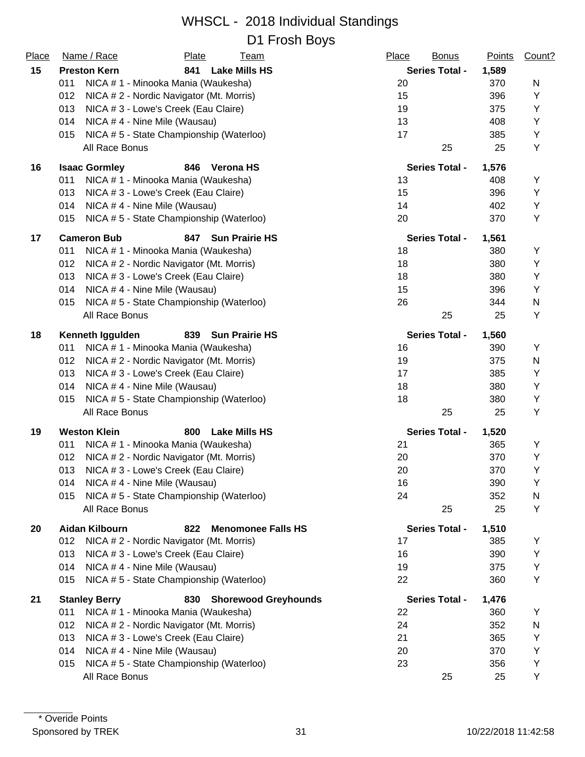| Place | Name / Race          | Plate                                    | <u>Team</u>                 | Place | <b>Bonus</b>          | <b>Points</b> | Count? |
|-------|----------------------|------------------------------------------|-----------------------------|-------|-----------------------|---------------|--------|
| 15    | <b>Preston Kern</b>  | 841                                      | <b>Lake Mills HS</b>        |       | <b>Series Total -</b> | 1,589         |        |
|       | 011                  | NICA # 1 - Minooka Mania (Waukesha)      |                             | 20    |                       | 370           | N      |
|       | 012                  | NICA # 2 - Nordic Navigator (Mt. Morris) |                             | 15    |                       | 396           | Υ      |
|       | 013                  | NICA # 3 - Lowe's Creek (Eau Claire)     |                             | 19    |                       | 375           | Y      |
|       | 014                  | NICA #4 - Nine Mile (Wausau)             |                             | 13    |                       | 408           | Υ      |
|       | 015                  | NICA #5 - State Championship (Waterloo)  |                             | 17    |                       | 385           | Υ      |
|       | All Race Bonus       |                                          |                             |       | 25                    | 25            | Υ      |
| 16    | <b>Isaac Gormley</b> | 846                                      | Verona HS                   |       | <b>Series Total -</b> | 1,576         |        |
|       | 011                  | NICA # 1 - Minooka Mania (Waukesha)      |                             | 13    |                       | 408           | Υ      |
|       | 013                  | NICA # 3 - Lowe's Creek (Eau Claire)     |                             | 15    |                       | 396           | Υ      |
|       | 014                  | NICA #4 - Nine Mile (Wausau)             |                             | 14    |                       | 402           | Υ      |
|       | 015                  | NICA #5 - State Championship (Waterloo)  |                             | 20    |                       | 370           | Υ      |
| 17    | <b>Cameron Bub</b>   | 847                                      | <b>Sun Prairie HS</b>       |       | <b>Series Total -</b> | 1,561         |        |
|       | 011                  | NICA # 1 - Minooka Mania (Waukesha)      |                             | 18    |                       | 380           | Υ      |
|       | 012                  | NICA # 2 - Nordic Navigator (Mt. Morris) |                             | 18    |                       | 380           | Y      |
|       | 013                  | NICA # 3 - Lowe's Creek (Eau Claire)     |                             | 18    |                       | 380           | Υ      |
|       | 014                  | NICA #4 - Nine Mile (Wausau)             |                             | 15    |                       | 396           | Y      |
|       | 015                  | NICA #5 - State Championship (Waterloo)  |                             | 26    |                       | 344           | N      |
|       | All Race Bonus       |                                          |                             |       | 25                    | 25            | Y      |
| 18    | Kenneth Iggulden     | 839                                      | <b>Sun Prairie HS</b>       |       | Series Total -        | 1,560         |        |
|       | 011                  | NICA # 1 - Minooka Mania (Waukesha)      |                             | 16    |                       | 390           | Υ      |
|       | 012                  | NICA # 2 - Nordic Navigator (Mt. Morris) |                             | 19    |                       | 375           | N      |
|       | 013                  | NICA # 3 - Lowe's Creek (Eau Claire)     |                             | 17    |                       | 385           | Υ      |
|       | 014                  | NICA #4 - Nine Mile (Wausau)             |                             | 18    |                       | 380           | Υ      |
|       | 015                  | NICA #5 - State Championship (Waterloo)  |                             | 18    |                       | 380           | Υ      |
|       | All Race Bonus       |                                          |                             |       | 25                    | 25            | Υ      |
| 19    | <b>Weston Klein</b>  | 800                                      | <b>Lake Mills HS</b>        |       | <b>Series Total -</b> | 1,520         |        |
|       | 011                  | NICA # 1 - Minooka Mania (Waukesha)      |                             | 21    |                       | 365           | Υ      |
|       | 012                  | NICA # 2 - Nordic Navigator (Mt. Morris) |                             | 20    |                       | 370           | Υ      |
|       | 013                  | NICA # 3 - Lowe's Creek (Eau Claire)     |                             | 20    |                       | 370           | Υ      |
|       | 014                  | NICA #4 - Nine Mile (Wausau)             |                             | 16    |                       | 390           | Y      |
|       | 015                  | NICA #5 - State Championship (Waterloo)  |                             | 24    |                       | 352           | N      |
|       | All Race Bonus       |                                          |                             |       | 25                    | 25            | Υ      |
| 20    | Aidan Kilbourn       | 822                                      | <b>Menomonee Falls HS</b>   |       | <b>Series Total -</b> | 1,510         |        |
|       | 012                  | NICA #2 - Nordic Navigator (Mt. Morris)  |                             | 17    |                       | 385           | Υ      |
|       | 013                  | NICA # 3 - Lowe's Creek (Eau Claire)     |                             | 16    |                       | 390           | Υ      |
|       | 014                  | NICA #4 - Nine Mile (Wausau)             |                             | 19    |                       | 375           | Υ      |
|       | 015                  | NICA #5 - State Championship (Waterloo)  |                             | 22    |                       | 360           | Υ      |
| 21    | <b>Stanley Berry</b> | 830                                      | <b>Shorewood Greyhounds</b> |       | <b>Series Total -</b> | 1,476         |        |
|       | 011                  | NICA # 1 - Minooka Mania (Waukesha)      |                             | 22    |                       | 360           | Y      |
|       | 012                  | NICA #2 - Nordic Navigator (Mt. Morris)  |                             | 24    |                       | 352           | N      |
|       | 013                  | NICA # 3 - Lowe's Creek (Eau Claire)     |                             | 21    |                       | 365           | Υ      |
|       | 014                  | NICA #4 - Nine Mile (Wausau)             |                             | 20    |                       | 370           | Υ      |
|       | 015                  | NICA #5 - State Championship (Waterloo)  |                             | 23    |                       | 356           | Υ      |
|       | All Race Bonus       |                                          |                             |       | 25                    | 25            | Y      |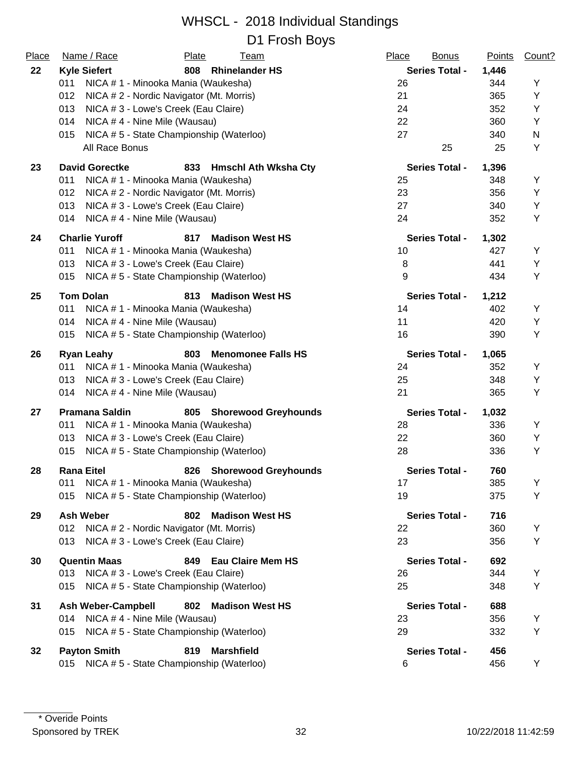| Place | Name / Race                         | Plate<br><u>Team</u>                     | Place<br><b>Bonus</b> | <b>Points</b> | Count? |
|-------|-------------------------------------|------------------------------------------|-----------------------|---------------|--------|
| 22    | <b>Kyle Siefert</b>                 | 808 Rhinelander HS                       | <b>Series Total -</b> | 1,446         |        |
|       | 011                                 | NICA # 1 - Minooka Mania (Waukesha)      | 26                    | 344           | Υ      |
|       | 012                                 | NICA # 2 - Nordic Navigator (Mt. Morris) | 21                    | 365           | Y      |
|       | 013                                 | NICA # 3 - Lowe's Creek (Eau Claire)     | 24                    | 352           | Y      |
|       | 014<br>NICA #4 - Nine Mile (Wausau) |                                          | 22                    | 360           | Υ      |
|       | 015                                 | NICA #5 - State Championship (Waterloo)  | 27                    | 340           | N      |
|       | All Race Bonus                      |                                          | 25                    | 25            | Υ      |
| 23    | <b>David Gorectke</b>               | 833 Hmschl Ath Wksha Cty                 | <b>Series Total -</b> | 1,396         |        |
|       | 011                                 | NICA # 1 - Minooka Mania (Waukesha)      | 25                    | 348           | Y      |
|       | 012                                 | NICA # 2 - Nordic Navigator (Mt. Morris) | 23                    | 356           | Υ      |
|       | 013                                 | NICA # 3 - Lowe's Creek (Eau Claire)     | 27                    | 340           | Υ      |
|       | NICA #4 - Nine Mile (Wausau)<br>014 |                                          | 24                    | 352           | Υ      |
| 24    | <b>Charlie Yuroff</b>               | 817<br><b>Madison West HS</b>            | <b>Series Total -</b> | 1,302         |        |
|       | 011                                 | NICA # 1 - Minooka Mania (Waukesha)      | 10                    | 427           | Υ      |
|       | 013                                 | NICA # 3 - Lowe's Creek (Eau Claire)     | 8                     | 441           | Υ      |
|       | 015                                 | NICA #5 - State Championship (Waterloo)  | 9                     | 434           | Υ      |
| 25    | <b>Tom Dolan</b>                    | <b>Madison West HS</b><br>813            | <b>Series Total -</b> | 1,212         |        |
|       | 011                                 | NICA # 1 - Minooka Mania (Waukesha)      | 14                    | 402           | Υ      |
|       | NICA #4 - Nine Mile (Wausau)<br>014 |                                          | 11                    | 420           | Υ      |
|       | 015                                 | NICA #5 - State Championship (Waterloo)  | 16                    | 390           | Y      |
| 26    | <b>Ryan Leahy</b>                   | 803<br><b>Menomonee Falls HS</b>         | <b>Series Total -</b> | 1,065         |        |
|       | 011                                 | NICA # 1 - Minooka Mania (Waukesha)      | 24                    | 352           | Υ      |
|       | 013                                 | NICA # 3 - Lowe's Creek (Eau Claire)     | 25                    | 348           | Υ      |
|       | 014<br>NICA #4 - Nine Mile (Wausau) |                                          | 21                    | 365           | Y      |
| 27    | <b>Pramana Saldin</b>               | 805 Shorewood Greyhounds                 | <b>Series Total -</b> | 1,032         |        |
|       | 011                                 | NICA # 1 - Minooka Mania (Waukesha)      | 28                    | 336           | Υ      |
|       | 013                                 | NICA # 3 - Lowe's Creek (Eau Claire)     | 22                    | 360           | Υ      |
|       | 015                                 | NICA # 5 - State Championship (Waterloo) | 28                    | 336           | Υ      |
| 28    | <b>Rana Eitel</b>                   | 826<br><b>Shorewood Greyhounds</b>       | <b>Series Total -</b> | 760           |        |
|       | 011                                 | NICA # 1 - Minooka Mania (Waukesha)      | 17                    | 385           | Υ      |
|       | 015                                 | NICA #5 - State Championship (Waterloo)  | 19                    | 375           | Y      |
| 29    | <b>Ash Weber</b>                    | <b>Madison West HS</b><br>802            | <b>Series Total -</b> | 716           |        |
|       | 012                                 | NICA # 2 - Nordic Navigator (Mt. Morris) | 22                    | 360           | Υ      |
|       | 013                                 | NICA # 3 - Lowe's Creek (Eau Claire)     | 23                    | 356           | Υ      |
| 30    | <b>Quentin Maas</b>                 | 849 Eau Claire Mem HS                    | <b>Series Total -</b> | 692           |        |
|       | 013                                 | NICA # 3 - Lowe's Creek (Eau Claire)     | 26                    | 344           | Y      |
|       | 015                                 | NICA #5 - State Championship (Waterloo)  | 25                    | 348           | Υ      |
| 31    | <b>Ash Weber-Campbell</b>           | 802<br><b>Madison West HS</b>            | <b>Series Total -</b> | 688           |        |
|       | NICA #4 - Nine Mile (Wausau)<br>014 |                                          | 23                    | 356           | Y      |
|       | 015                                 | NICA #5 - State Championship (Waterloo)  | 29                    | 332           | Υ      |
| 32    | <b>Payton Smith</b>                 | <b>Marshfield</b><br>819                 | <b>Series Total -</b> | 456           |        |
|       | 015                                 | NICA #5 - State Championship (Waterloo)  | 6                     | 456           | Υ      |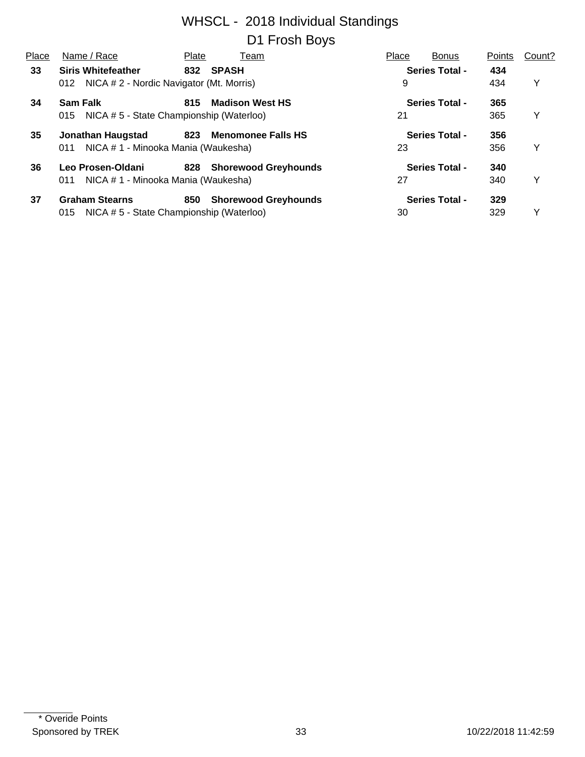| Place | Name / Race                                     | Plate | Team                        | Place | <b>Bonus</b>          | Points | Count? |
|-------|-------------------------------------------------|-------|-----------------------------|-------|-----------------------|--------|--------|
| 33    | <b>Siris Whitefeather</b>                       |       | 832 SPASH                   |       | <b>Series Total -</b> | 434    |        |
|       | NICA # 2 - Nordic Navigator (Mt. Morris)<br>012 |       |                             | 9     |                       | 434    | Y      |
| 34    | <b>Sam Falk</b>                                 | 815   | <b>Madison West HS</b>      |       | <b>Series Total -</b> | 365    |        |
|       | NICA # 5 - State Championship (Waterloo)<br>015 |       |                             | 21    |                       | 365    | Y      |
| 35    | Jonathan Haugstad                               | 823   | <b>Menomonee Falls HS</b>   |       | <b>Series Total -</b> | 356    |        |
|       | NICA # 1 - Minooka Mania (Waukesha)<br>011      |       |                             | 23    |                       | 356    | Y      |
| 36    | Leo Prosen-Oldani                               |       | 828 Shorewood Greyhounds    |       | <b>Series Total -</b> | 340    |        |
|       | NICA # 1 - Minooka Mania (Waukesha)<br>011      |       |                             | 27    |                       | 340    | Y      |
| 37    | <b>Graham Stearns</b>                           | 850   | <b>Shorewood Greyhounds</b> |       | <b>Series Total -</b> | 329    |        |
|       | NICA # 5 - State Championship (Waterloo)<br>015 |       |                             | 30    |                       | 329    | Y      |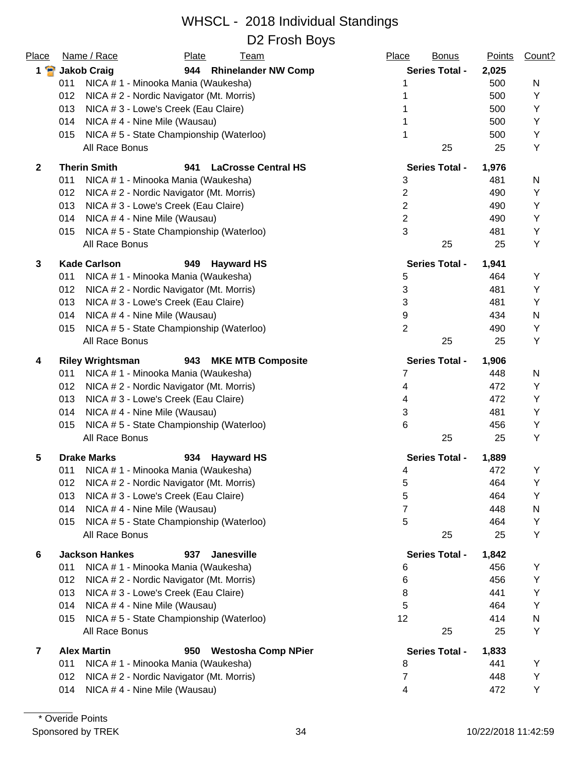| Place          | Name / Race                                     | Plate<br><b>Team</b>                    | Place<br><b>Bonus</b> | <b>Points</b> | Count? |
|----------------|-------------------------------------------------|-----------------------------------------|-----------------------|---------------|--------|
| $1 \cdot$      | <b>Jakob Craig</b>                              | 944<br><b>Rhinelander NW Comp</b>       | <b>Series Total -</b> | 2,025         |        |
|                | NICA # 1 - Minooka Mania (Waukesha)<br>011      |                                         | 1                     | 500           | N      |
|                | 012<br>NICA # 2 - Nordic Navigator (Mt. Morris) |                                         | 1                     | 500           | Y      |
|                | 013<br>NICA # 3 - Lowe's Creek (Eau Claire)     |                                         | 1                     | 500           | Y      |
|                | NICA #4 - Nine Mile (Wausau)<br>014             |                                         | 1                     | 500           | Υ      |
|                | 015                                             | NICA #5 - State Championship (Waterloo) | 1                     | 500           | Υ      |
|                | All Race Bonus                                  |                                         | 25                    | 25            | Υ      |
| $\overline{2}$ | <b>Therin Smith</b>                             | <b>LaCrosse Central HS</b><br>941       | <b>Series Total -</b> | 1,976         |        |
|                | 011<br>NICA # 1 - Minooka Mania (Waukesha)      |                                         | $\mathbf{3}$          | 481           | N      |
|                | NICA # 2 - Nordic Navigator (Mt. Morris)<br>012 |                                         | $\overline{2}$        | 490           | Υ      |
|                | 013<br>NICA # 3 - Lowe's Creek (Eau Claire)     |                                         | $\overline{2}$        | 490           | Υ      |
|                | 014<br>NICA #4 - Nine Mile (Wausau)             |                                         | $\sqrt{2}$            | 490           | Υ      |
|                | 015                                             | NICA #5 - State Championship (Waterloo) | 3                     | 481           | Υ      |
|                | All Race Bonus                                  |                                         | 25                    | 25            | Y      |
| 3              | <b>Kade Carlson</b>                             | 949<br><b>Hayward HS</b>                | <b>Series Total -</b> | 1,941         |        |
|                | 011<br>NICA # 1 - Minooka Mania (Waukesha)      |                                         | 5                     | 464           | Υ      |
|                | 012<br>NICA # 2 - Nordic Navigator (Mt. Morris) |                                         | $\sqrt{3}$            | 481           | Υ      |
|                | 013<br>NICA # 3 - Lowe's Creek (Eau Claire)     |                                         | 3                     | 481           | Y      |
|                | 014<br>NICA #4 - Nine Mile (Wausau)             |                                         | 9                     | 434           | N      |
|                | 015                                             | NICA #5 - State Championship (Waterloo) | $\overline{2}$        | 490           | Υ      |
|                | All Race Bonus                                  |                                         | 25                    | 25            | Υ      |
| 4              | <b>Riley Wrightsman</b>                         | 943<br><b>MKE MTB Composite</b>         | <b>Series Total -</b> | 1,906         |        |
|                | 011<br>NICA # 1 - Minooka Mania (Waukesha)      |                                         | 7                     | 448           | N      |
|                | 012<br>NICA # 2 - Nordic Navigator (Mt. Morris) |                                         | 4                     | 472           | Υ      |
|                | 013<br>NICA # 3 - Lowe's Creek (Eau Claire)     |                                         | 4                     | 472           | Υ      |
|                | NICA #4 - Nine Mile (Wausau)<br>014             |                                         | $\mathbf{3}$          | 481           | Υ      |
|                | 015                                             | NICA #5 - State Championship (Waterloo) | 6                     | 456           | Υ      |
|                | All Race Bonus                                  |                                         | 25                    | 25            | Υ      |
| 5              | <b>Drake Marks</b>                              | 934<br><b>Hayward HS</b>                | <b>Series Total -</b> | 1,889         |        |
|                | NICA # 1 - Minooka Mania (Waukesha)<br>011      |                                         | 4                     | 472           | Υ      |
|                | NICA # 2 - Nordic Navigator (Mt. Morris)<br>012 |                                         | 5                     | 464           | Υ      |
|                | 013<br>NICA # 3 - Lowe's Creek (Eau Claire)     |                                         | 5                     | 464           | Υ      |
|                | 014<br>NICA #4 - Nine Mile (Wausau)             |                                         | 7                     | 448           | N      |
|                | 015                                             | NICA #5 - State Championship (Waterloo) | 5                     | 464           | Υ      |
|                | All Race Bonus                                  |                                         | 25                    | 25            | Υ      |
| 6              | <b>Jackson Hankes</b>                           | 937<br><b>Janesville</b>                | <b>Series Total -</b> | 1,842         |        |
|                | 011<br>NICA # 1 - Minooka Mania (Waukesha)      |                                         | 6                     | 456           | Y      |
|                | NICA #2 - Nordic Navigator (Mt. Morris)<br>012  |                                         | 6                     | 456           | Υ      |
|                | 013<br>NICA # 3 - Lowe's Creek (Eau Claire)     |                                         | 8                     | 441           | Υ      |
|                | 014<br>NICA #4 - Nine Mile (Wausau)             |                                         | 5                     | 464           | Y      |
|                | 015                                             | NICA #5 - State Championship (Waterloo) | 12                    | 414           | N      |
|                | All Race Bonus                                  |                                         | 25                    | 25            | Υ      |
| $\overline{7}$ | <b>Alex Martin</b>                              | <b>Westosha Comp NPier</b><br>950       | <b>Series Total -</b> | 1,833         |        |
|                | NICA # 1 - Minooka Mania (Waukesha)<br>011      |                                         | 8                     | 441           | Y      |
|                | 012<br>NICA # 2 - Nordic Navigator (Mt. Morris) |                                         | 7                     | 448           | Υ      |
|                | 014<br>NICA #4 - Nine Mile (Wausau)             |                                         | 4                     | 472           | Υ      |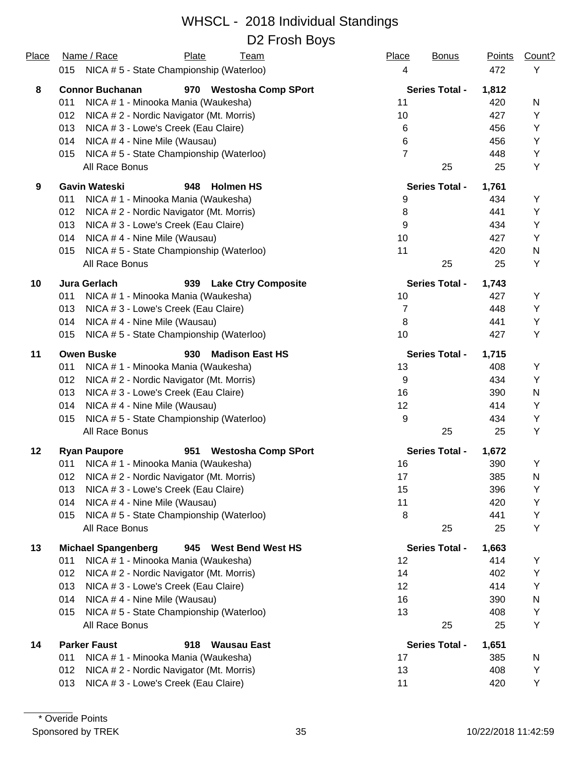| Place | Name / Race<br>Plate<br><b>Team</b>                      | Place<br><b>Bonus</b> | <b>Points</b> | Count?    |
|-------|----------------------------------------------------------|-----------------------|---------------|-----------|
|       | 015 NICA # 5 - State Championship (Waterloo)             | 4                     | 472           | Υ         |
| 8     | <b>Connor Buchanan</b><br>970 Westosha Comp SPort        | <b>Series Total -</b> | 1,812         |           |
|       | NICA # 1 - Minooka Mania (Waukesha)<br>011               | 11                    | 420           | N         |
|       | 012<br>NICA # 2 - Nordic Navigator (Mt. Morris)          | 10                    | 427           | Υ         |
|       | 013<br>NICA # 3 - Lowe's Creek (Eau Claire)              | 6                     | 456           | Υ         |
|       | 014<br>NICA #4 - Nine Mile (Wausau)                      | 6                     | 456           | Υ         |
|       | NICA # 5 - State Championship (Waterloo)<br>015          | $\overline{7}$        | 448           | Υ         |
|       | All Race Bonus                                           | 25                    | 25            | Υ         |
| 9     | <b>Gavin Wateski</b><br>948<br><b>Holmen HS</b>          | <b>Series Total -</b> | 1,761         |           |
|       | 011<br>NICA # 1 - Minooka Mania (Waukesha)               | 9                     | 434           | Υ         |
|       | 012<br>NICA # 2 - Nordic Navigator (Mt. Morris)          | 8                     | 441           | Υ         |
|       | 013<br>NICA # 3 - Lowe's Creek (Eau Claire)              | 9                     | 434           | Υ         |
|       | 014<br>NICA #4 - Nine Mile (Wausau)                      | 10                    | 427           | Υ         |
|       | NICA # 5 - State Championship (Waterloo)<br>015          | 11                    | 420           | ${\sf N}$ |
|       | All Race Bonus                                           | 25                    | 25            | Υ         |
| 10    | <b>Jura Gerlach</b><br>939<br><b>Lake Ctry Composite</b> | <b>Series Total -</b> | 1,743         |           |
|       | 011<br>NICA # 1 - Minooka Mania (Waukesha)               | 10                    | 427           | Υ         |
|       | 013<br>NICA # 3 - Lowe's Creek (Eau Claire)              | $\overline{7}$        | 448           | Υ         |
|       | 014<br>NICA #4 - Nine Mile (Wausau)                      | 8                     | 441           | Υ         |
|       | NICA #5 - State Championship (Waterloo)<br>015           | 10                    | 427           | Υ         |
| 11    | <b>Owen Buske</b><br><b>Madison East HS</b><br>930       | <b>Series Total -</b> | 1,715         |           |
|       | NICA # 1 - Minooka Mania (Waukesha)<br>011               | 13                    | 408           | Υ         |
|       | 012<br>NICA # 2 - Nordic Navigator (Mt. Morris)          | $9\,$                 | 434           | Υ         |
|       | 013<br>NICA # 3 - Lowe's Creek (Eau Claire)              | 16                    | 390           | N         |
|       | 014<br>NICA #4 - Nine Mile (Wausau)                      | 12                    | 414           | Υ         |
|       | NICA #5 - State Championship (Waterloo)<br>015           | 9                     | 434           | Υ         |
|       | All Race Bonus                                           | 25                    | 25            | Υ         |
| 12    | <b>Ryan Paupore</b><br>951<br><b>Westosha Comp SPort</b> | <b>Series Total -</b> | 1,672         |           |
|       | NICA # 1 - Minooka Mania (Waukesha)<br>011               | 16                    | 390           | Υ         |
|       | NICA # 2 - Nordic Navigator (Mt. Morris)<br>012          | 17                    | 385           | N         |
|       | NICA # 3 - Lowe's Creek (Eau Claire)<br>013              | 15                    | 396           | Υ         |
|       | 014<br>NICA #4 - Nine Mile (Wausau)                      | 11                    | 420           | Υ         |
|       | NICA #5 - State Championship (Waterloo)<br>015           | 8                     | 441           | Υ         |
|       | All Race Bonus                                           | 25                    | 25            | Υ         |
| 13    | <b>Michael Spangenberg</b><br>945 West Bend West HS      | <b>Series Total -</b> | 1,663         |           |
|       | 011<br>NICA # 1 - Minooka Mania (Waukesha)               | 12                    | 414           | Υ         |
|       | NICA #2 - Nordic Navigator (Mt. Morris)<br>012           | 14                    | 402           | Υ         |
|       | 013<br>NICA # 3 - Lowe's Creek (Eau Claire)              | 12                    | 414           | Υ         |
|       | NICA #4 - Nine Mile (Wausau)<br>014                      | 16                    | 390           | N         |
|       | NICA # 5 - State Championship (Waterloo)<br>015          | 13                    | 408           | Υ         |
|       | All Race Bonus                                           | 25                    | 25            | Υ         |
| 14    | <b>Parker Faust</b><br>918<br><b>Wausau East</b>         | <b>Series Total -</b> | 1,651         |           |
|       | NICA # 1 - Minooka Mania (Waukesha)<br>011               | 17                    | 385           | N         |
|       | NICA # 2 - Nordic Navigator (Mt. Morris)<br>012          | 13                    | 408           | Υ         |
|       | NICA # 3 - Lowe's Creek (Eau Claire)<br>013              | 11                    | 420           | Υ         |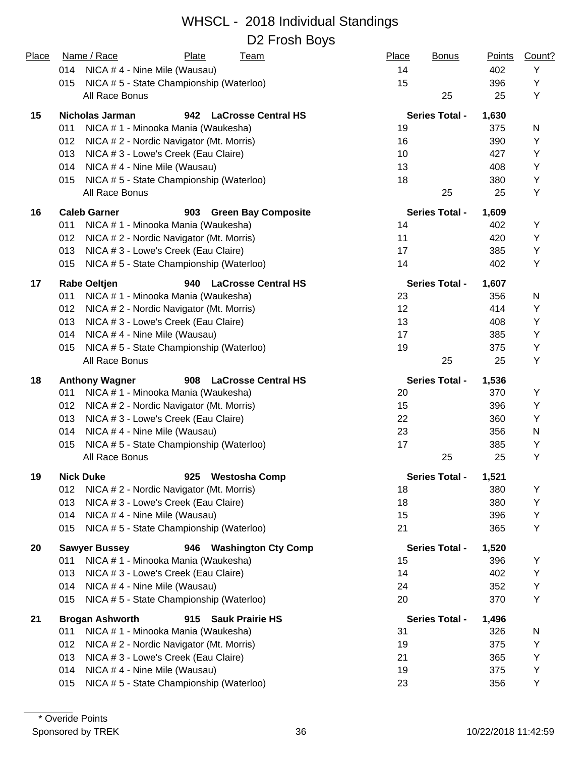#### WHSCL - 2018 Individual Standings D2 Frosh Boys

| Place | Name / Race<br>Plate<br><u>Team</u>                        | Place<br><b>Bonus</b> | <b>Points</b> | Count? |
|-------|------------------------------------------------------------|-----------------------|---------------|--------|
|       | 014<br>NICA #4 - Nine Mile (Wausau)                        | 14                    | 402           | Y      |
|       | NICA #5 - State Championship (Waterloo)<br>015             | 15                    | 396           | Y      |
|       | All Race Bonus                                             | 25                    | 25            | Y      |
| 15    | <b>Nicholas Jarman</b><br>942 LaCrosse Central HS          | <b>Series Total -</b> | 1,630         |        |
|       | NICA # 1 - Minooka Mania (Waukesha)<br>011                 | 19                    | 375           | N      |
|       | 012<br>NICA # 2 - Nordic Navigator (Mt. Morris)            | 16                    | 390           | Υ      |
|       | 013<br>NICA # 3 - Lowe's Creek (Eau Claire)                | 10                    | 427           | Υ      |
|       | NICA #4 - Nine Mile (Wausau)<br>014                        | 13                    | 408           | Y      |
|       | NICA #5 - State Championship (Waterloo)<br>015             | 18                    | 380           | Υ      |
|       | All Race Bonus                                             | 25                    | 25            | Υ      |
| 16    | <b>Caleb Garner</b><br><b>Green Bay Composite</b><br>903   | <b>Series Total -</b> | 1,609         |        |
|       | NICA # 1 - Minooka Mania (Waukesha)<br>011                 | 14                    | 402           | Y      |
|       | 012<br>NICA # 2 - Nordic Navigator (Mt. Morris)            | 11                    | 420           | Y      |
|       | NICA # 3 - Lowe's Creek (Eau Claire)<br>013                | 17                    | 385           | Υ      |
|       | NICA #5 - State Championship (Waterloo)<br>015             | 14                    | 402           | Υ      |
| 17    | <b>Rabe Oeltjen</b><br>940<br><b>LaCrosse Central HS</b>   | <b>Series Total -</b> | 1,607         |        |
|       | 011<br>NICA # 1 - Minooka Mania (Waukesha)                 | 23                    | 356           | N      |
|       | 012<br>NICA # 2 - Nordic Navigator (Mt. Morris)            | 12                    | 414           | Υ      |
|       | 013<br>NICA # 3 - Lowe's Creek (Eau Claire)                | 13                    | 408           | Y      |
|       | NICA # 4 - Nine Mile (Wausau)<br>014                       | 17                    | 385           | Y      |
|       | NICA #5 - State Championship (Waterloo)<br>015             | 19                    | 375           | Υ      |
|       | All Race Bonus                                             | 25                    | 25            | Y      |
| 18    | <b>Anthony Wagner</b><br>908<br><b>LaCrosse Central HS</b> | <b>Series Total -</b> | 1,536         |        |
|       | 011<br>NICA # 1 - Minooka Mania (Waukesha)                 | 20                    | 370           | Y      |
|       | NICA # 2 - Nordic Navigator (Mt. Morris)<br>012            | 15                    | 396           | Y      |
|       | 013<br>NICA # 3 - Lowe's Creek (Eau Claire)                | 22                    | 360           | Y      |
|       | 014<br>NICA #4 - Nine Mile (Wausau)                        | 23                    | 356           | N      |
|       | NICA # 5 - State Championship (Waterloo)<br>015            | 17                    | 385           | Υ      |
|       | All Race Bonus                                             | 25                    | 25            | Y      |
| 19    | <b>Nick Duke</b><br><b>Westosha Comp</b><br>925            | <b>Series Total -</b> | 1,521         |        |
|       | 012<br>NICA # 2 - Nordic Navigator (Mt. Morris)            | 18                    | 380           | Υ      |
|       | 013<br>NICA # 3 - Lowe's Creek (Eau Claire)                | 18                    | 380           | Υ      |
|       | 014<br>NICA #4 - Nine Mile (Wausau)                        | 15                    | 396           | Υ      |
|       | NICA #5 - State Championship (Waterloo)<br>015             | 21                    | 365           | Y      |
| 20    | <b>Sawyer Bussey</b><br>946<br><b>Washington Cty Comp</b>  | <b>Series Total -</b> | 1,520         |        |
|       | 011<br>NICA # 1 - Minooka Mania (Waukesha)                 | 15                    | 396           | Y      |
|       | 013<br>NICA # 3 - Lowe's Creek (Eau Claire)                | 14                    | 402           | Υ      |
|       | 014<br>NICA #4 - Nine Mile (Wausau)                        | 24                    | 352           | Υ      |
|       | NICA #5 - State Championship (Waterloo)<br>015             | 20                    | 370           | Υ      |
| 21    | <b>Brogan Ashworth</b><br><b>Sauk Prairie HS</b><br>915    | <b>Series Total -</b> | 1,496         |        |
|       | NICA # 1 - Minooka Mania (Waukesha)<br>011                 | 31                    | 326           | N      |
|       | 012<br>NICA # 2 - Nordic Navigator (Mt. Morris)            | 19                    | 375           | Y      |
|       | 013<br>NICA # 3 - Lowe's Creek (Eau Claire)                | 21                    | 365           | Y      |
|       | NICA #4 - Nine Mile (Wausau)<br>014                        | 19                    | 375           | Υ      |
|       | NICA #5 - State Championship (Waterloo)<br>015             | 23                    | 356           | Y      |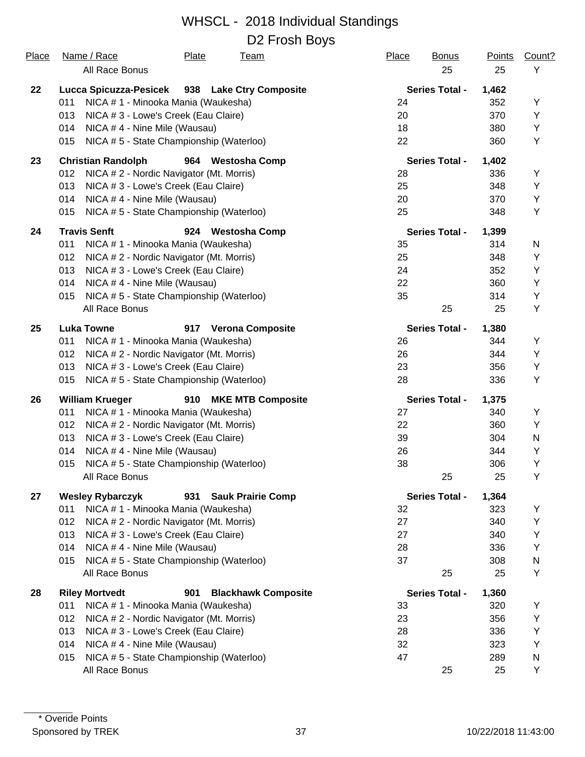| Place | Name / Race<br>Plate<br><b>Team</b>                        | Place<br><b>Bonus</b> | Points | Count? |
|-------|------------------------------------------------------------|-----------------------|--------|--------|
|       | All Race Bonus                                             | 25                    | 25     | Y      |
| 22    | Lucca Spicuzza-Pesicek<br>938 Lake Ctry Composite          | <b>Series Total -</b> | 1,462  |        |
|       | NICA # 1 - Minooka Mania (Waukesha)<br>011                 | 24                    | 352    | Υ      |
|       | 013<br>NICA # 3 - Lowe's Creek (Eau Claire)                | 20                    | 370    | Υ      |
|       | 014<br>NICA #4 - Nine Mile (Wausau)                        | 18                    | 380    | Y      |
|       | NICA #5 - State Championship (Waterloo)<br>015             | 22                    | 360    | Υ      |
| 23    | <b>Christian Randolph</b><br>964 Westosha Comp             | <b>Series Total -</b> | 1,402  |        |
|       | 012<br>NICA # 2 - Nordic Navigator (Mt. Morris)            | 28                    | 336    | Υ      |
|       | NICA # 3 - Lowe's Creek (Eau Claire)<br>013                | 25                    | 348    | Υ      |
|       | 014<br>NICA #4 - Nine Mile (Wausau)                        | 20                    | 370    | Υ      |
|       | NICA #5 - State Championship (Waterloo)<br>015             | 25                    | 348    | Υ      |
| 24    | <b>Travis Senft</b><br>924<br><b>Westosha Comp</b>         | <b>Series Total -</b> | 1,399  |        |
|       | 011<br>NICA # 1 - Minooka Mania (Waukesha)                 | 35                    | 314    | N      |
|       | 012<br>NICA # 2 - Nordic Navigator (Mt. Morris)            | 25                    | 348    | Y      |
|       | 013<br>NICA # 3 - Lowe's Creek (Eau Claire)                | 24                    | 352    | Υ      |
|       | 014<br>NICA #4 - Nine Mile (Wausau)                        | 22                    | 360    | Υ      |
|       | NICA # 5 - State Championship (Waterloo)<br>015            | 35                    | 314    | Υ      |
|       | All Race Bonus                                             | 25                    | 25     | Υ      |
| 25    | <b>Luka Towne</b><br>917<br><b>Verona Composite</b>        | <b>Series Total -</b> | 1,380  |        |
|       | 011<br>NICA # 1 - Minooka Mania (Waukesha)                 | 26                    | 344    | Y      |
|       | 012<br>NICA # 2 - Nordic Navigator (Mt. Morris)            | 26                    | 344    | Υ      |
|       | NICA # 3 - Lowe's Creek (Eau Claire)<br>013                | 23                    | 356    | Υ      |
|       | 015<br>NICA #5 - State Championship (Waterloo)             | 28                    | 336    | Υ      |
| 26    | <b>William Krueger</b><br>910 MKE MTB Composite            | <b>Series Total -</b> | 1,375  |        |
|       | 011<br>NICA # 1 - Minooka Mania (Waukesha)                 | 27                    | 340    | Υ      |
|       | 012<br>NICA # 2 - Nordic Navigator (Mt. Morris)            | 22                    | 360    | Y      |
|       | 013<br>NICA # 3 - Lowe's Creek (Eau Claire)                | 39                    | 304    | N      |
|       | 014<br>NICA #4 - Nine Mile (Wausau)                        | 26                    | 344    | Υ      |
|       | 015<br>NICA #5 - State Championship (Waterloo)             | 38                    | 306    | Y      |
|       | All Race Bonus                                             | 25                    | 25     | Υ      |
| 27    | <b>Wesley Rybarczyk</b><br>931 Sauk Prairie Comp           | <b>Series Total -</b> | 1,364  |        |
|       | 011<br>NICA # 1 - Minooka Mania (Waukesha)                 | 32                    | 323    | Υ      |
|       | 012<br>NICA # 2 - Nordic Navigator (Mt. Morris)            | 27                    | 340    | Υ      |
|       | 013<br>NICA # 3 - Lowe's Creek (Eau Claire)                | 27                    | 340    | Υ      |
|       | 014<br>NICA #4 - Nine Mile (Wausau)                        | 28                    | 336    | Υ      |
|       | NICA #5 - State Championship (Waterloo)<br>015             | 37                    | 308    | N      |
|       | All Race Bonus                                             | 25                    | 25     | Y      |
| 28    | <b>Riley Mortvedt</b><br>901<br><b>Blackhawk Composite</b> | <b>Series Total -</b> | 1,360  |        |
|       | 011<br>NICA # 1 - Minooka Mania (Waukesha)                 | 33                    | 320    | Υ      |
|       | 012<br>NICA # 2 - Nordic Navigator (Mt. Morris)            | 23                    | 356    | Υ      |
|       | 013<br>NICA # 3 - Lowe's Creek (Eau Claire)                | 28                    | 336    | Υ      |
|       | 014<br>NICA #4 - Nine Mile (Wausau)                        | 32                    | 323    | Υ      |
|       | NICA # 5 - State Championship (Waterloo)<br>015            | 47                    | 289    | N      |
|       | All Race Bonus                                             | 25                    | 25     | Y      |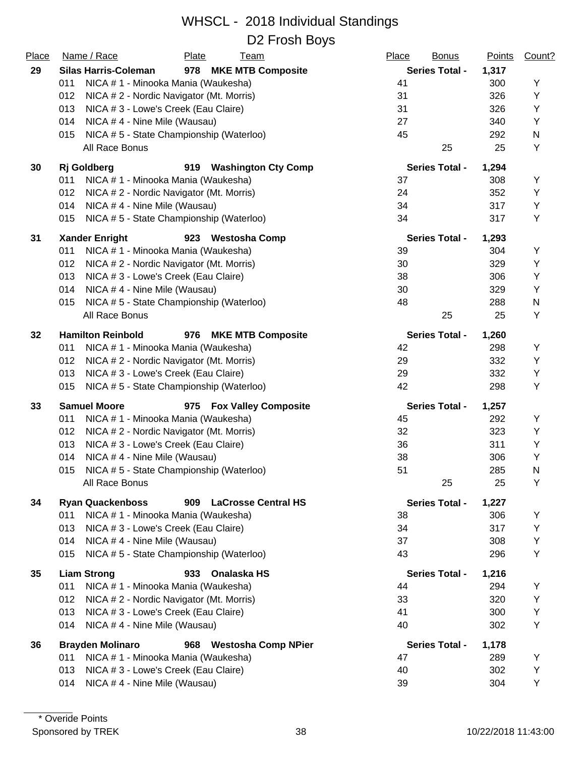| Place | Name / Race<br>Plate<br>Team                                 | Place<br><b>Bonus</b> | <b>Points</b> | Count? |
|-------|--------------------------------------------------------------|-----------------------|---------------|--------|
| 29    | <b>Silas Harris-Coleman</b><br>978 MKE MTB Composite         | <b>Series Total -</b> | 1,317         |        |
|       | 011<br>NICA # 1 - Minooka Mania (Waukesha)                   | 41                    | 300           | Υ      |
|       | 012<br>NICA # 2 - Nordic Navigator (Mt. Morris)              | 31                    | 326           | Υ      |
|       | 013<br>NICA # 3 - Lowe's Creek (Eau Claire)                  | 31                    | 326           | Υ      |
|       | 014<br>NICA #4 - Nine Mile (Wausau)                          | 27                    | 340           | Y      |
|       | 015<br>NICA #5 - State Championship (Waterloo)               | 45                    | 292           | N      |
|       | All Race Bonus                                               | 25                    | 25            | Υ      |
| 30    | <b>Rj</b> Goldberg<br><b>Washington Cty Comp</b><br>919      | <b>Series Total -</b> | 1,294         |        |
|       | 011<br>NICA # 1 - Minooka Mania (Waukesha)                   | 37                    | 308           | Υ      |
|       | 012<br>NICA # 2 - Nordic Navigator (Mt. Morris)              | 24                    | 352           | Υ      |
|       | 014<br>NICA #4 - Nine Mile (Wausau)                          | 34                    | 317           | Υ      |
|       | NICA #5 - State Championship (Waterloo)<br>015               | 34                    | 317           | Υ      |
| 31    | <b>Xander Enright</b><br>923 Westosha Comp                   | <b>Series Total -</b> | 1,293         |        |
|       | 011<br>NICA # 1 - Minooka Mania (Waukesha)                   | 39                    | 304           | Υ      |
|       | NICA # 2 - Nordic Navigator (Mt. Morris)<br>012              | 30                    | 329           | Υ      |
|       | 013<br>NICA # 3 - Lowe's Creek (Eau Claire)                  | 38                    | 306           | Υ      |
|       | 014<br>NICA #4 - Nine Mile (Wausau)                          | 30                    | 329           | Y      |
|       | NICA #5 - State Championship (Waterloo)<br>015               | 48                    | 288           | N      |
|       | All Race Bonus                                               | 25                    | 25            | Υ      |
| 32    | <b>Hamilton Reinbold</b><br>976<br><b>MKE MTB Composite</b>  | <b>Series Total -</b> | 1,260         |        |
|       | NICA # 1 - Minooka Mania (Waukesha)<br>011                   | 42                    | 298           | Υ      |
|       | NICA # 2 - Nordic Navigator (Mt. Morris)<br>012              | 29                    | 332           | Υ      |
|       | NICA # 3 - Lowe's Creek (Eau Claire)<br>013                  | 29                    | 332           | Υ      |
|       | 015<br>NICA #5 - State Championship (Waterloo)               | 42                    | 298           | Υ      |
| 33    | <b>Samuel Moore</b><br>975 Fox Valley Composite              | <b>Series Total -</b> | 1,257         |        |
|       | 011<br>NICA # 1 - Minooka Mania (Waukesha)                   | 45                    | 292           | Υ      |
|       | 012<br>NICA #2 - Nordic Navigator (Mt. Morris)               | 32                    | 323           | Υ      |
|       | 013<br>NICA # 3 - Lowe's Creek (Eau Claire)                  | 36                    | 311           | Υ      |
|       | 014<br>NICA #4 - Nine Mile (Wausau)                          | 38                    | 306           | Υ      |
|       | 015<br>NICA #5 - State Championship (Waterloo)               | 51                    | 285           | N      |
|       | All Race Bonus                                               | 25                    | 25            | Y      |
| 34    | <b>Ryan Quackenboss</b><br>909<br><b>LaCrosse Central HS</b> | <b>Series Total -</b> | 1,227         |        |
|       | NICA # 1 - Minooka Mania (Waukesha)<br>011                   | 38                    | 306           | Υ      |
|       | 013<br>NICA # 3 - Lowe's Creek (Eau Claire)                  | 34                    | 317           | Υ      |
|       | 014<br>NICA #4 - Nine Mile (Wausau)                          | 37                    | 308           | Υ      |
|       | NICA #5 - State Championship (Waterloo)<br>015               | 43                    | 296           | Υ      |
| 35    | <b>Liam Strong</b><br>933<br>Onalaska HS                     | <b>Series Total -</b> | 1,216         |        |
|       | 011<br>NICA # 1 - Minooka Mania (Waukesha)                   | 44                    | 294           | Υ      |
|       | 012<br>NICA # 2 - Nordic Navigator (Mt. Morris)              | 33                    | 320           | Y      |
|       | 013<br>NICA # 3 - Lowe's Creek (Eau Claire)                  | 41                    | 300           | Y      |
|       | 014<br>NICA #4 - Nine Mile (Wausau)                          | 40                    | 302           | Y      |
| 36    | <b>Brayden Molinaro</b><br>968<br><b>Westosha Comp NPier</b> | <b>Series Total -</b> | 1,178         |        |
|       | NICA # 1 - Minooka Mania (Waukesha)<br>011                   | 47                    | 289           | Y      |
|       | 013<br>NICA # 3 - Lowe's Creek (Eau Claire)                  | 40                    | 302           | Y      |
|       | NICA #4 - Nine Mile (Wausau)<br>014                          | 39                    | 304           | Υ      |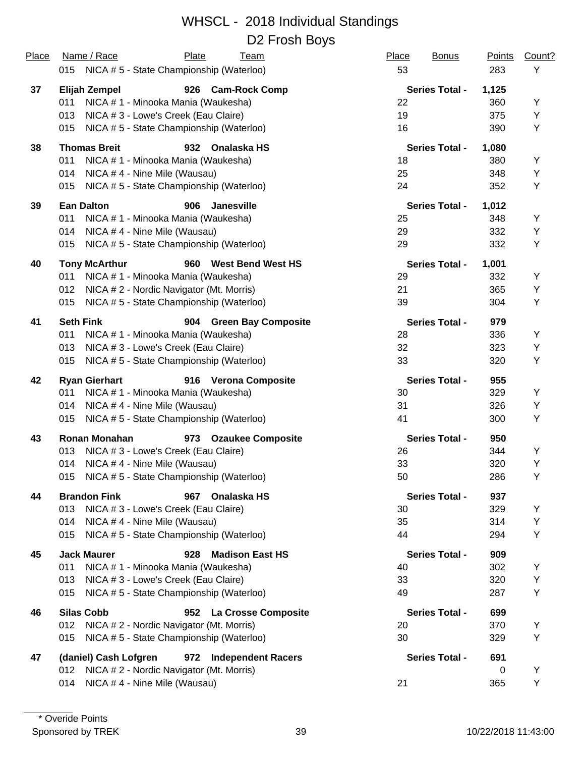| Place | Name / Race<br>Plate<br><b>Team</b>                    | Place<br><b>Bonus</b> | <b>Points</b> | Count? |
|-------|--------------------------------------------------------|-----------------------|---------------|--------|
|       | 015 NICA #5 - State Championship (Waterloo)            | 53                    | 283           | Υ      |
| 37    | Elijah Zempel<br>926 Cam-Rock Comp                     | <b>Series Total -</b> | 1,125         |        |
|       | NICA # 1 - Minooka Mania (Waukesha)<br>011             | 22                    | 360           | Y      |
|       | NICA # 3 - Lowe's Creek (Eau Claire)<br>013            | 19                    | 375           | Y      |
|       | NICA #5 - State Championship (Waterloo)<br>015         | 16                    | 390           | Υ      |
| 38    | <b>Thomas Breit</b><br>Onalaska HS<br>932              | <b>Series Total -</b> | 1,080         |        |
|       | 011<br>NICA # 1 - Minooka Mania (Waukesha)             | 18                    | 380           | Υ      |
|       | NICA #4 - Nine Mile (Wausau)<br>014                    | 25                    | 348           | Y      |
|       | NICA #5 - State Championship (Waterloo)<br>015         | 24                    | 352           | Υ      |
| 39    | <b>Ean Dalton</b><br><b>Janesville</b><br>906          | <b>Series Total -</b> | 1,012         |        |
|       | 011<br>NICA # 1 - Minooka Mania (Waukesha)             | 25                    | 348           | Y      |
|       | NICA #4 - Nine Mile (Wausau)<br>014                    | 29                    | 332           | Υ      |
|       | NICA #5 - State Championship (Waterloo)<br>015         | 29                    | 332           | Υ      |
| 40    | 960 West Bend West HS<br><b>Tony McArthur</b>          | <b>Series Total -</b> | 1,001         |        |
|       | NICA # 1 - Minooka Mania (Waukesha)<br>011             | 29                    | 332           | Υ      |
|       | NICA # 2 - Nordic Navigator (Mt. Morris)<br>012        | 21                    | 365           | Υ      |
|       | NICA #5 - State Championship (Waterloo)<br>015         | 39                    | 304           | Υ      |
| 41    | <b>Seth Fink</b><br>904 Green Bay Composite            | <b>Series Total -</b> | 979           |        |
|       | 011<br>NICA # 1 - Minooka Mania (Waukesha)             | 28                    | 336           | Υ      |
|       | NICA # 3 - Lowe's Creek (Eau Claire)<br>013            | 32                    | 323           | Υ      |
|       | NICA #5 - State Championship (Waterloo)<br>015         | 33                    | 320           | Y      |
| 42    | <b>Ryan Gierhart</b><br>916 Verona Composite           | <b>Series Total -</b> | 955           |        |
|       | NICA # 1 - Minooka Mania (Waukesha)<br>011             | 30                    | 329           | Υ      |
|       | NICA #4 - Nine Mile (Wausau)<br>014                    | 31                    | 326           | Υ      |
|       | NICA #5 - State Championship (Waterloo)<br>015         | 41                    | 300           | Υ      |
| 43    | <b>Ronan Monahan</b><br>973 Ozaukee Composite          | <b>Series Total -</b> | 950           |        |
|       | 013<br>NICA # 3 - Lowe's Creek (Eau Claire)            | 26                    | 344           | Υ      |
|       | NICA #4 - Nine Mile (Wausau)<br>014                    | 33                    | 320           | Υ      |
|       | NICA # 5 - State Championship (Waterloo)<br>015        | 50                    | 286           | Y      |
| 44    | <b>Brandon Fink</b><br>Onalaska HS<br>967              | <b>Series Total -</b> | 937           |        |
|       | NICA # 3 - Lowe's Creek (Eau Claire)<br>013            | 30                    | 329           | Υ      |
|       | NICA #4 - Nine Mile (Wausau)<br>014                    | 35                    | 314           | Υ      |
|       | NICA #5 - State Championship (Waterloo)<br>015         | 44                    | 294           | Υ      |
| 45    | <b>Jack Maurer</b><br><b>Madison East HS</b><br>928    | <b>Series Total -</b> | 909           |        |
|       | NICA # 1 - Minooka Mania (Waukesha)<br>011             | 40                    | 302           | Υ      |
|       | NICA # 3 - Lowe's Creek (Eau Claire)<br>013            | 33                    | 320           | Υ      |
|       | NICA #5 - State Championship (Waterloo)<br>015         | 49                    | 287           | Υ      |
| 46    | <b>Silas Cobb</b><br><b>La Crosse Composite</b><br>952 | <b>Series Total -</b> | 699           |        |
|       | NICA # 2 - Nordic Navigator (Mt. Morris)<br>012        | 20                    | 370           | Y      |
|       | NICA #5 - State Championship (Waterloo)<br>015         | 30                    | 329           | Υ      |
| 47    | (daniel) Cash Lofgren<br>972 Independent Racers        | <b>Series Total -</b> | 691           |        |
|       | NICA # 2 - Nordic Navigator (Mt. Morris)<br>012        |                       | 0             | Υ      |
|       | NICA #4 - Nine Mile (Wausau)<br>014                    | 21                    | 365           | Y      |